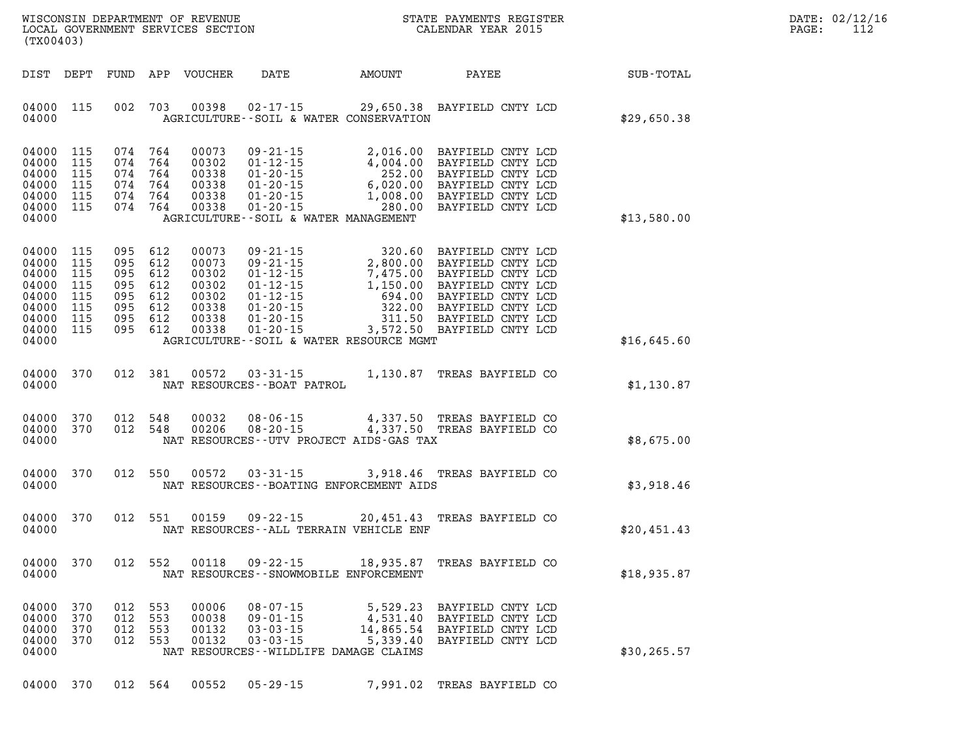| WISCONSIN DEPARTMENT OF REVENUE   | STATE PAYMENTS REGISTER |       | DATE: 02/12/16 |
|-----------------------------------|-------------------------|-------|----------------|
| LOCAL GOVERNMENT SERVICES SECTION | CALENDAR YEAR 2015      | PAGE: |                |

| (TX00403)                                                                     |                                                      |                                 |                                                                  | LOCAL GOVERNMENT SERVICES SECTION                                    |                                                                                                               |                                               | CALENDAR YEAR 2015                                                                                                                                                                                                                                                         |                  | PAGE: | 112 |
|-------------------------------------------------------------------------------|------------------------------------------------------|---------------------------------|------------------------------------------------------------------|----------------------------------------------------------------------|---------------------------------------------------------------------------------------------------------------|-----------------------------------------------|----------------------------------------------------------------------------------------------------------------------------------------------------------------------------------------------------------------------------------------------------------------------------|------------------|-------|-----|
| DIST DEPT                                                                     |                                                      |                                 |                                                                  | FUND APP VOUCHER                                                     |                                                                                                               | DATE AMOUNT PAYEE                             |                                                                                                                                                                                                                                                                            | <b>SUB-TOTAL</b> |       |     |
| 04000 115<br>04000                                                            |                                                      |                                 | 002 703                                                          | 00398                                                                | AGRICULTURE--SOIL & WATER CONSERVATION                                                                        |                                               | 02-17-15 29,650.38 BAYFIELD CNTY LCD                                                                                                                                                                                                                                       | \$29,650.38      |       |     |
| 04000<br>04000<br>04000<br>04000<br>04000<br>04000<br>04000                   | 115<br>115<br>115<br>115<br>115<br>115               |                                 | 074 764<br>074 764<br>074 764<br>074 764<br>074 764<br>074 764   | 00073<br>00302<br>00338<br>00338<br>00338<br>00338                   | AGRICULTURE--SOIL & WATER MANAGEMENT                                                                          |                                               | 09-21-15<br>01-12-15<br>01-20-15<br>01-20-15<br>01-20-15<br>01-20-15<br>01-20-15<br>01-20-15<br>01-20-15<br>01-20-15<br>01-20-15<br>01-20-15<br>01-20-15<br>01-20-15<br>01-20-15<br>01-20-15<br>01-20-15<br>01-20-15<br>01-20-15<br>01-20-15<br>01-20-15<br>01-20-15<br>01 | \$13,580.00      |       |     |
| 04000<br>04000<br>04000<br>04000<br>04000<br>04000<br>04000<br>04000<br>04000 | 115<br>115<br>115<br>115<br>115<br>115<br>115<br>115 | 095<br>095<br>095<br>095<br>095 | 095 612<br>612<br>612<br>612<br>612<br>612<br>095 612<br>095 612 | 00073<br>00073<br>00302<br>00302<br>00302<br>00338<br>00338<br>00338 | AGRICULTURE--SOIL & WATER RESOURCE MGMT                                                                       |                                               | 09-21-15 320.60 BAYFIELD CNTY LCD<br>09-21-15 2,800.00 BAYFIELD CNTY LCD<br>01-12-15 7,475.00 BAYFIELD CNTY LCD<br>01-12-15 1,150.00 BAYFIELD CNTY LCD<br>01-20-15 322.00 BAYFIELD CNTY LCD<br>01-20-15 311.50 BAYFIELD CNTY LCD<br>01-20-15 3,5                           | \$16,645.60      |       |     |
| 04000<br>04000                                                                | 370                                                  |                                 | 012 381                                                          | 00572                                                                | NAT RESOURCES - - BOAT PATROL                                                                                 |                                               | 03-31-15 1,130.87 TREAS BAYFIELD CO                                                                                                                                                                                                                                        | \$1,130.87       |       |     |
| 04000<br>04000<br>04000                                                       | 370<br>370                                           |                                 | 012 548<br>012 548                                               | 00032<br>00206                                                       | NAT RESOURCES--UTV PROJECT AIDS-GAS TAX                                                                       |                                               | 08-06-15 4,337.50 TREAS BAYFIELD CO<br>08-20-15 4,337.50 TREAS BAYFIELD CO                                                                                                                                                                                                 | \$8,675.00       |       |     |
| 04000<br>04000                                                                | 370                                                  |                                 | 012 550                                                          | 00572                                                                | NAT RESOURCES - - BOATING ENFORCEMENT AIDS                                                                    |                                               | 03-31-15 3,918.46 TREAS BAYFIELD CO                                                                                                                                                                                                                                        | \$3,918.46       |       |     |
| 04000<br>04000                                                                | 370                                                  |                                 | 012 551                                                          | 00159                                                                | NAT RESOURCES - - ALL TERRAIN VEHICLE ENF                                                                     |                                               | 09-22-15 20,451.43 TREAS BAYFIELD CO                                                                                                                                                                                                                                       | \$20.451.43      |       |     |
| 04000<br>04000                                                                | 370                                                  |                                 | 012 552                                                          | 00118                                                                | NAT RESOURCES - - SNOWMOBILE ENFORCEMENT                                                                      |                                               | 09-22-15 18,935.87 TREAS BAYFIELD CO                                                                                                                                                                                                                                       | \$18,935.87      |       |     |
| 04000<br>04000<br>04000<br>04000<br>04000                                     | 370<br>370<br>370<br>370                             | 012<br>012<br>012<br>012        | 553<br>553<br>553<br>553                                         | 00006<br>00038<br>00132<br>00132                                     | $08 - 07 - 15$<br>$09 - 01 - 15$<br>$03 - 03 - 15$<br>$03 - 03 - 15$<br>NAT RESOURCES--WILDLIFE DAMAGE CLAIMS | 5,529.23<br>4,531.40<br>14,865.54<br>5,339.40 | BAYFIELD CNTY LCD<br>BAYFIELD CNTY LCD<br>BAYFIELD CNTY LCD<br>BAYFIELD CNTY LCD                                                                                                                                                                                           | \$30, 265.57     |       |     |

**04000 370 012 564 00552 05-29-15 7,991.02 TREAS BAYFIELD CO**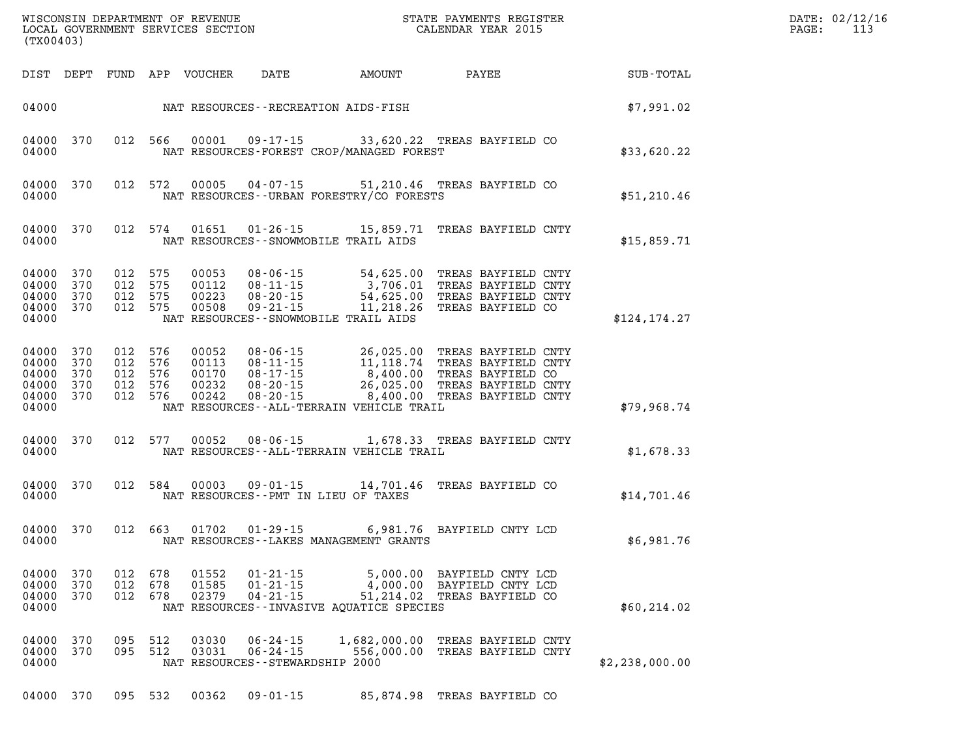| (TX00403)                                          |                                 |                                             |                   |                                           |                                                                                  |                                                                                                           | ${\tt WISCOONSIM} \begin{tabular}{lcccc} DEPARTMENT OF REVENUE & & & & & & & \begin{tabular}{l} \bf STATE} & \bf PAYMENTS \textit{ REGISTER} \\ \hline \textit{LOCAL GOVERNMENT} & \bf SERVICES \textit{SECTION} & & & & & \begin{tabular}{l} \bf CALENDAR \textit{ YEAR} \end{tabular} \\ \end{tabular}$ |                | DATE: 02/12/16<br>113<br>PAGE: |
|----------------------------------------------------|---------------------------------|---------------------------------------------|-------------------|-------------------------------------------|----------------------------------------------------------------------------------|-----------------------------------------------------------------------------------------------------------|-----------------------------------------------------------------------------------------------------------------------------------------------------------------------------------------------------------------------------------------------------------------------------------------------------------|----------------|--------------------------------|
| DIST DEPT                                          |                                 |                                             |                   | FUND APP VOUCHER                          | DATE                                                                             | AMOUNT                                                                                                    | PAYEE                                                                                                                                                                                                                                                                                                     | SUB-TOTAL      |                                |
| 04000                                              |                                 |                                             |                   |                                           |                                                                                  | NAT RESOURCES - - RECREATION AIDS - FISH                                                                  |                                                                                                                                                                                                                                                                                                           | \$7,991.02     |                                |
| 04000<br>04000                                     | 370                             |                                             | 012 566           | 00001                                     |                                                                                  | NAT RESOURCES-FOREST CROP/MANAGED FOREST                                                                  | 09-17-15 33,620.22 TREAS BAYFIELD CO                                                                                                                                                                                                                                                                      | \$33,620.22    |                                |
| 04000<br>04000                                     | 370                             | 012 572                                     |                   | 00005                                     | 04-07-15                                                                         | NAT RESOURCES - - URBAN FORESTRY/CO FORESTS                                                               | 51,210.46 TREAS BAYFIELD CO                                                                                                                                                                                                                                                                               | \$51,210.46    |                                |
| 04000<br>04000                                     | 370                             |                                             | 012 574           | 01651                                     | 01-26-15                                                                         | 15,859.71<br>NAT RESOURCES - - SNOWMOBILE TRAIL AIDS                                                      | TREAS BAYFIELD CNTY                                                                                                                                                                                                                                                                                       | \$15,859.71    |                                |
| 04000<br>04000<br>04000<br>04000<br>04000          | 370<br>370<br>370<br>370        | 012<br>012 575<br>012<br>012 575            | 575<br>575        | 00053<br>00112<br>00223<br>00508          | 08-06-15<br>08-11-15<br>$08 - 20 - 15$<br>$09 - 21 - 15$                         | $54, 62$<br>3,706.01<br>$54, 62$<br>$11, 218.26$<br>$-7$ ATDS<br>NAT RESOURCES--SNOWMOBILE TRAIL AIDS     | TREAS BAYFIELD CNTY<br>TREAS BAYFIELD CNTY<br>TREAS BAYFIELD CNTY<br>TREAS BAYFIELD CO                                                                                                                                                                                                                    | \$124, 174.27  |                                |
| 04000<br>04000<br>04000<br>04000<br>04000<br>04000 | 370<br>370<br>370<br>370<br>370 | 012 576<br>012<br>012 576<br>012<br>012 576 | 576<br>576        | 00052<br>00113<br>00170<br>00232<br>00242 | 08-06-15<br>$08 - 11 - 15$<br>$08 - 17 - 15$<br>$08 - 20 - 15$<br>$08 - 20 - 15$ | 26,025.00<br>11, 118. 74<br>8,400.00<br>26,025.00<br>8,400.00<br>NAT RESOURCES--ALL-TERRAIN VEHICLE TRAIL | TREAS BAYFIELD CNTY<br>TREAS BAYFIELD CNTY<br>TREAS BAYFIELD CO<br>TREAS BAYFIELD CNTY<br>TREAS BAYFIELD CNTY                                                                                                                                                                                             | \$79,968.74    |                                |
| 04000<br>04000                                     | 370                             | 012 577                                     |                   | 00052                                     | 08-06-15                                                                         | NAT RESOURCES - - ALL-TERRAIN VEHICLE TRAIL                                                               | 1,678.33 TREAS BAYFIELD CNTY                                                                                                                                                                                                                                                                              | \$1,678.33     |                                |
| 04000<br>04000                                     | 370                             |                                             | 012 584           | 00003                                     |                                                                                  | 09-01-15 14,701.46<br>NAT RESOURCES -- PMT IN LIEU OF TAXES                                               | TREAS BAYFIELD CO                                                                                                                                                                                                                                                                                         | \$14,701.46    |                                |
| 04000<br>04000                                     | 370                             |                                             | 012 663           | 01702                                     | $01 - 29 - 15$                                                                   | NAT RESOURCES--LAKES MANAGEMENT GRANTS                                                                    | 6,981.76 BAYFIELD CNTY LCD                                                                                                                                                                                                                                                                                | \$6,981.76     |                                |
| 04000<br>04000<br>04000<br>04000                   | 370<br>370<br>370               | 012<br>012<br>012                           | 678<br>678<br>678 | 01552<br>01585<br>02379                   | $01 - 21 - 15$<br>$01 - 21 - 15$<br>$04 - 21 - 15$                               | 5,000.00<br>4,000.00<br>51,214.02<br>NAT RESOURCES--INVASIVE AOUATICE SPECIES                             | BAYFIELD CNTY LCD<br>BAYFIELD CNTY LCD<br>TREAS BAYFIELD CO                                                                                                                                                                                                                                               | \$60, 214.02   |                                |
| 04000<br>04000<br>04000                            | 370<br>370                      | 095<br>095                                  | 512<br>512        | 03030<br>03031                            | $06 - 24 - 15$<br>$06 - 24 - 15$<br>NAT RESOURCES - - STEWARDSHIP 2000           | 1,682,000.00<br>556,000.00                                                                                | TREAS BAYFIELD CNTY<br>TREAS BAYFIELD CNTY                                                                                                                                                                                                                                                                | \$2,238,000.00 |                                |
| 04000 370                                          |                                 |                                             | 095 532           | 00362                                     | $09 - 01 - 15$                                                                   |                                                                                                           | 85,874.98 TREAS BAYFIELD CO                                                                                                                                                                                                                                                                               |                |                                |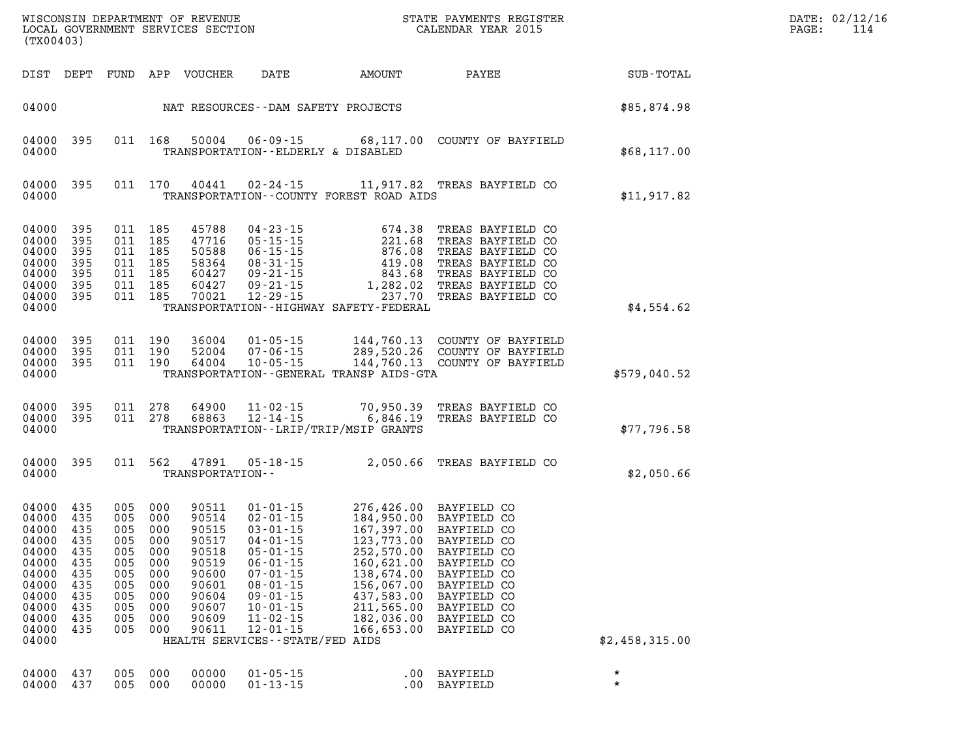| (TX00403)                                                                                                                 |                                                                    |                                                                               |                                                                               | WISCONSIN DEPARTMENT OF REVENUE<br>LOCAL GOVERNMENT SERVICES SECTION                                     |                                                                                                                                                                                 |                                                                                                                                                                                                                                                        | STATE PAYMENTS REGISTER<br>CALENDAR YEAR 2015                                                                                                          |                    | DATE: 02/12/16<br>PAGE:<br>114 |
|---------------------------------------------------------------------------------------------------------------------------|--------------------------------------------------------------------|-------------------------------------------------------------------------------|-------------------------------------------------------------------------------|----------------------------------------------------------------------------------------------------------|---------------------------------------------------------------------------------------------------------------------------------------------------------------------------------|--------------------------------------------------------------------------------------------------------------------------------------------------------------------------------------------------------------------------------------------------------|--------------------------------------------------------------------------------------------------------------------------------------------------------|--------------------|--------------------------------|
|                                                                                                                           |                                                                    |                                                                               |                                                                               | DIST DEPT FUND APP VOUCHER                                                                               | DATE                                                                                                                                                                            | AMOUNT                                                                                                                                                                                                                                                 | PAYEE                                                                                                                                                  | SUB-TOTAL          |                                |
| 04000                                                                                                                     |                                                                    |                                                                               |                                                                               |                                                                                                          | NAT RESOURCES--DAM SAFETY PROJECTS                                                                                                                                              |                                                                                                                                                                                                                                                        |                                                                                                                                                        | \$85,874.98        |                                |
| 04000 395<br>04000                                                                                                        |                                                                    |                                                                               | 011 168                                                                       | 50004                                                                                                    | $06 - 09 - 15$<br>TRANSPORTATION--ELDERLY & DISABLED                                                                                                                            |                                                                                                                                                                                                                                                        | 68,117.00 COUNTY OF BAYFIELD                                                                                                                           | \$68,117.00        |                                |
| 04000 395<br>04000                                                                                                        |                                                                    |                                                                               | 011 170                                                                       | 40441                                                                                                    |                                                                                                                                                                                 | TRANSPORTATION--COUNTY FOREST ROAD AIDS                                                                                                                                                                                                                | 02-24-15 11,917.82 TREAS BAYFIELD CO                                                                                                                   | \$11,917.82        |                                |
| 04000 395<br>04000<br>04000<br>04000<br>04000<br>04000<br>04000<br>04000                                                  | 395<br>395<br>395<br>395<br>395<br>- 395                           | 011 185<br>011 185<br>011 185<br>011 185<br>011 185<br>011 185<br>011 185     |                                                                               | 45788<br>60427<br>70021                                                                                  | 04 - 23 - 15<br>$47716$<br>$50588$<br>$06-15-15$<br>$58364$<br>$08-31-15$<br>$60427$<br>$09-21-15$<br>$15$<br>$09 - 21 - 15$<br>$12 - 29 - 15$                                  | 674.38<br>221.68<br>876.08<br>419.08<br>1,282.02<br>237.70<br>TRANSPORTATION - - HIGHWAY SAFETY - FEDERAL                                                                                                                                              | TREAS BAYFIELD CO<br>TREAS BAYFIELD CO<br>TREAS BAYFIELD CO<br>TREAS BAYFIELD CO<br>843.68 TREAS BAYFIELD CO<br>TREAS BAYFIELD CO<br>TREAS BAYFIELD CO | \$4,554.62         |                                |
| 04000<br>04000<br>04000<br>04000                                                                                          | - 395<br>395<br>- 395                                              | 011 190<br>011 190                                                            | 011 190                                                                       | 36004<br>52004<br>64004                                                                                  | 07-06-15<br>10-05-15                                                                                                                                                            | TRANSPORTATION - - GENERAL TRANSP AIDS - GTA                                                                                                                                                                                                           | 289,520.26 COUNTY OF BAYFIELD<br>144,760.13 COUNTY OF BAYFIELD                                                                                         | \$579,040.52       |                                |
| 04000 395<br>04000 395<br>04000                                                                                           |                                                                    | 011 278                                                                       | 011 278                                                                       | 64900<br>68863                                                                                           | $12 - 14 - 15$                                                                                                                                                                  | TRANSPORTATION - - LRIP/TRIP/MSIP GRANTS                                                                                                                                                                                                               | 11-02-15 70,950.39 TREAS BAYFIELD CO<br>6,846.19 TREAS BAYFIELD CO                                                                                     | \$77,796.58        |                                |
| 04000 395<br>04000                                                                                                        |                                                                    |                                                                               | 011 562                                                                       | 47891<br>TRANSPORTATION--                                                                                | 05-18-15                                                                                                                                                                        |                                                                                                                                                                                                                                                        | 2,050.66 TREAS BAYFIELD CO                                                                                                                             | \$2,050.66         |                                |
| 04000 435<br>04000<br>04000<br>04000<br>04000<br>04000 435<br>04000<br>04000<br>04000<br>04000<br>04000<br>04000<br>04000 | 435<br>435<br>435<br>435<br>435<br>435<br>435<br>435<br>435<br>435 | 005 000<br>005<br>005<br>005<br>005<br>005<br>005<br>005<br>005<br>005<br>005 | 000<br>000<br>000<br>000<br>005 000<br>000<br>000<br>000<br>000<br>000<br>000 | 90511<br>90514<br>90515<br>90517<br>90518<br>90519<br>90600<br>90601<br>90604<br>90607<br>90609<br>90611 | $05 - 01 - 15$<br>$06 - 01 - 15$<br>$07 - 01 - 15$<br>$08 - 01 - 15$<br>$09 - 01 - 15$<br>$10 - 01 - 15$<br>$11 - 02 - 15$<br>$12 - 01 - 15$<br>HEALTH SERVICES--STATE/FED AIDS | 01-01-15 276,426.00 BAYFIELD CO<br>02-01-15 184,950.00 BAYFIELD CO<br>03-01-15 167,397.00 BAYFIELD CO<br>04-01-15 123,773.00 BAYFIELD CO<br>160,621.00 BAYFIELD CO<br>138,674.00<br>156,067.00<br>437,583.00<br>211,565.00<br>182,036.00<br>166,653.00 | 252,570.00 BAYFIELD CO<br>BAYFIELD CO<br>BAYFIELD CO<br>BAYFIELD CO<br>BAYFIELD CO<br>BAYFIELD CO<br>BAYFIELD CO                                       | \$2,458,315.00     |                                |
| 04000<br>04000                                                                                                            | 437<br>437                                                         | 005<br>005                                                                    | 000<br>000                                                                    | 00000<br>00000                                                                                           | $01 - 05 - 15$<br>$01 - 13 - 15$                                                                                                                                                | $.00 \,$                                                                                                                                                                                                                                               | BAYFIELD<br>.00 BAYFIELD                                                                                                                               | $\star$<br>$\star$ |                                |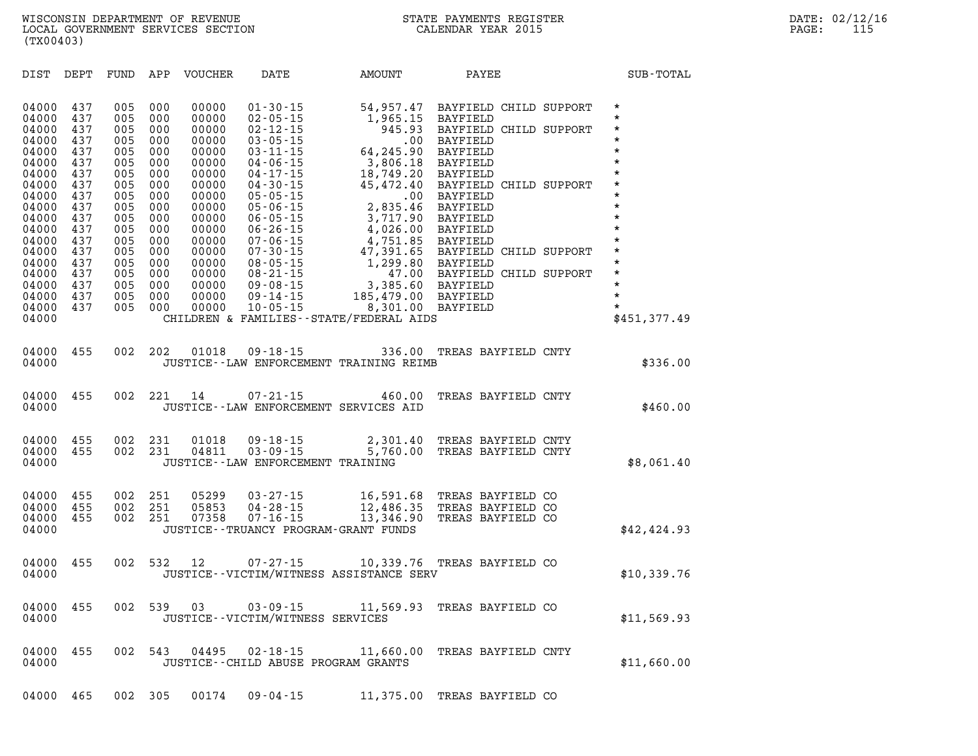| DIST                                                                                                                                         | DEPT                                                                                                         | FUND                                                                                                         | APP                                                                                                          | VOUCHER                                                                                                                                      | DATE                                                                                                                                                                                                                                                                                         | AMOUNT                                                                                                                                                                             | PAYEE                                                                                                                                                                                                                                                                                   | <b>SUB-TOTAL</b>                                                                                                                                                             |
|----------------------------------------------------------------------------------------------------------------------------------------------|--------------------------------------------------------------------------------------------------------------|--------------------------------------------------------------------------------------------------------------|--------------------------------------------------------------------------------------------------------------|----------------------------------------------------------------------------------------------------------------------------------------------|----------------------------------------------------------------------------------------------------------------------------------------------------------------------------------------------------------------------------------------------------------------------------------------------|------------------------------------------------------------------------------------------------------------------------------------------------------------------------------------|-----------------------------------------------------------------------------------------------------------------------------------------------------------------------------------------------------------------------------------------------------------------------------------------|------------------------------------------------------------------------------------------------------------------------------------------------------------------------------|
| 04000<br>04000<br>04000<br>04000<br>04000<br>04000<br>04000<br>04000<br>04000<br>04000<br>04000<br>04000<br>04000<br>04000<br>04000<br>04000 | 437<br>437<br>437<br>437<br>437<br>437<br>437<br>437<br>437<br>437<br>437<br>437<br>437<br>437<br>437<br>437 | 005<br>005<br>005<br>005<br>005<br>005<br>005<br>005<br>005<br>005<br>005<br>005<br>005<br>005<br>005<br>005 | 000<br>000<br>000<br>000<br>000<br>000<br>000<br>000<br>000<br>000<br>000<br>000<br>000<br>000<br>000<br>000 | 00000<br>00000<br>00000<br>00000<br>00000<br>00000<br>00000<br>00000<br>00000<br>00000<br>00000<br>00000<br>00000<br>00000<br>00000<br>00000 | $01 - 30 - 15$<br>$02 - 05 - 15$<br>$02 - 12 - 15$<br>$03 - 05 - 15$<br>$03 - 11 - 15$<br>$04 - 06 - 15$<br>$04 - 17 - 15$<br>$04 - 30 - 15$<br>$05 - 05 - 15$<br>$05 - 06 - 15$<br>$06 - 05 - 15$<br>$06 - 26 - 15$<br>$07 - 06 - 15$<br>$07 - 30 - 15$<br>$08 - 05 - 15$<br>$08 - 21 - 15$ | 54,957.47<br>1,965.15<br>945.93<br>.00<br>64,245.90<br>3,806.18<br>18,749.20<br>45,472.40<br>.00<br>2,835.46<br>3,717.90<br>4,026.00<br>4,751.85<br>47,391.65<br>1,299.80<br>47.00 | BAYFIELD CHILD SUPPORT<br>BAYFIELD<br>BAYFIELD CHILD SUPPORT<br>BAYFIELD<br><b>BAYFIELD</b><br><b>BAYFIELD</b><br>BAYFIELD<br>BAYFIELD CHILD SUPPORT<br>BAYFIELD<br><b>BAYFIELD</b><br>BAYFIELD<br>BAYFIELD<br>BAYFIELD<br>BAYFIELD CHILD SUPPORT<br>BAYFIELD<br>BAYFIELD CHILD SUPPORT | $\star$<br>$\star$<br>$\star$<br>$\star$<br>$\star$<br>$\star$<br>$\star$<br>$\star$<br>$\star$<br>$\star$<br>$\star$<br>$\star$<br>$\star$<br>$\star$<br>$\star$<br>$\star$ |
| 04000<br>04000<br>04000<br>04000                                                                                                             | 437<br>437<br>437                                                                                            | 005<br>005<br>005                                                                                            | 000<br>000<br>000                                                                                            | 00000<br>00000<br>00000                                                                                                                      | $09 - 08 - 15$<br>$09 - 14 - 15$<br>$10 - 05 - 15$                                                                                                                                                                                                                                           | 3,385.60<br>185,479.00<br>8,301.00<br>CHILDREN & FAMILIES - - STATE/FEDERAL AIDS                                                                                                   | BAYFIELD<br>BAYFIELD<br>BAYFIELD                                                                                                                                                                                                                                                        | $\star$<br>$\star$<br>$\star$<br>\$451,377.49                                                                                                                                |
| 04000<br>04000                                                                                                                               | 455                                                                                                          | 002                                                                                                          | 202                                                                                                          | 01018                                                                                                                                        | $09 - 18 - 15$                                                                                                                                                                                                                                                                               | 336.00<br>JUSTICE -- LAW ENFORCEMENT TRAINING REIMB                                                                                                                                | TREAS BAYFIELD CNTY                                                                                                                                                                                                                                                                     | \$336.00                                                                                                                                                                     |
| 04000<br>04000                                                                                                                               | 455                                                                                                          | 002                                                                                                          | 221                                                                                                          | 14                                                                                                                                           | $07 - 21 - 15$<br>JUSTICE -- LAW ENFORCEMENT SERVICES AID                                                                                                                                                                                                                                    | 460.00                                                                                                                                                                             | TREAS BAYFIELD CNTY                                                                                                                                                                                                                                                                     | \$460.00                                                                                                                                                                     |
| 04000<br>04000<br>04000                                                                                                                      | 455<br>455                                                                                                   | 002<br>002                                                                                                   | 231<br>231                                                                                                   | 01018<br>04811                                                                                                                               | $09 - 18 - 15$<br>$03 - 09 - 15$<br>JUSTICE - - LAW ENFORCEMENT TRAINING                                                                                                                                                                                                                     | 2,301.40<br>5,760.00                                                                                                                                                               | TREAS BAYFIELD CNTY<br>TREAS BAYFIELD CNTY                                                                                                                                                                                                                                              | \$8,061.40                                                                                                                                                                   |
| 04000<br>04000<br>04000<br>04000                                                                                                             | 455<br>455<br>455                                                                                            | 002<br>002<br>002                                                                                            | 251<br>251<br>251                                                                                            | 05299<br>05853<br>07358                                                                                                                      | $03 - 27 - 15$<br>$04 - 28 - 15$<br>$07 - 16 - 15$<br>JUSTICE - - TRUANCY PROGRAM - GRANT FUNDS                                                                                                                                                                                              | 16,591.68<br>12,486.35<br>13,346.90                                                                                                                                                | TREAS BAYFIELD CO<br>TREAS BAYFIELD CO<br>TREAS BAYFIELD CO                                                                                                                                                                                                                             | \$42,424.93                                                                                                                                                                  |

| 04000 455 002 532 1 |  |  | $07 - 27 - 15$                          | 10,339.76 TREAS BAYFIELD CO |  |             |
|---------------------|--|--|-----------------------------------------|-----------------------------|--|-------------|
| 04000               |  |  | JUSTICE--VICTIM/WITNESS ASSISTANCE SERV |                             |  | \$10,339.76 |

| 04000 455 002 539 03 |  |  | $03 - 09 - 15$                   | 11,569.93 TREAS BAYFIELD CO |             |
|----------------------|--|--|----------------------------------|-----------------------------|-------------|
| 04000                |  |  | JUSTICE--VICTIM/WITNESS SERVICES |                             | \$11,569.93 |

**04000 455 002 543 04495 02-18-15 11,660.00 TREAS BAYFIELD CNTY 04000 JUSTICE--CHILD ABUSE PROGRAM GRANTS \$11,660.00** 

**04000 465 002 305 00174 09-04-15 11,375.00 TREAS BAYFIELD CO**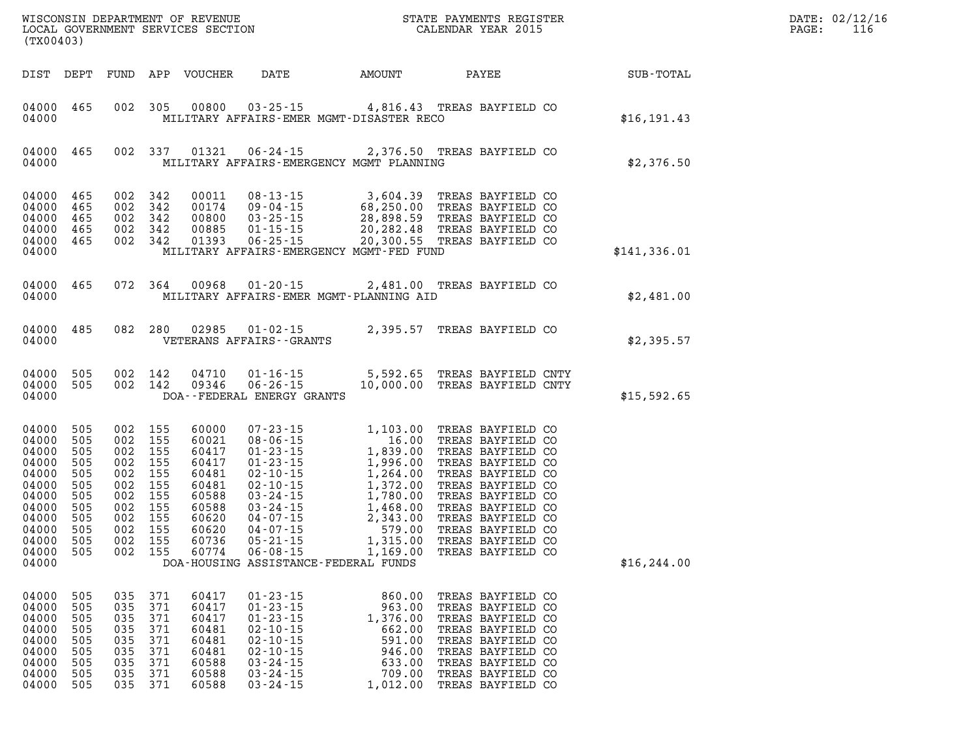| (TX00403)                                                                                                                                                                                             |                    |                                                                                                                                  |                                                                               |                                                                                                                                                                                                                                                                               |                                                                                |                                                                                                                                                                                                    |              | DATE: 02/12/16<br>PAGE:<br>116 |
|-------------------------------------------------------------------------------------------------------------------------------------------------------------------------------------------------------|--------------------|----------------------------------------------------------------------------------------------------------------------------------|-------------------------------------------------------------------------------|-------------------------------------------------------------------------------------------------------------------------------------------------------------------------------------------------------------------------------------------------------------------------------|--------------------------------------------------------------------------------|----------------------------------------------------------------------------------------------------------------------------------------------------------------------------------------------------|--------------|--------------------------------|
| DIST DEPT                                                                                                                                                                                             |                    |                                                                                                                                  | FUND APP VOUCHER                                                              | DATE                                                                                                                                                                                                                                                                          | AMOUNT                                                                         | PAYEE                                                                                                                                                                                              | SUB-TOTAL    |                                |
| 04000 465<br>04000                                                                                                                                                                                    |                    |                                                                                                                                  |                                                                               | 002 305 00800 03-25-15 4,816.43 TREAS BAYFIELD CO<br>MILITARY AFFAIRS-EMER MGMT-DISASTER RECO                                                                                                                                                                                 |                                                                                |                                                                                                                                                                                                    | \$16, 191.43 |                                |
| 04000 465<br>04000                                                                                                                                                                                    |                    |                                                                                                                                  |                                                                               | 002 337 01321 06-24-15 2,376.50 TREAS BAYFIELD CO<br>MILITARY AFFAIRS-EMERGENCY MGMT PLANNING                                                                                                                                                                                 |                                                                                |                                                                                                                                                                                                    | \$2,376.50   |                                |
| 04000 465<br>04000<br>465<br>04000<br>465<br>04000<br>465<br>04000<br>465<br>04000                                                                                                                    |                    | 002 342<br>002 342<br>002 342<br>002 342<br>002 342                                                                              |                                                                               | 00011 08-13-15 3,604.39 TREAS BAYFIELD CO<br>00174 09-04-15 68,250.00 TREAS BAYFIELD CO<br>00800 03-25-15 28,898.59 TREAS BAYFIELD CO<br>00885 01-15-15 20,282.48 TREAS BAYFIELD CO<br>01393 06-25-15 20,300.55 TREAS BAYFIELD CO<br>MILITARY AFFAIRS-EMERGENCY MGMT-FED FUND |                                                                                | 3,604.39 TREAS BAYFIELD CO                                                                                                                                                                         | \$141,336.01 |                                |
| 04000 465<br>04000                                                                                                                                                                                    |                    |                                                                                                                                  |                                                                               | 072 364 00968 01-20-15 2,481.00 TREAS BAYFIELD CO<br>MILITARY AFFAIRS-EMER MGMT-PLANNING AID                                                                                                                                                                                  |                                                                                |                                                                                                                                                                                                    | \$2,481.00   |                                |
| 04000 485<br>04000                                                                                                                                                                                    |                    |                                                                                                                                  |                                                                               | 082 280 02985 01-02-15<br>VETERANS AFFAIRS - - GRANTS                                                                                                                                                                                                                         |                                                                                | 2,395.57 TREAS BAYFIELD CO                                                                                                                                                                         | \$2,395.57   |                                |
| 04000 505<br>04000<br>505<br>04000                                                                                                                                                                    |                    | 002 142<br>002 142                                                                                                               | 04710                                                                         | 01-16-15<br>09346  06-26-15  10,000.00  TREAS BAYFIELD CNTY<br>DOA--FEDERAL ENERGY GRANTS                                                                                                                                                                                     |                                                                                | 5,592.65 TREAS BAYFIELD CNTY                                                                                                                                                                       | \$15,592.65  |                                |
| 04000<br>505<br>04000<br>505<br>04000<br>505<br>04000<br>505<br>04000<br>505<br>04000<br>505<br>04000<br>505<br>04000<br>505<br>04000<br>505<br>04000<br>505<br>04000<br>505<br>04000<br>505<br>04000 |                    | 002 155<br>002 155<br>002 155<br>002 155<br>002 155<br>002 155<br>002 155<br>002 155<br>002 155<br>002 155<br>002 155<br>002 155 |                                                                               | DOA-HOUSING ASSISTANCE-FEDERAL FUNDS                                                                                                                                                                                                                                          |                                                                                |                                                                                                                                                                                                    | \$16, 244.00 |                                |
| 04000 505<br>04000<br>505<br>04000<br>505<br>04000<br>505<br>04000<br>505<br>505<br>04000<br>04000<br>505<br>04000<br>505<br>04000<br>505                                                             | 035 371<br>035 371 | 035 371<br>035 371<br>035 371<br>035 371<br>035 371<br>035 371<br>035 371                                                        | 60417<br>60417<br>60417<br>60481<br>60481<br>60481<br>60588<br>60588<br>60588 | $01 - 23 - 15$<br>$01 - 23 - 15$<br>$01 - 23 - 15$<br>$02 - 10 - 15$<br>$02 - 10 - 15$<br>$02 - 10 - 15$<br>$03 - 24 - 15$<br>$03 - 24 - 15$<br>$03 - 24 - 15$                                                                                                                | 860.00<br>963.00<br>1,376.00<br>662.00<br>591.00<br>946.00<br>633.00<br>709.00 | TREAS BAYFIELD CO<br>TREAS BAYFIELD CO<br>TREAS BAYFIELD CO<br>TREAS BAYFIELD CO<br>TREAS BAYFIELD CO<br>TREAS BAYFIELD CO<br>TREAS BAYFIELD CO<br>TREAS BAYFIELD CO<br>1,012.00 TREAS BAYFIELD CO |              |                                |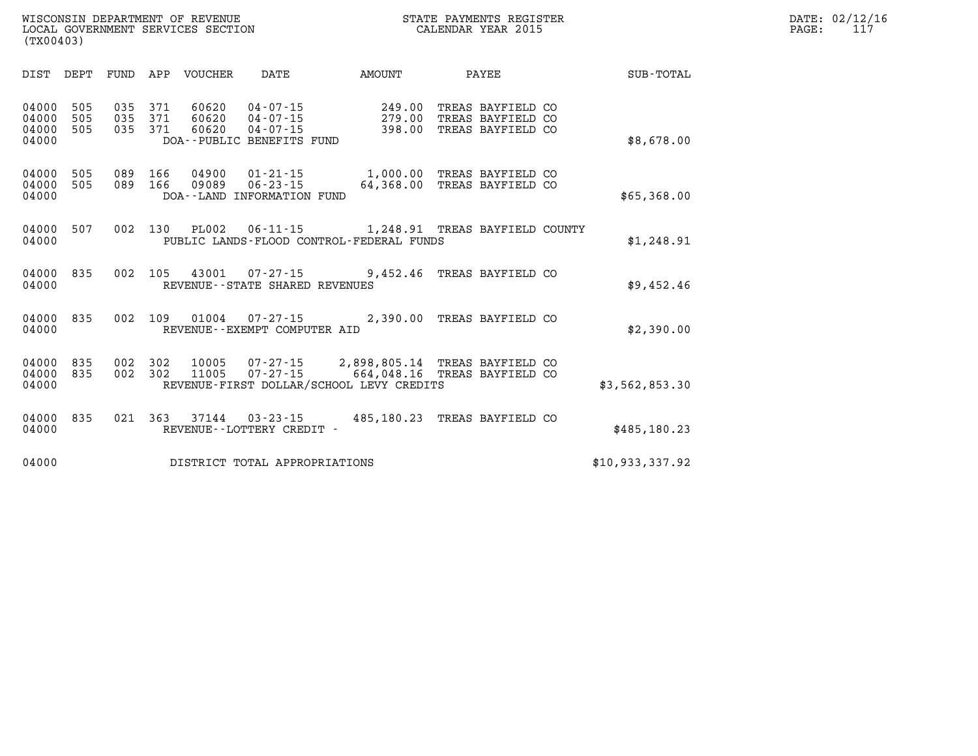|       | DATE: 02/12/16 |
|-------|----------------|
| PAGE: | 117            |

LOCAL GOVERNMENT SERVICES SECTION **(TX00403)** 

| DIST                             | DEPT              | FUND              | APP               | <b>VOUCHER</b>          | DATE                                                                            | AMOUNT                                                                     | PAYEE                                                       | <b>SUB-TOTAL</b> |
|----------------------------------|-------------------|-------------------|-------------------|-------------------------|---------------------------------------------------------------------------------|----------------------------------------------------------------------------|-------------------------------------------------------------|------------------|
| 04000<br>04000<br>04000<br>04000 | 505<br>505<br>505 | 035<br>035<br>035 | 371<br>371<br>371 | 60620<br>60620<br>60620 | $04 - 07 - 15$<br>$04 - 07 - 15$<br>$04 - 07 - 15$<br>DOA--PUBLIC BENEFITS FUND | 249.00<br>279.00<br>398.00                                                 | TREAS BAYFIELD CO<br>TREAS BAYFIELD CO<br>TREAS BAYFIELD CO | \$8,678.00       |
| 04000<br>04000<br>04000          | 505<br>505        | 089<br>089        | 166<br>166        | 04900<br>09089          | $01 - 21 - 15$<br>$06 - 23 - 15$<br>DOA--LAND INFORMATION FUND                  | 1,000.00<br>64,368.00                                                      | TREAS BAYFIELD CO<br>TREAS BAYFIELD CO                      | \$65,368.00      |
| 04000<br>04000                   | 507               | 002               | 130               | <b>PL002</b>            | $06 - 11 - 15$                                                                  | 1,248.91 TREAS BAYFIELD COUNTY<br>PUBLIC LANDS-FLOOD CONTROL-FEDERAL FUNDS |                                                             | \$1,248.91       |
| 04000<br>04000                   | 835               | 002               | 105               | 43001                   | 07-27-15<br>REVENUE - - STATE SHARED REVENUES                                   | 9,452.46                                                                   | TREAS BAYFIELD CO                                           | \$9,452.46       |
| 04000<br>04000                   | 835               | 002               | 109               | 01004                   | $07 - 27 - 15$<br>REVENUE--EXEMPT COMPUTER AID                                  | 2,390.00                                                                   | TREAS BAYFIELD CO                                           | \$2,390.00       |
| 04000<br>04000<br>04000          | 835<br>835        | 002<br>002        | 302<br>302        | 10005<br>11005          | 07-27-15<br>$07 - 27 - 15$                                                      | 2,898,805.14<br>664,048.16<br>REVENUE-FIRST DOLLAR/SCHOOL LEVY CREDITS     | TREAS BAYFIELD CO<br>TREAS BAYFIELD CO                      | \$3,562,853.30   |
| 04000<br>04000                   | 835               | 021               | 363               | 37144                   | $03 - 23 - 15$<br>REVENUE--LOTTERY CREDIT -                                     | 485,180.23                                                                 | TREAS BAYFIELD CO                                           | \$485,180.23     |
| 04000                            |                   |                   |                   |                         | DISTRICT TOTAL APPROPRIATIONS                                                   |                                                                            |                                                             | \$10,933,337.92  |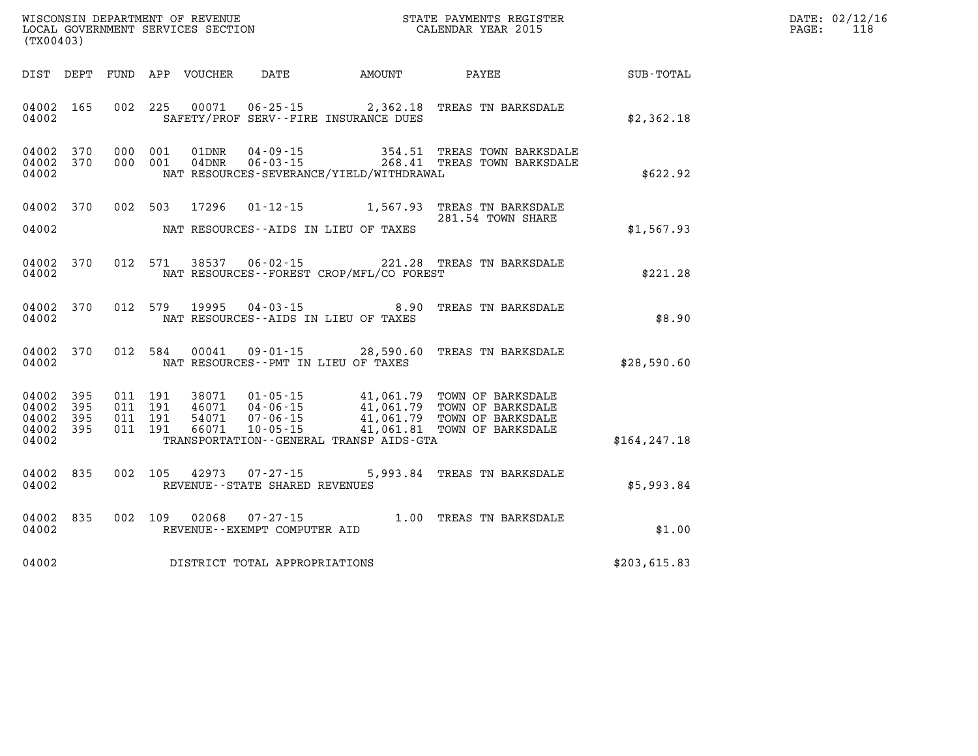| (TX00403)                                             |           |  |                                                          |                                            | WISCONSIN DEPARTMENT OF REVENUE<br>LOCAL GOVERNMENT SERVICES SECTION<br>CALENDAR YEAR 2015                                                                                                                           |               | DATE: 02/12/16<br>PAGE: 118 |
|-------------------------------------------------------|-----------|--|----------------------------------------------------------|--------------------------------------------|----------------------------------------------------------------------------------------------------------------------------------------------------------------------------------------------------------------------|---------------|-----------------------------|
|                                                       |           |  |                                                          |                                            | DIST DEPT FUND APP VOUCHER DATE AMOUNT PAYEE PAYES                                                                                                                                                                   |               |                             |
| 04002                                                 |           |  |                                                          | SAFETY/PROF SERV--FIRE INSURANCE DUES      | 04002 165 002 225 00071 06-25-15 2,362.18 TREAS TN BARKSDALE                                                                                                                                                         | \$2,362.18    |                             |
| 04002 370<br>04002 370<br>04002                       |           |  |                                                          | NAT RESOURCES-SEVERANCE/YIELD/WITHDRAWAL   | 000 001 01DNR 04-09-15 354.51 TREAS TOWN BARKSDALE<br>000 001 04DNR 06-03-15 268.41 TREAS TOWN BARKSDALE                                                                                                             | \$622.92      |                             |
| 04002                                                 |           |  |                                                          | NAT RESOURCES--AIDS IN LIEU OF TAXES       | 04002 370 002 503 17296 01-12-15 1,567.93 TREAS TN BARKSDALE<br>281.54 TOWN SHARE                                                                                                                                    | \$1,567.93    |                             |
| 04002                                                 |           |  |                                                          | NAT RESOURCES--FOREST CROP/MFL/CO FOREST   | 04002 370 012 571 38537 06-02-15 221.28 TREAS TN BARKSDALE                                                                                                                                                           | \$221.28      |                             |
|                                                       |           |  |                                                          |                                            | 04002 370 012 579 19995 04-03-15<br>\$8.90 \$8.90 \$8.90 \$8.90 \$8.90 \$8.90 \$8.90                                                                                                                                 |               |                             |
| 04002                                                 |           |  |                                                          | NAT RESOURCES--PMT IN LIEU OF TAXES        | 04002 370 012 584 00041 09-01-15 28,590.60 TREAS TN BARKSDALE                                                                                                                                                        | \$28,590.60   |                             |
| 04002 395<br>04002<br>04002 395<br>04002 395<br>04002 | 395       |  |                                                          | TRANSPORTATION - GENERAL TRANSP AIDS - GTA | 011 191 38071 01-05-15 41,061.79 TOWN OF BARKSDALE<br>011 191 46071 04-06-15 41,061.79 TOWN OF BARKSDALE<br>011 191 54071 07-06-15 41,061.79 TOWN OF BARKSDALE<br>011 191 66071 10-05-15 41,061.81 TOWN OF BARKSDALE | \$164, 247.18 |                             |
| 04002                                                 | 04002 835 |  | 002 105 42973 07-27-15<br>REVENUE--STATE SHARED REVENUES |                                            | 5,993.84 TREAS TN BARKSDALE                                                                                                                                                                                          | \$5,993.84    |                             |
|                                                       |           |  | 04002 REVENUE--EXEMPT COMPUTER AID                       |                                            | 04002 835 002 109 02068 07-27-15 1.00 TREAS TN BARKSDALE                                                                                                                                                             | \$1.00        |                             |
| 04002                                                 |           |  | DISTRICT TOTAL APPROPRIATIONS                            |                                            |                                                                                                                                                                                                                      | \$203,615.83  |                             |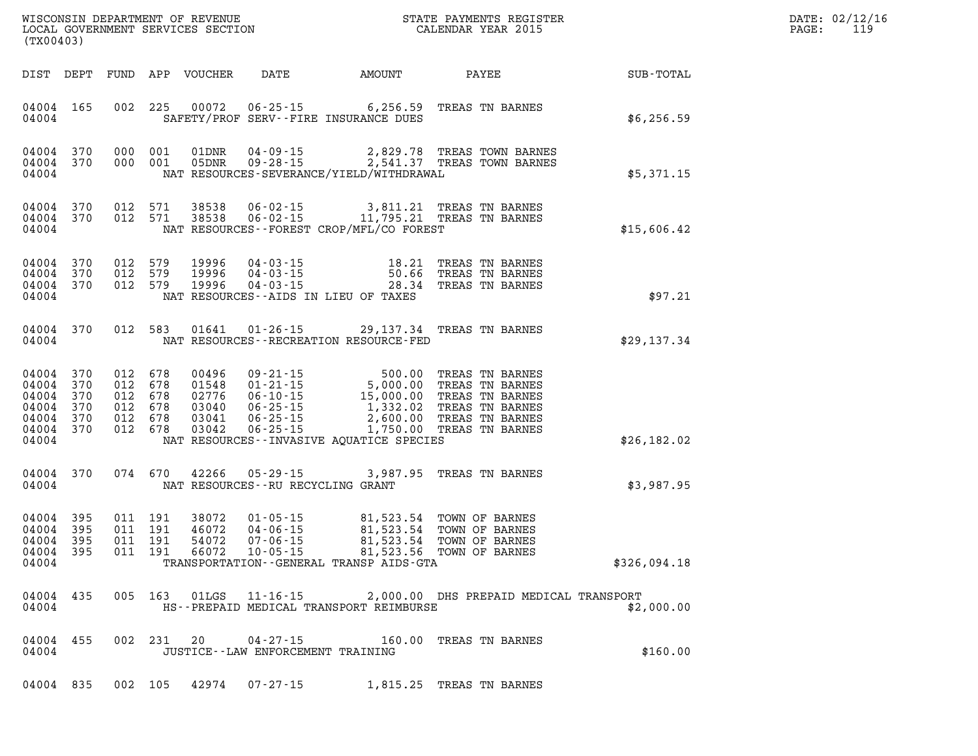| PAGE: | DATE: 02/12/16<br>119 |
|-------|-----------------------|
|       |                       |

| (TX00403)                                                                   |                        |  |                                                                |                            |                                                                            |                                                                                                                                                                                                                                                                                                                                                                                                       |                                                                         | $\mathbb{R}^n$              | DATE: 02/12/1<br>PAGE:<br>119 |  |  |
|-----------------------------------------------------------------------------|------------------------|--|----------------------------------------------------------------|----------------------------|----------------------------------------------------------------------------|-------------------------------------------------------------------------------------------------------------------------------------------------------------------------------------------------------------------------------------------------------------------------------------------------------------------------------------------------------------------------------------------------------|-------------------------------------------------------------------------|-----------------------------|-------------------------------|--|--|
|                                                                             |                        |  |                                                                | DIST DEPT FUND APP VOUCHER |                                                                            |                                                                                                                                                                                                                                                                                                                                                                                                       |                                                                         | DATE AMOUNT PAYEE SUB-TOTAL |                               |  |  |
| 04004                                                                       | 04004 165              |  |                                                                |                            |                                                                            | 002 225 00072 06-25-15 6,256.59 TREAS TN BARNES<br>SAFETY/PROF SERV--FIRE INSURANCE DUES                                                                                                                                                                                                                                                                                                              |                                                                         | \$6,256.59                  |                               |  |  |
| 04004 370<br>04004                                                          | 04004 370              |  |                                                                |                            |                                                                            | 000 001 01DNR 04-09-15 2,829.78 TREAS TOWN BARNES<br>000 001 05DNR 09-28-15 2,541.37 TREAS TOWN BARNES<br>NAT RESOURCES-SEVERANCE/YIELD/WITHDRAWAL                                                                                                                                                                                                                                                    |                                                                         | \$5,371.15                  |                               |  |  |
| 04004                                                                       | 04004 370<br>04004 370 |  | 012 571                                                        |                            |                                                                            | 012 571 38538 06-02-15 3,811.21 TREAS TN BARNES<br>012 571 38538 06-02-15 11,795.21 TREAS TN BARNES<br>NAT RESOURCES - - FOREST CROP/MFL/CO FOREST                                                                                                                                                                                                                                                    |                                                                         | \$15,606.42                 |                               |  |  |
| 04004 370<br>04004 370<br>04004                                             | 04004 370              |  |                                                                |                            | 012 579 19996 04-03-15<br>012 579 19996 04-03-15<br>012 579 19996 04-03-15 | NAT RESOURCES--AIDS IN LIEU OF TAXES                                                                                                                                                                                                                                                                                                                                                                  | 18.21 TREAS TN BARNES<br>50.66 TREAS TN BARNES<br>28.34 TREAS TN BARNES | \$97.21                     |                               |  |  |
| 04004                                                                       | 04004 370              |  |                                                                |                            |                                                                            | 012 583 01641 01-26-15 29,137.34 TREAS TN BARNES<br>NAT RESOURCES - - RECREATION RESOURCE - FED                                                                                                                                                                                                                                                                                                       |                                                                         | \$29,137.34                 |                               |  |  |
| 04004 370<br>04004<br>04004 370<br>04004<br>04004 370<br>04004 370<br>04004 | 370<br>370             |  | 012 678<br>012 678<br>012 678<br>012 678<br>012 678<br>012 678 |                            |                                                                            | 00496 09-21-15 500.00 TREAS TN BARNES<br>01548 01-21-15 5,000.00 TREAS TN BARNES<br>02776 06-10-15 15,000.00 TREAS TN BARNES<br>03040 06-25-15 1,332.02 TREAS TN BARNES<br>03041 06-25-15 2,600.00 TREAS TN BARNES<br>03042 06-25-15 1,750.00<br>NAT RESOURCES--INVASIVE AQUATICE SPECIES                                                                                                             |                                                                         | \$26,182.02                 |                               |  |  |
| 04004                                                                       | 04004 370              |  |                                                                |                            | NAT RESOURCES--RU RECYCLING GRANT                                          | 074 670 42266 05-29-15 3,987.95 TREAS TN BARNES                                                                                                                                                                                                                                                                                                                                                       |                                                                         | \$3,987.95                  |                               |  |  |
| 04004<br>04004 395<br>04004<br>04004 395<br>04004                           | 395<br>395             |  |                                                                |                            |                                                                            | $\begin{array}{cccc} 011 & 191 & 38072 & 01\cdot 05\cdot 15 & 81, 523.54 & \text{TOWN OF BARNES} \\ 011 & 191 & 46072 & 04\cdot 06\cdot 15 & 81, 523.54 & \text{TOWN OF BARNES} \\ 011 & 191 & 54072 & 07\cdot 06\cdot 15 & 81, 523.54 & \text{TOWN OF BARNES} \\ 011 & 191 & 66072 & 10\cdot 05\cdot 15 & 81, 523.56 & \text{TOWN OF BARNES} \end{array}$<br>TRANSPORTATION--GENERAL TRANSP AIDS-GTA |                                                                         | \$326,094.18                |                               |  |  |
| 04004                                                                       | 04004 435              |  |                                                                |                            | 005 163 01LGS 11-16-15                                                     | HS--PREPAID MEDICAL TRANSPORT REIMBURSE                                                                                                                                                                                                                                                                                                                                                               | 2,000.00 DHS PREPAID MEDICAL TRANSPORT                                  | \$2,000.00                  |                               |  |  |
| 04004 455<br>04004                                                          |                        |  |                                                                | 002 231 20                 | $04 - 27 - 15$<br>JUSTICE - - LAW ENFORCEMENT TRAINING                     |                                                                                                                                                                                                                                                                                                                                                                                                       | 160.00 TREAS TN BARNES                                                  | \$160.00                    |                               |  |  |
| 04004 835                                                                   |                        |  |                                                                |                            | 002 105 42974 07-27-15                                                     | 1,815.25 TREAS TN BARNES                                                                                                                                                                                                                                                                                                                                                                              |                                                                         |                             |                               |  |  |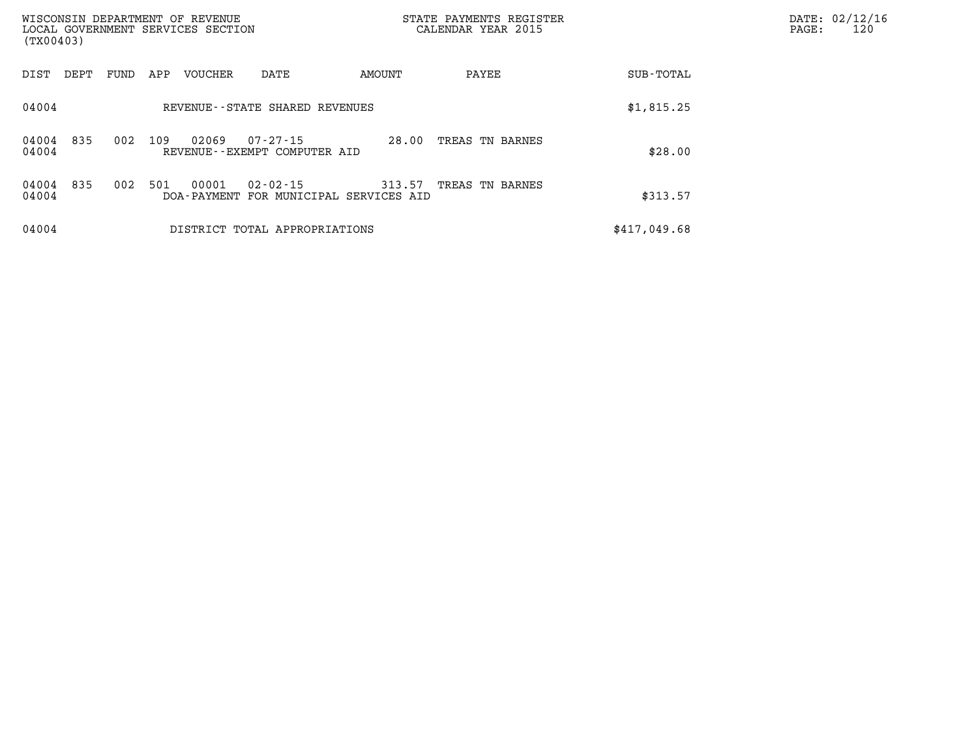| WISCONSIN DEPARTMENT OF REVENUE<br>(TX00403) |      |     | LOCAL GOVERNMENT SERVICES SECTION |                                                |        | STATE PAYMENTS REGISTER<br>CALENDAR YEAR 2015 |  |              |  | PAGE: | DATE: 02/12/16<br>120 |
|----------------------------------------------|------|-----|-----------------------------------|------------------------------------------------|--------|-----------------------------------------------|--|--------------|--|-------|-----------------------|
| DIST<br>DEPT                                 | FUND | APP | <b>VOUCHER</b>                    | DATE                                           | AMOUNT | PAYEE                                         |  | SUB-TOTAL    |  |       |                       |
| 04004                                        |      |     |                                   | REVENUE - - STATE SHARED REVENUES              |        |                                               |  | \$1,815.25   |  |       |                       |
| 835<br>04004<br>04004                        | 002  | 109 | 02069                             | $07 - 27 - 15$<br>REVENUE--EXEMPT COMPUTER AID | 28.00  | TREAS TN BARNES                               |  | \$28.00      |  |       |                       |
| 835<br>04004<br>04004                        | 002  | 501 | 00001<br>DOA - PAYMENT            | $02 - 02 - 15$<br>FOR MUNICIPAL SERVICES AID   | 313.57 | TREAS TN BARNES                               |  | \$313.57     |  |       |                       |
| 04004                                        |      |     |                                   | DISTRICT TOTAL APPROPRIATIONS                  |        |                                               |  | \$417,049.68 |  |       |                       |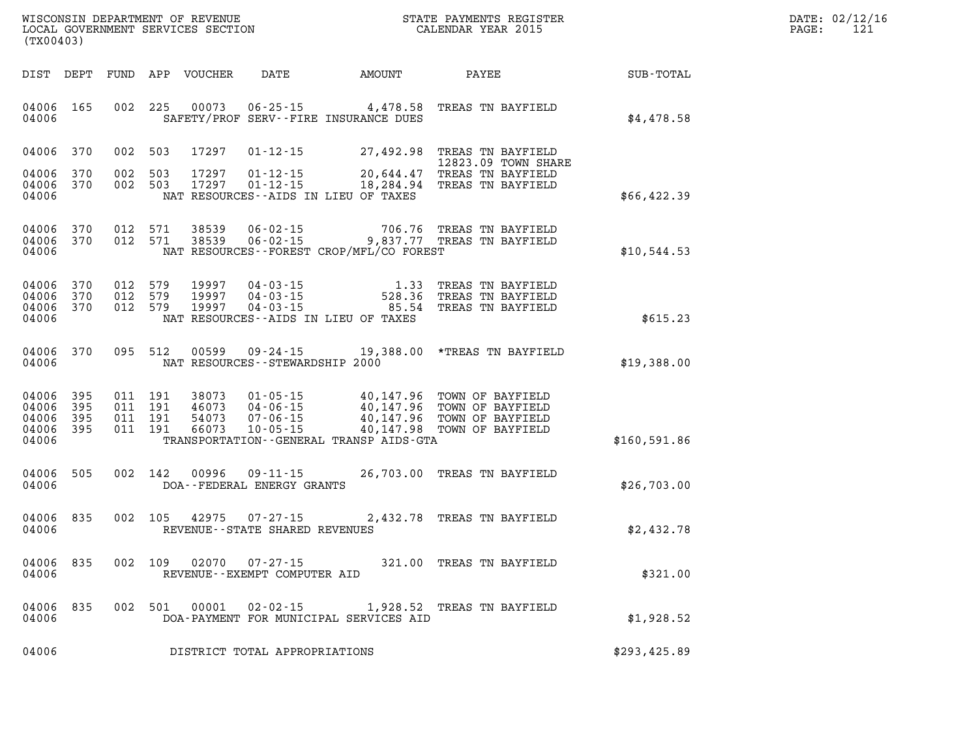| WISCONSIN DEPARTMENT OF REVENUE   | STATE PAYMENTS REGISTER | DATE: | : 02/12/16 |
|-----------------------------------|-------------------------|-------|------------|
| LOCAL GOVERNMENT SERVICES SECTION |                         |       | 1 0        |
|                                   | CALENDAR YEAR 2015      | PAGE  | ᆂᅀ         |

|                                  | LOCAL GOVERNMENT SERVICES SECTION<br>(TX00403) |  |                                          |                                  |                                              |                                             | CALENDAR YEAR 2015                                                                        |              | PAGE: | 121 |
|----------------------------------|------------------------------------------------|--|------------------------------------------|----------------------------------|----------------------------------------------|---------------------------------------------|-------------------------------------------------------------------------------------------|--------------|-------|-----|
|                                  |                                                |  |                                          |                                  |                                              | DIST DEPT FUND APP VOUCHER DATE AMOUNT      | PAYEE                                                                                     | SUB-TOTAL    |       |     |
| 04006 165<br>04006               |                                                |  | 002 225                                  | 00073                            |                                              | SAFETY/PROF SERV--FIRE INSURANCE DUES       | 06-25-15 4,478.58 TREAS TN BAYFIELD                                                       | \$4,478.58   |       |     |
|                                  | 04006 370                                      |  | 002 503                                  |                                  |                                              |                                             | 17297  01-12-15  27,492.98  TREAS TN BAYFIELD<br>12823.09 TOWN SHARE                      |              |       |     |
| 04006<br>04006<br>04006          | 370<br>370                                     |  | 002 503<br>002 503                       | 17297<br>17297                   |                                              | NAT RESOURCES--AIDS IN LIEU OF TAXES        | 01-12-15 20,644.47 TREAS TN BAYFIELD<br>01-12-15 18,284.94 TREAS TN BAYFIELD              | \$66,422.39  |       |     |
| 04006                            | 04006 370 012 571<br>04006 370                 |  | 012 571                                  | 38539<br>38539                   | 06-02-15                                     | NAT RESOURCES - - FOREST CROP/MFL/CO FOREST | 706.76 TREAS TN BAYFIELD<br>06-02-15 9,837.77 TREAS TN BAYFIELD                           | \$10,544.53  |       |     |
| 04006<br>04006<br>04006<br>04006 | 370<br>370<br>370                              |  | 012 579<br>012 579<br>012 579            | 19997<br>19997<br>19997          |                                              | NAT RESOURCES -- AIDS IN LIEU OF TAXES      | 04-03-15<br>04-03-15<br>04-03-15<br>04-03-15<br>04-03-15<br>085.54<br>20TREAS TN BAYFIELD | \$615.23     |       |     |
| 04006                            | 04006 370 095 512                              |  |                                          |                                  | NAT RESOURCES - - STEWARDSHIP 2000           |                                             | 00599  09-24-15  19,388.00 *TREAS TN BAYFIELD                                             | \$19,388.00  |       |     |
| 04006<br>04006<br>04006<br>04006 | 04006 395<br>395<br>395<br>395                 |  | 011 191<br>011 191<br>011 191<br>011 191 | 38073<br>46073<br>54073<br>66073 | 04-06-15<br>$10 - 05 - 15$                   | TRANSPORTATION--GENERAL TRANSP AIDS-GTA     | 40,147.98 TOWN OF BAYFIELD                                                                | \$160,591.86 |       |     |
| 04006                            | 04006 505                                      |  | 002 142                                  | 00996                            | $09 - 11 - 15$<br>DOA--FEDERAL ENERGY GRANTS |                                             | 26,703.00 TREAS TN BAYFIELD                                                               | \$26,703.00  |       |     |
| 04006                            | 04006 835                                      |  |                                          | 002 105 42975                    | REVENUE--STATE SHARED REVENUES               |                                             | 07-27-15 2,432.78 TREAS TN BAYFIELD                                                       | \$2,432.78   |       |     |
| 04006                            | 04006 835                                      |  | 002 109                                  | 02070                            | 07-27-15<br>REVENUE--EXEMPT COMPUTER AID     |                                             | 321.00 TREAS TN BAYFIELD                                                                  | \$321.00     |       |     |
| 04006                            | 04006 835                                      |  |                                          | 002 501 00001                    |                                              | DOA-PAYMENT FOR MUNICIPAL SERVICES AID      | 02-02-15 1,928.52 TREAS TN BAYFIELD                                                       | \$1,928.52   |       |     |
| 04006                            |                                                |  |                                          |                                  | DISTRICT TOTAL APPROPRIATIONS                |                                             |                                                                                           | \$293,425.89 |       |     |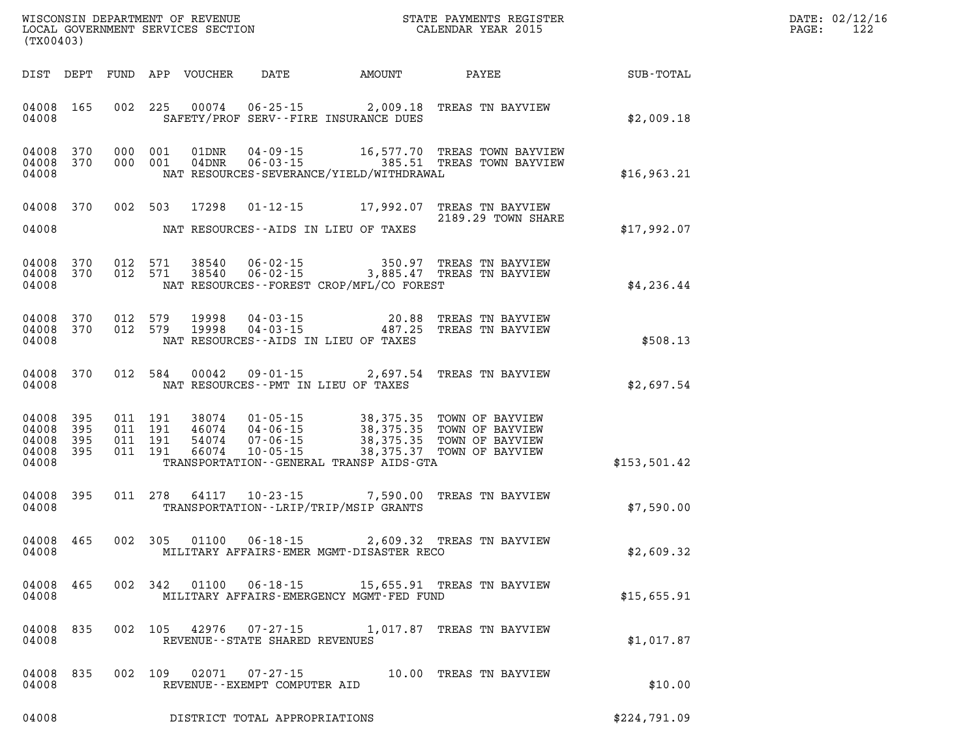| DATE: | 02/12/16 |
|-------|----------|
| PAGE: | 122      |

| WISCONSIN DEPARTMENT OF REVENUE<br>LOCAL GOVERNMENT SERVICES SECTION<br>LOCAL GOVERNMENT SERVICES SECTION<br>CALENDAR YEAR 2015<br>(TX00403) |                        |  |         |  |                                   |                                          |                                                                                                                                                                                                              |              | DATE: 02/12/1<br>$\mathtt{PAGE}$ :<br>122 |
|----------------------------------------------------------------------------------------------------------------------------------------------|------------------------|--|---------|--|-----------------------------------|------------------------------------------|--------------------------------------------------------------------------------------------------------------------------------------------------------------------------------------------------------------|--------------|-------------------------------------------|
|                                                                                                                                              |                        |  |         |  |                                   |                                          | DIST DEPT FUND APP VOUCHER DATE AMOUNT PAYEE SUB-TOTAL                                                                                                                                                       |              |                                           |
| 04008                                                                                                                                        | 04008 165              |  |         |  |                                   | SAFETY/PROF SERV--FIRE INSURANCE DUES    | 002 225 00074 06-25-15 2,009.18 TREAS TN BAYVIEW                                                                                                                                                             | \$2,009.18   |                                           |
| 04008                                                                                                                                        | 04008 370<br>04008 370 |  |         |  |                                   | NAT RESOURCES-SEVERANCE/YIELD/WITHDRAWAL | 000 001 01DNR 04-09-15 16,577.70 TREAS TOWN BAYVIEW<br>000 001 04DNR 06-03-15 385.51 TREAS TOWN BAYVIEW                                                                                                      | \$16,963.21  |                                           |
| 04008                                                                                                                                        | 04008 370              |  |         |  |                                   | NAT RESOURCES--AIDS IN LIEU OF TAXES     | 002 503 17298 01-12-15 17,992.07 TREAS TN BAYVIEW<br>2189.29 TOWN SHARE                                                                                                                                      | \$17,992.07  |                                           |
| 04008                                                                                                                                        |                        |  |         |  |                                   | NAT RESOURCES--FOREST CROP/MFL/CO FOREST | 04008 370 012 571 38540 06-02-15 350.97 TREAS TN BAYVIEW<br>04008 370 012 571 38540 06-02-15 3,885.47 TREAS TN BAYVIEW                                                                                       | \$4,236.44   |                                           |
| 04008 370<br>04008                                                                                                                           | 04008 370              |  |         |  |                                   | NAT RESOURCES--AIDS IN LIEU OF TAXES     | 012 579 19998 04-03-15 20.88 TREAS TN BAYVIEW<br>012 579 19998 04-03-15 487.25 TREAS TN BAYVIEW                                                                                                              | \$508.13     |                                           |
| 04008                                                                                                                                        | 04008 370              |  |         |  |                                   | NAT RESOURCES -- PMT IN LIEU OF TAXES    | 012 584 00042 09-01-15 2,697.54 TREAS TN BAYVIEW                                                                                                                                                             | \$2,697.54   |                                           |
| 04008 395<br>04008 395<br>04008                                                                                                              | 04008 395<br>04008 395 |  |         |  |                                   | TRANSPORTATION--GENERAL TRANSP AIDS-GTA  | 011 191 38074 01-05-15 38,375.35 TOWN OF BAYVIEW<br>011 191 46074 04-06-15 38,375.35 TOWN OF BAYVIEW<br>011 191 54074 07-06-15 38,375.35 TOWN OF BAYVIEW<br>011 191 66074 10-05-15 28,375.37 TOWN OF BAYVIEW | \$153,501.42 |                                           |
| 04008 395<br>04008                                                                                                                           |                        |  |         |  |                                   | TRANSPORTATION - - LRIP/TRIP/MSIP GRANTS | 011 278 64117 10-23-15 7,590.00 TREAS TN BAYVIEW                                                                                                                                                             | \$7,590.00   |                                           |
| 04008 465<br>04008                                                                                                                           |                        |  |         |  |                                   | MILITARY AFFAIRS-EMER MGMT-DISASTER RECO | 002 305 01100 06-18-15 2,609.32 TREAS TN BAYVIEW                                                                                                                                                             | \$2,609.32   |                                           |
| 04008 465<br>04008                                                                                                                           |                        |  | 002 342 |  |                                   | MILITARY AFFAIRS-EMERGENCY MGMT-FED FUND | 01100  06-18-15  15,655.91  TREAS TN BAYVIEW                                                                                                                                                                 | \$15,655.91  |                                           |
| 04008<br>04008                                                                                                                               | 835                    |  |         |  | REVENUE - - STATE SHARED REVENUES |                                          | 002 105 42976 07-27-15 1,017.87 TREAS TN BAYVIEW                                                                                                                                                             | \$1,017.87   |                                           |
| 04008<br>04008                                                                                                                               | 835                    |  | 002 109 |  | REVENUE--EXEMPT COMPUTER AID      |                                          | 10.00 TREAS TN BAYVIEW                                                                                                                                                                                       | \$10.00      |                                           |

**04008 DISTRICT TOTAL APPROPRIATIONS \$224,791.09**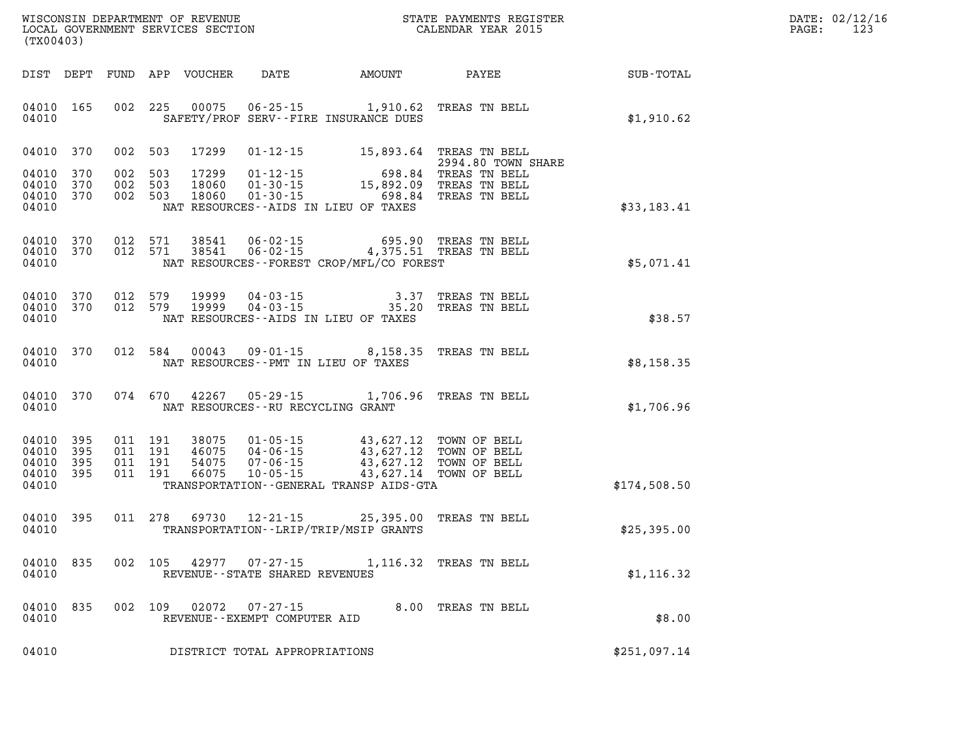| WISCONSIN DEPARTMENT OF REVENUE   | STATE PAYMENTS REGISTER | DATE: | : 02/12/16 |
|-----------------------------------|-------------------------|-------|------------|
| LOCAL GOVERNMENT SERVICES SECTION |                         |       | 1 n ·      |
|                                   | CALENDAR YEAR 2015      | PAGE  | ᅶᇫ         |

|                                                   | LOCAL GOVERNMENT SERVICES SECTION<br>(TX00403) |                    |                                          |                         |                                        | CALENDAR YEAR 2015                                                                                                                                            |                                                  |                  | PAGE: | 123 |
|---------------------------------------------------|------------------------------------------------|--------------------|------------------------------------------|-------------------------|----------------------------------------|---------------------------------------------------------------------------------------------------------------------------------------------------------------|--------------------------------------------------|------------------|-------|-----|
|                                                   |                                                |                    |                                          |                         |                                        | DIST DEPT FUND APP VOUCHER DATE AMOUNT PAYEE                                                                                                                  |                                                  | <b>SUB-TOTAL</b> |       |     |
| 04010<br>04010                                    | 165                                            |                    | 002 225                                  | 00075                   |                                        | 06-25-15 1,910.62 TREAS TN BELL<br>SAFETY/PROF SERV--FIRE INSURANCE DUES                                                                                      |                                                  | \$1,910.62       |       |     |
| 04010 370                                         |                                                |                    | 002 503                                  | 17299                   |                                        | 01-12-15 15,893.64 TREAS TN BELL                                                                                                                              | 2994.80 TOWN SHARE                               |                  |       |     |
| 04010<br>04010<br>04010 370<br>04010              | 370<br>370                                     | 002 503<br>002 503 | 002 503                                  | 17299<br>18060<br>18060 |                                        | ؛ 2994.80 TOWN<br>-01-12-15 698.84 TREAS TN BELL<br>01-30-15 15,892.09 TREAS TN BELL<br>01-30-15 698.84 TREAS TN BELL<br>NAT RESOURCES--AIDS IN LIEU OF TAXES |                                                  | \$33,183.41      |       |     |
| 04010 370<br>04010 370<br>04010                   |                                                |                    | 012 571<br>012 571                       | 38541<br>38541          |                                        | 06-02-15 695.90 TREAS TN BELL<br>06-02-15 4,375.51 TREAS TN BELL<br>NAT RESOURCES--FOREST CROP/MFL/CO FOREST                                                  |                                                  | \$5,071.41       |       |     |
| 04010 370<br>04010 370<br>04010                   |                                                |                    | 012 579<br>012 579                       | 19999<br>19999          | 04-03-15<br>$04 - 03 - 15$             | NAT RESOURCES -- AIDS IN LIEU OF TAXES                                                                                                                        | 3.37 TREAS TN BELL<br>35.20 TREAS TN BELL        | \$38.57          |       |     |
| 04010<br>04010                                    | 370                                            |                    | 012 584                                  | 00043                   |                                        | $09 - 01 - 15$ 8, 158.35<br>NAT RESOURCES - PMT IN LIEU OF TAXES                                                                                              | TREAS TN BELL                                    | \$8,158.35       |       |     |
| 04010<br>04010                                    | 370                                            |                    | 074 670                                  | 42267                   | NAT RESOURCES -- RU RECYCLING GRANT    | 05-29-15 1,706.96 TREAS TN BELL                                                                                                                               |                                                  | \$1,706.96       |       |     |
| 04010 395<br>04010<br>04010<br>04010 395<br>04010 | 395<br>395                                     |                    | 011 191<br>011 191<br>011 191<br>011 191 | 46075<br>54075<br>66075 | 04-06-15<br>$07 - 06 - 15$<br>10-05-15 | 38075 01-05-15 43,627.12 TOWN OF BELL<br>43,627.12 TOWN OF BELL<br>43,627.12 TOWN OF BELL<br>TRANSPORTATION--GENERAL TRANSP AIDS-GTA                          | 43,627.12 TOWN OF BELL<br>43,627.14 TOWN OF BELL | \$174,508.50     |       |     |
| 04010 395<br>04010                                |                                                |                    | 011 278                                  | 69730                   |                                        | 12-21-15 25,395.00 TREAS TN BELL<br>TRANSPORTATION - - LRIP/TRIP/MSIP GRANTS                                                                                  |                                                  | \$25,395.00      |       |     |
| 04010 835<br>04010                                |                                                |                    | 002 105                                  |                         | REVENUE - - STATE SHARED REVENUES      | 42977 07-27-15 1,116.32 TREAS TN BELL                                                                                                                         |                                                  | \$1,116.32       |       |     |
| 04010<br>04010                                    | 835                                            |                    | 002 109                                  |                         | REVENUE--EXEMPT COMPUTER AID           | 02072  07-27-15  8.00 TREAS TN BELL                                                                                                                           |                                                  | \$8.00           |       |     |
| 04010                                             |                                                |                    |                                          |                         | DISTRICT TOTAL APPROPRIATIONS          |                                                                                                                                                               |                                                  | \$251,097.14     |       |     |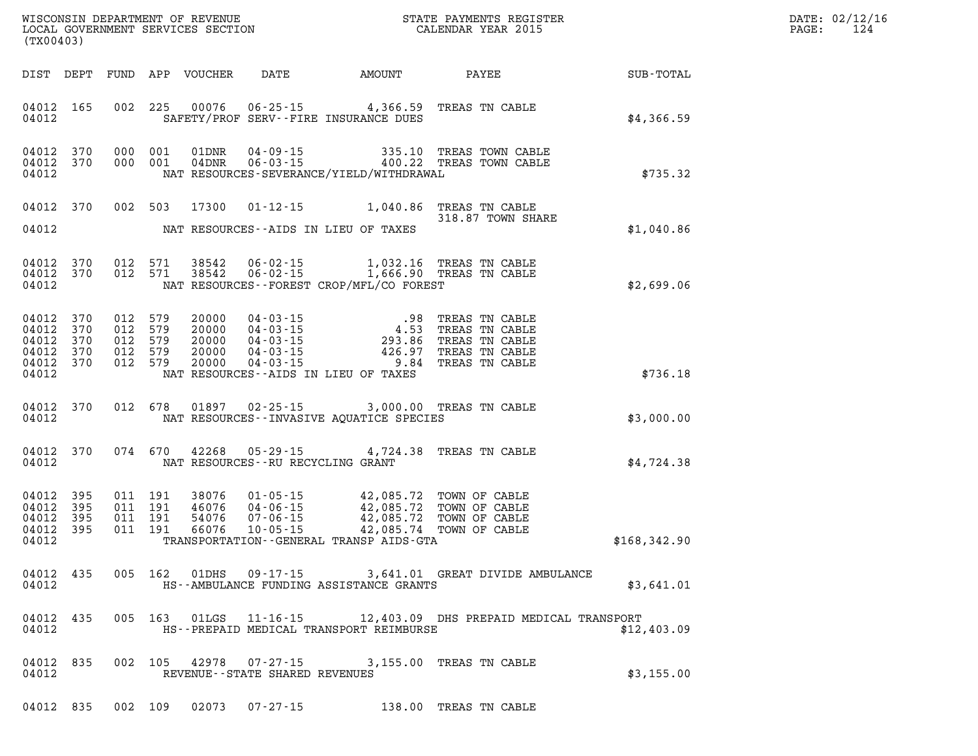| DATE: | 02/12/16 |
|-------|----------|
| PAGE: | 124      |

| WISCONSIN DEPARTMENT OF REVENUE<br>LOCAL GOVERNMENT SERVICES SECTION<br>(TWO0403)<br>(TX00403) |                        |  |  |  |                                   |                                                                                                                                                                                                                                                                                                                                                                                        |                                                                                                                                                                                                                                                                                                                         |                                                        | DATE: 02/12/1<br>$\mathtt{PAGE:}$<br>124 |
|------------------------------------------------------------------------------------------------|------------------------|--|--|--|-----------------------------------|----------------------------------------------------------------------------------------------------------------------------------------------------------------------------------------------------------------------------------------------------------------------------------------------------------------------------------------------------------------------------------------|-------------------------------------------------------------------------------------------------------------------------------------------------------------------------------------------------------------------------------------------------------------------------------------------------------------------------|--------------------------------------------------------|------------------------------------------|
|                                                                                                |                        |  |  |  |                                   |                                                                                                                                                                                                                                                                                                                                                                                        |                                                                                                                                                                                                                                                                                                                         | DIST DEPT FUND APP VOUCHER DATE AMOUNT PAYEE SUB-TOTAL |                                          |
|                                                                                                |                        |  |  |  |                                   | 04012 165 002 225 00076 06-25-15 4,366.59 TREAS TN CABLE<br>04012 SAFETY/PROF SERV--FIRE INSURANCE DUES                                                                                                                                                                                                                                                                                |                                                                                                                                                                                                                                                                                                                         | \$4,366.59                                             |                                          |
|                                                                                                | 04012                  |  |  |  |                                   |                                                                                                                                                                                                                                                                                                                                                                                        | 04012 370 000 001 01DNR 04-09-15 335.10 TREAS TOWN CABLE 04012 370 000 001 04DNR 06-03-15 400.22 TREAS TOWN CABLE<br>NAT RESOURCES-SEVERANCE/YIELD/WITHDRAWAL                                                                                                                                                           | \$735.32                                               |                                          |
|                                                                                                |                        |  |  |  |                                   |                                                                                                                                                                                                                                                                                                                                                                                        | 04012 370 002 503 17300 01-12-15 1,040.86 TREAS TN CABLE<br>318.87 TOWN SHARE                                                                                                                                                                                                                                           |                                                        |                                          |
|                                                                                                |                        |  |  |  |                                   | 04012 NAT RESOURCES--AIDS IN LIEU OF TAXES                                                                                                                                                                                                                                                                                                                                             |                                                                                                                                                                                                                                                                                                                         | \$1,040.86                                             |                                          |
|                                                                                                |                        |  |  |  |                                   | 04012 NAT RESOURCES--FOREST CROP/MFL/CO FOREST                                                                                                                                                                                                                                                                                                                                         | 04012 370 012 571 38542 06-02-15 1,032.16 TREAS TN CABLE<br>04012 370 012 571 38542 06-02-15 1,666.90 TREAS TN CABLE                                                                                                                                                                                                    | \$2,699.06                                             |                                          |
|                                                                                                | 04012                  |  |  |  |                                   | NAT RESOURCES--AIDS IN LIEU OF TAXES                                                                                                                                                                                                                                                                                                                                                   | $\begin{array}{cccccccc} 04012 & 370 & 012 & 579 & 20000 & 04-03-15 & .98 & \text{TREAS TN CABLE} \\ 04012 & 370 & 012 & 579 & 20000 & 04-03-15 & 4.53 & \text{TREAS TN CABLE} \\ 04012 & 370 & 012 & 579 & 20000 & 04-03-15 & .293.86 & \text{TREAS TN CABLE} \\ 04012 & 370 & 012 & 579 & 20000 & 04-03-15 & .426.97$ | \$736.18                                               |                                          |
|                                                                                                | 04012                  |  |  |  |                                   | 04012 370 012 678 01897 02-25-15 3,000.00 TREAS TN CABLE<br>NAT RESOURCES -- INVASIVE AQUATICE SPECIES                                                                                                                                                                                                                                                                                 |                                                                                                                                                                                                                                                                                                                         | \$3,000.00                                             |                                          |
|                                                                                                | 04012                  |  |  |  | NAT RESOURCES--RU RECYCLING GRANT | 04012 370 074 670 42268 05-29-15 4,724.38 TREAS TN CABLE                                                                                                                                                                                                                                                                                                                               |                                                                                                                                                                                                                                                                                                                         | \$4,724.38                                             |                                          |
| 04012 395<br>04012 395<br>04012                                                                | 04012 395<br>04012 395 |  |  |  |                                   | $\begin{array}{cccc} 011 & 191 & 38076 & 01\cdot 05\cdot 15 & 42\, ,085\, .72 & \text{TOWN OF CABLE} \\ 011 & 191 & 46076 & 04\cdot 06\cdot 15 & 42\, ,085\, .72 & \text{TOWN OF CABLE} \\ 011 & 191 & 54076 & 07\cdot 06\cdot 15 & 42\, ,085\, .72 & \text{TOWN OF CABLE} \\ 011 & 191 & 66076 & 10\cdot 05\cdot 15 & 42\, ,085\, .74 & \$<br>TRANSPORTATION--GENERAL TRANSP AIDS-GTA |                                                                                                                                                                                                                                                                                                                         | \$168,342.90                                           |                                          |
| 04012                                                                                          | 04012 435              |  |  |  |                                   | HS--AMBULANCE FUNDING ASSISTANCE GRANTS                                                                                                                                                                                                                                                                                                                                                | 005 162 01DHS 09-17-15 3,641.01 GREAT DIVIDE AMBULANCE                                                                                                                                                                                                                                                                  | \$3,641.01                                             |                                          |
| 04012                                                                                          | 04012 435              |  |  |  |                                   | HS--PREPAID MEDICAL TRANSPORT REIMBURSE                                                                                                                                                                                                                                                                                                                                                | 005 163 01LGS 11-16-15 12,403.09 DHS PREPAID MEDICAL TRANSPORT                                                                                                                                                                                                                                                          | \$12,403.09                                            |                                          |
| 04012                                                                                          | 04012 835              |  |  |  | REVENUE--STATE SHARED REVENUES    | 002 105 42978 07-27-15 3,155.00 TREAS TN CABLE                                                                                                                                                                                                                                                                                                                                         |                                                                                                                                                                                                                                                                                                                         | \$3,155.00                                             |                                          |
|                                                                                                |                        |  |  |  |                                   | 04012 835 002 109 02073 07-27-15 138.00 TREAS TN CABLE                                                                                                                                                                                                                                                                                                                                 |                                                                                                                                                                                                                                                                                                                         |                                                        |                                          |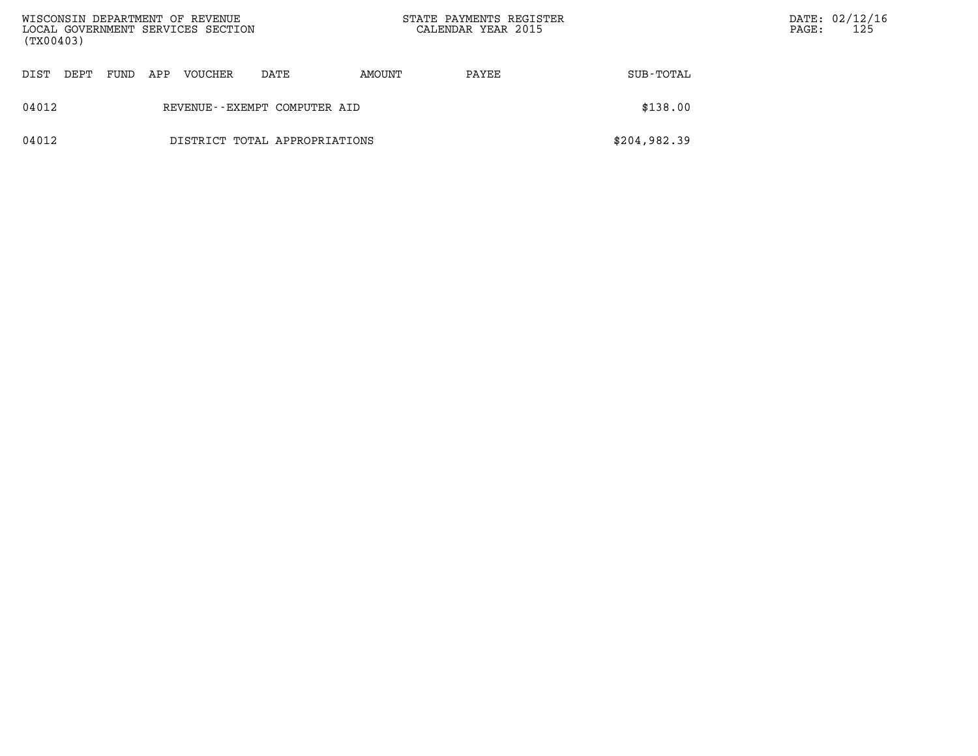| WISCONSIN DEPARTMENT OF REVENUE<br>LOCAL GOVERNMENT SERVICES SECTION<br>(TX00403) |      |      |     |         |                               | STATE PAYMENTS REGISTER<br>CALENDAR YEAR 2015 |       | PAGE:        | DATE: 02/12/16<br>125 |  |
|-----------------------------------------------------------------------------------|------|------|-----|---------|-------------------------------|-----------------------------------------------|-------|--------------|-----------------------|--|
| DIST                                                                              | DEPT | FUND | APP | VOUCHER | DATE                          | AMOUNT                                        | PAYEE | SUB-TOTAL    |                       |  |
| 04012                                                                             |      |      |     |         | REVENUE--EXEMPT COMPUTER AID  |                                               |       | \$138.00     |                       |  |
| 04012                                                                             |      |      |     |         | DISTRICT TOTAL APPROPRIATIONS |                                               |       | \$204,982.39 |                       |  |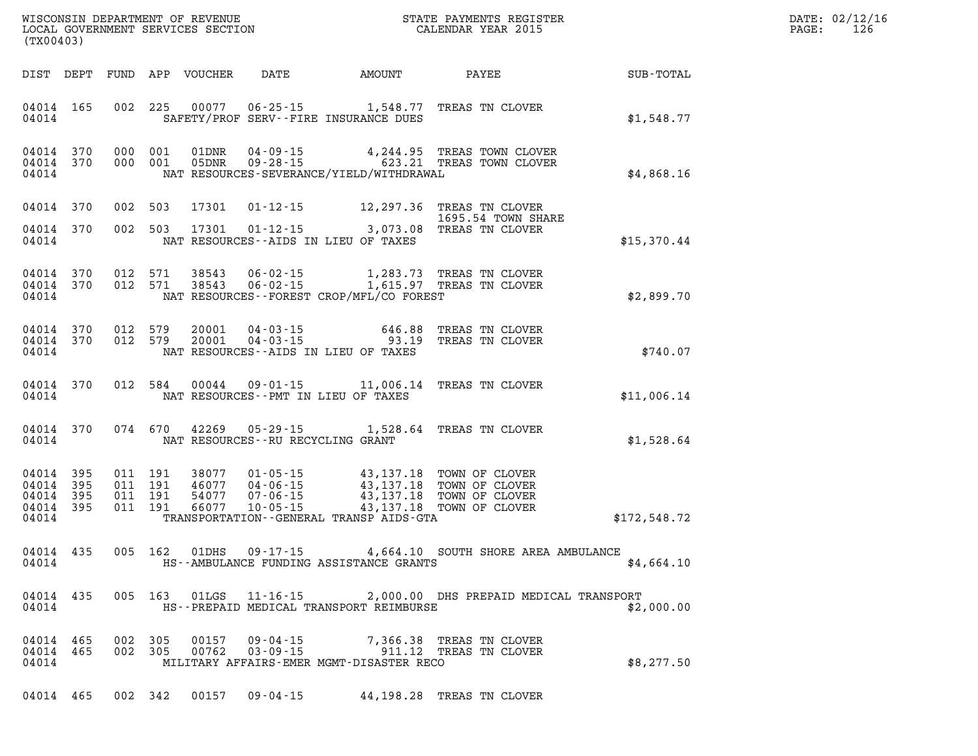| DATE: | 02/12/16 |
|-------|----------|
| PAGE: | 126      |

| (TX00403) |                                                           |  |                    |         |  |                                   |                                            | STATE PAYMENTS REGISTER                                                                                                                                                                                                                                                                                                                  |              | DATE: 02/12/1<br>126<br>PAGE: |
|-----------|-----------------------------------------------------------|--|--------------------|---------|--|-----------------------------------|--------------------------------------------|------------------------------------------------------------------------------------------------------------------------------------------------------------------------------------------------------------------------------------------------------------------------------------------------------------------------------------------|--------------|-------------------------------|
|           |                                                           |  |                    |         |  |                                   |                                            |                                                                                                                                                                                                                                                                                                                                          |              |                               |
|           | 04014 165<br>04014                                        |  |                    |         |  |                                   | SAFETY/PROF SERV--FIRE INSURANCE DUES      | 002 225 00077 06-25-15 1,548.77 TREAS TN CLOVER                                                                                                                                                                                                                                                                                          | \$1,548.77   |                               |
|           | 04014 370<br>04014 370<br>04014                           |  | 000 001            | 000 001 |  |                                   | NAT RESOURCES-SEVERANCE/YIELD/WITHDRAWAL   | 01DNR  04-09-15  4,244.95 TREAS TOWN CLOVER<br>05DNR  09-28-15  623.21 TREAS TOWN CLOVER                                                                                                                                                                                                                                                 | \$4,868.16   |                               |
|           | 04014 370                                                 |  |                    | 002 503 |  |                                   |                                            | 17301  01-12-15  12,297.36  TREAS TN CLOVER<br>1695.54 TOWN SHARE                                                                                                                                                                                                                                                                        |              |                               |
|           | 04014 370<br>04014                                        |  |                    | 002 503 |  |                                   | NAT RESOURCES--AIDS IN LIEU OF TAXES       | 1695.54 TOWN SHA<br>17301 01-12-15 3,073.08 TREAS TN CLOVER                                                                                                                                                                                                                                                                              | \$15,370.44  |                               |
|           | 04014 370<br>04014 370<br>04014                           |  |                    |         |  |                                   | NAT RESOURCES--FOREST CROP/MFL/CO FOREST   | 012 571 38543 06-02-15 1,283.73 TREAS TN CLOVER<br>012 571 38543 06-02-15 1,615.97 TREAS TN CLOVER                                                                                                                                                                                                                                       | \$2,899.70   |                               |
|           | 04014 370<br>04014 370<br>04014                           |  | 012 579<br>012 579 |         |  |                                   | NAT RESOURCES--AIDS IN LIEU OF TAXES       | 20001  04-03-15  646.88  TREAS TN CLOVER<br>20001  04-03-15  93.19  TREAS TN CLOVER                                                                                                                                                                                                                                                      | \$740.07     |                               |
|           | 04014 370<br>04014                                        |  |                    |         |  |                                   | NAT RESOURCES--PMT IN LIEU OF TAXES        | 012 584 00044 09-01-15 11,006.14 TREAS TN CLOVER                                                                                                                                                                                                                                                                                         | \$11,006.14  |                               |
|           | 04014 370<br>04014                                        |  |                    |         |  | NAT RESOURCES--RU RECYCLING GRANT |                                            | 074 670 42269 05-29-15 1,528.64 TREAS TN CLOVER                                                                                                                                                                                                                                                                                          | \$1,528.64   |                               |
|           | 04014 395<br>04014 395<br>04014 395<br>04014 395<br>04014 |  |                    |         |  |                                   | TRANSPORTATION - - GENERAL TRANSP AIDS-GTA | $\begin{array}{cccc} 011 & 191 & 38077 & 01\cdot 05\cdot 15 & 43\, , 137\, .18 & \text{TOWN OF CLOVER} \\ 011 & 191 & 46077 & 04\cdot 06\cdot 15 & 43\, , 137\, .18 & \text{TOWN OF CLOVER} \\ 011 & 191 & 54077 & 07\cdot 06\cdot 15 & 43\, , 137\, .18 & \text{TOWN OF CLOVER} \\ 011 & 191 & 66077 & 10\cdot 05\cdot 15 & 43\, , 137$ | \$172,548.72 |                               |
|           | 04014 435<br>04014                                        |  |                    |         |  |                                   |                                            | 005 162 01DHS 09-17-15 4,664.10 SOUTH SHORE AREA AMBULANCE<br>HS--AMBULANCE FUNDING ASSISTANCE GRANTS                                                                                                                                                                                                                                    | \$4,664.10   |                               |
|           | 04014                                                     |  |                    |         |  |                                   | HS--PREPAID MEDICAL TRANSPORT REIMBURSE    | 04014 435 005 163 01LGS 11-16-15 2,000.00 DHS PREPAID MEDICAL TRANSPORT                                                                                                                                                                                                                                                                  | \$2,000.00   |                               |
|           | 04014 465<br>04014 465<br>04014                           |  |                    |         |  |                                   | MILITARY AFFAIRS-EMER MGMT-DISASTER RECO   | 002 305 00157 09-04-15 7,366.38 TREAS TN CLOVER<br>002 305 00762 03-09-15 911.12 TREAS TN CLOVER                                                                                                                                                                                                                                         | \$8,277.50   |                               |
|           |                                                           |  |                    |         |  |                                   |                                            | 04014 465 002 342 00157 09-04-15 44,198.28 TREAS TN CLOVER                                                                                                                                                                                                                                                                               |              |                               |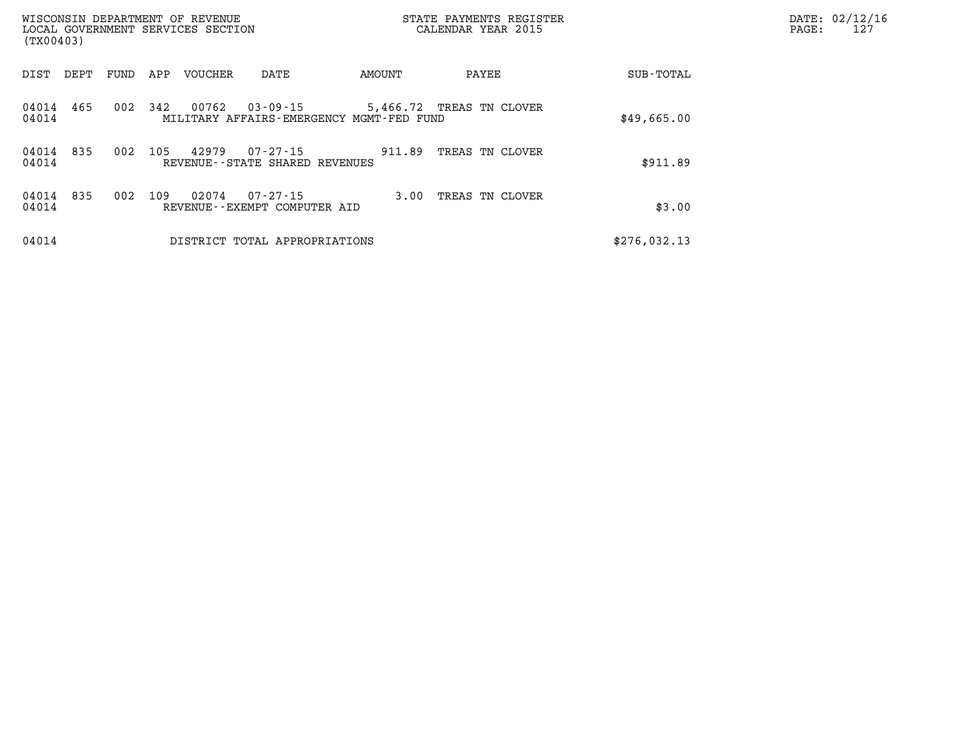| (TX00403)      |      |      |     | WISCONSIN DEPARTMENT OF REVENUE<br>LOCAL GOVERNMENT SERVICES SECTION |                                               |                                          | STATE PAYMENTS REGISTER<br>CALENDAR YEAR 2015 |              | DATE: 02/12/16<br>127<br>PAGE: |
|----------------|------|------|-----|----------------------------------------------------------------------|-----------------------------------------------|------------------------------------------|-----------------------------------------------|--------------|--------------------------------|
| DIST           | DEPT | FUND | APP | VOUCHER                                                              | DATE                                          | AMOUNT                                   | PAYEE                                         | SUB-TOTAL    |                                |
| 04014<br>04014 | 465  | 002  | 342 | 00762                                                                | $03 - 09 - 15$                                | MILITARY AFFAIRS-EMERGENCY MGMT-FED FUND | 5,466.72 TREAS TN CLOVER                      | \$49,665.00  |                                |
| 04014<br>04014 | 835  | 002  | 105 | 42979                                                                | 07-27-15<br>REVENUE - - STATE SHARED REVENUES | 911.89                                   | TREAS TN CLOVER                               | \$911.89     |                                |
| 04014<br>04014 | 835  | 002  | 109 | 02074                                                                | 07-27-15<br>REVENUE--EXEMPT COMPUTER AID      | 3.00                                     | TREAS TN CLOVER                               | \$3.00       |                                |
| 04014          |      |      |     |                                                                      | DISTRICT TOTAL APPROPRIATIONS                 |                                          |                                               | \$276,032.13 |                                |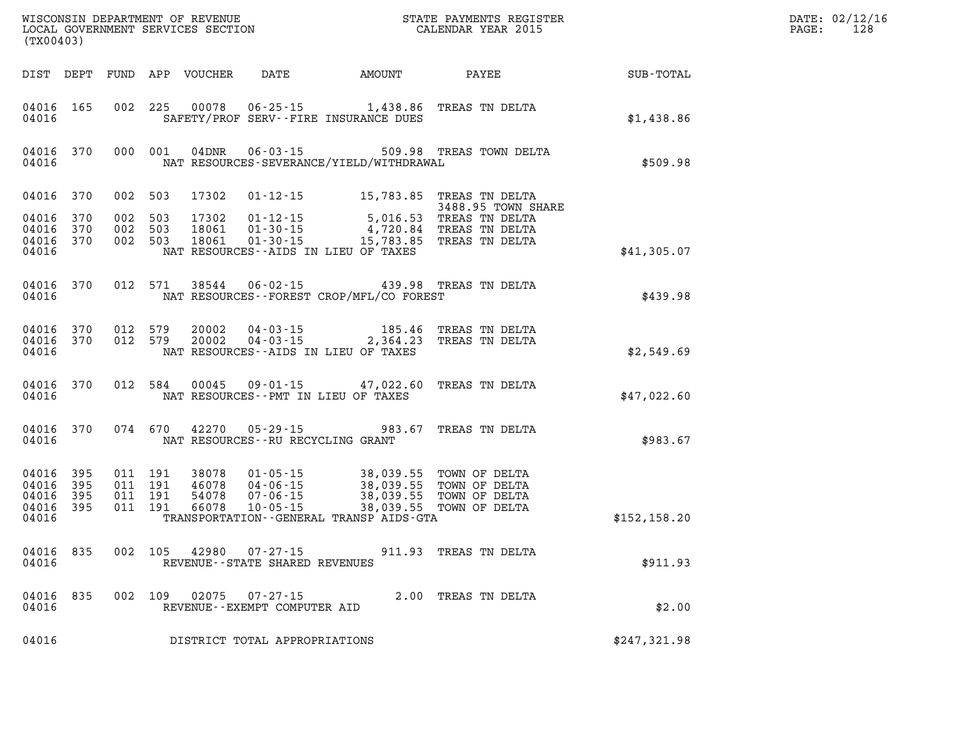| (TX00403)                                     |                                |         |                               |                                                          |                                          |                                                                                                                                                                                                          |               |  |  |
|-----------------------------------------------|--------------------------------|---------|-------------------------------|----------------------------------------------------------|------------------------------------------|----------------------------------------------------------------------------------------------------------------------------------------------------------------------------------------------------------|---------------|--|--|
|                                               |                                |         |                               |                                                          |                                          |                                                                                                                                                                                                          | SUB-TOTAL     |  |  |
| 04016 165<br>04016                            |                                |         |                               |                                                          | SAFETY/PROF SERV--FIRE INSURANCE DUES    | 002 225 00078 06-25-15 1,438.86 TREAS TN DELTA                                                                                                                                                           | \$1,438.86    |  |  |
| 04016                                         | 04016 370                      |         |                               |                                                          | NAT RESOURCES-SEVERANCE/YIELD/WITHDRAWAL | 000 001 04DNR 06-03-15 509.98 TREAS TOWN DELTA                                                                                                                                                           | \$509.98      |  |  |
| 04016 370<br>04016<br>04016<br>04016<br>04016 | 370<br>370<br>370              | 002 503 | 002 503<br>002 503<br>002 503 |                                                          | NAT RESOURCES--AIDS IN LIEU OF TAXES     | 17302  01-12-15  15,783.85  TREAS TN DELTA<br>3488.95 TOWN SHARE<br>17302  01-12-15  5,016.53  TREAS TN DELTA<br>18061  01-30-15  4,720.84  TREAS TN DELTA<br>18061  01-30-15  15,783.85  TREAS TN DELTA | \$41,305.07   |  |  |
| 04016                                         | 04016 370                      |         |                               |                                                          | NAT RESOURCES--FOREST CROP/MFL/CO FOREST | 012 571 38544 06-02-15 439.98 TREAS TN DELTA                                                                                                                                                             | \$439.98      |  |  |
| 04016                                         | 04016 370 012 579<br>04016 370 |         |                               | NAT RESOURCES--AIDS IN LIEU OF TAXES                     |                                          | 012 579 20002 04-03-15 185.46 TREAS TN DELTA<br>012 579 20002 04-03-15 2,364.23 TREAS TN DELTA                                                                                                           | \$2,549.69    |  |  |
| 04016                                         | 04016 370                      |         |                               | NAT RESOURCES--PMT IN LIEU OF TAXES                      |                                          | 012 584 00045 09-01-15 47,022.60 TREAS TN DELTA                                                                                                                                                          | \$47,022.60   |  |  |
| 04016                                         | 04016 370                      |         |                               | NAT RESOURCES--RU RECYCLING GRANT                        |                                          | 074 670 42270 05-29-15 983.67 TREAS TN DELTA                                                                                                                                                             | \$983.67      |  |  |
| 04016<br>04016<br>04016<br>04016<br>04016     | 395<br>395<br>395<br>395       |         |                               |                                                          | TRANSPORTATION--GENERAL TRANSP AIDS-GTA  | 011 191 38078 01-05-15 38,039.55 TOWN OF DELTA<br>011 191 46078 04-06-15 38,039.55 TOWN OF DELTA<br>011 191 54078 07-06-15 38,039.55 TOWN OF DELTA<br>011 191 66078 10-05-15 38,039.55 TOWN OF DELTA     | \$152, 158.20 |  |  |
| 04016 835<br>04016                            |                                |         |                               | 002 105 42980 07-27-15<br>REVENUE--STATE SHARED REVENUES |                                          | 911.93 TREAS TN DELTA                                                                                                                                                                                    | \$911.93      |  |  |
| 04016                                         | 04016 835                      |         |                               | REVENUE--EXEMPT COMPUTER AID                             |                                          | 002 109 02075 07-27-15 2.00 TREAS TN DELTA                                                                                                                                                               | \$2.00        |  |  |
| 04016                                         |                                |         |                               | DISTRICT TOTAL APPROPRIATIONS                            |                                          |                                                                                                                                                                                                          | \$247,321.98  |  |  |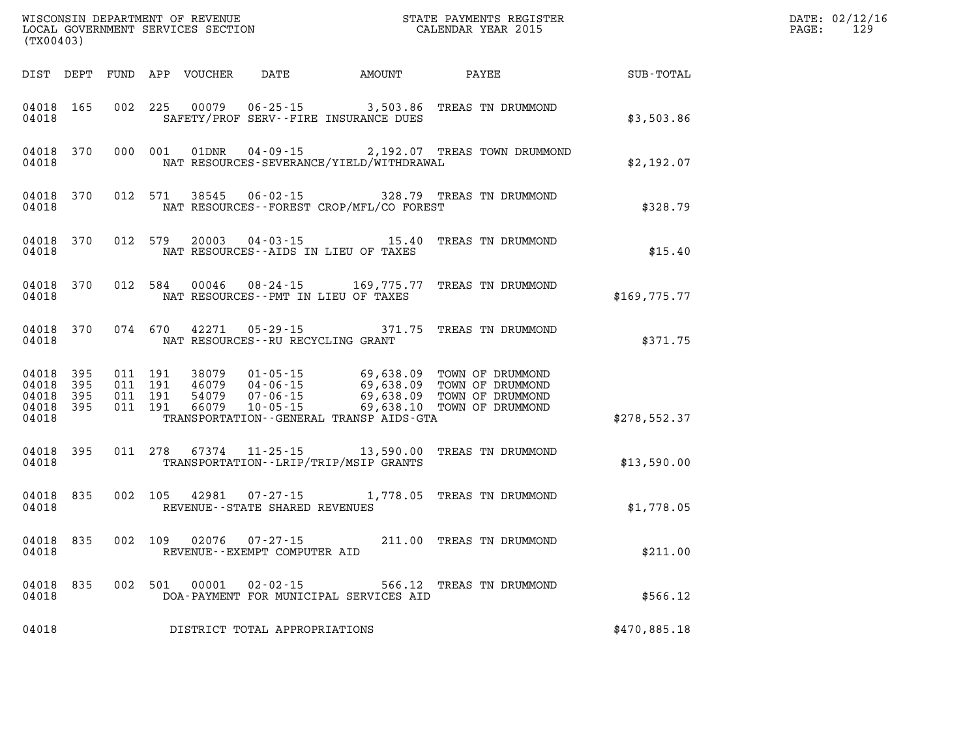| (TX00403)                                         |              |                                          |         | WISCONSIN DEPARTMENT OF REVENUE<br>LOCAL GOVERNMENT SERVICES SECTION |                                                      | STATE PAYMENTS REGISTER<br>CALENDAR YEAR 2015                    |                                                                                                                                                                                                                            |              | DATE: 02/12/16<br>$\mathtt{PAGE:}$<br>129 |
|---------------------------------------------------|--------------|------------------------------------------|---------|----------------------------------------------------------------------|------------------------------------------------------|------------------------------------------------------------------|----------------------------------------------------------------------------------------------------------------------------------------------------------------------------------------------------------------------------|--------------|-------------------------------------------|
|                                                   |              |                                          |         | DIST DEPT FUND APP VOUCHER                                           |                                                      | DATE AMOUNT                                                      | PAYEE                                                                                                                                                                                                                      | SUB-TOTAL    |                                           |
| 04018 165<br>04018                                |              |                                          | 002 225 | 00079                                                                |                                                      | $06 - 25 - 15$ 3,503.86<br>SAFETY/PROF SERV--FIRE INSURANCE DUES | TREAS TN DRUMMOND                                                                                                                                                                                                          | \$3,503.86   |                                           |
| 04018 370<br>04018                                |              |                                          | 000 001 | 01DNR                                                                |                                                      | NAT RESOURCES-SEVERANCE/YIELD/WITHDRAWAL                         | 04-09-15 2,192.07 TREAS TOWN DRUMMOND                                                                                                                                                                                      | \$2,192.07   |                                           |
| 04018 370<br>04018                                |              |                                          | 012 571 | 38545                                                                |                                                      | NAT RESOURCES--FOREST CROP/MFL/CO FOREST                         | 06-02-15 328.79 TREAS TN DRUMMOND                                                                                                                                                                                          | \$328.79     |                                           |
| 04018 370<br>04018                                |              | 012 579                                  |         | 20003                                                                |                                                      | NAT RESOURCES -- AIDS IN LIEU OF TAXES                           |                                                                                                                                                                                                                            | \$15.40      |                                           |
| 04018 370<br>04018                                |              |                                          | 012 584 | 00046                                                                |                                                      | NAT RESOURCES - PMT IN LIEU OF TAXES                             | 08-24-15 169,775.77 TREAS TN DRUMMOND                                                                                                                                                                                      | \$169,775.77 |                                           |
| 04018 370<br>04018                                |              |                                          | 074 670 | 42271                                                                | 05 - 29 - 15<br>NAT RESOURCES - - RU RECYCLING GRANT |                                                                  | 371.75 TREAS TN DRUMMOND                                                                                                                                                                                                   | \$371.75     |                                           |
| 04018 395<br>04018<br>04018<br>04018 395<br>04018 | - 395<br>395 | 011 191<br>011 191<br>011 191<br>011 191 |         |                                                                      | $10 - 05 - 15$                                       | TRANSPORTATION - - GENERAL TRANSP AIDS - GTA                     | 38079  01-05-15  69,638.09  TOWN OF DRUMMOND<br>46079  04-06-15  69,638.09  TOWN OF DRUMMOND<br>54079  07-06-15  69,638.09  TOWN OF DRUMMOND<br>66079  10-05-15  69,638.10  TOWN OF DRUMMOND<br>69,638.10 TOWN OF DRUMMOND | \$278,552.37 |                                           |
| 04018 395<br>04018                                |              |                                          | 011 278 |                                                                      |                                                      | TRANSPORTATION - - LRIP/TRIP/MSIP GRANTS                         | 67374  11-25-15  13,590.00  TREAS TN DRUMMOND                                                                                                                                                                              | \$13,590.00  |                                           |
| 04018 835<br>04018                                |              |                                          | 002 105 | 42981                                                                | $07 - 27 - 15$<br>REVENUE - - STATE SHARED REVENUES  |                                                                  | 1,778.05 TREAS TN DRUMMOND                                                                                                                                                                                                 | \$1,778.05   |                                           |
| 04018<br>04018                                    | 835          |                                          | 002 109 | 02076                                                                | $07 - 27 - 15$<br>REVENUE--EXEMPT COMPUTER AID       |                                                                  | 211.00 TREAS TN DRUMMOND                                                                                                                                                                                                   | \$211.00     |                                           |
| 04018 835<br>04018                                |              |                                          |         | 002 501 00001                                                        | 02-02-15                                             | DOA-PAYMENT FOR MUNICIPAL SERVICES AID                           | 566.12 TREAS TN DRUMMOND                                                                                                                                                                                                   | \$566.12     |                                           |
| 04018                                             |              |                                          |         |                                                                      | DISTRICT TOTAL APPROPRIATIONS                        |                                                                  |                                                                                                                                                                                                                            | \$470,885.18 |                                           |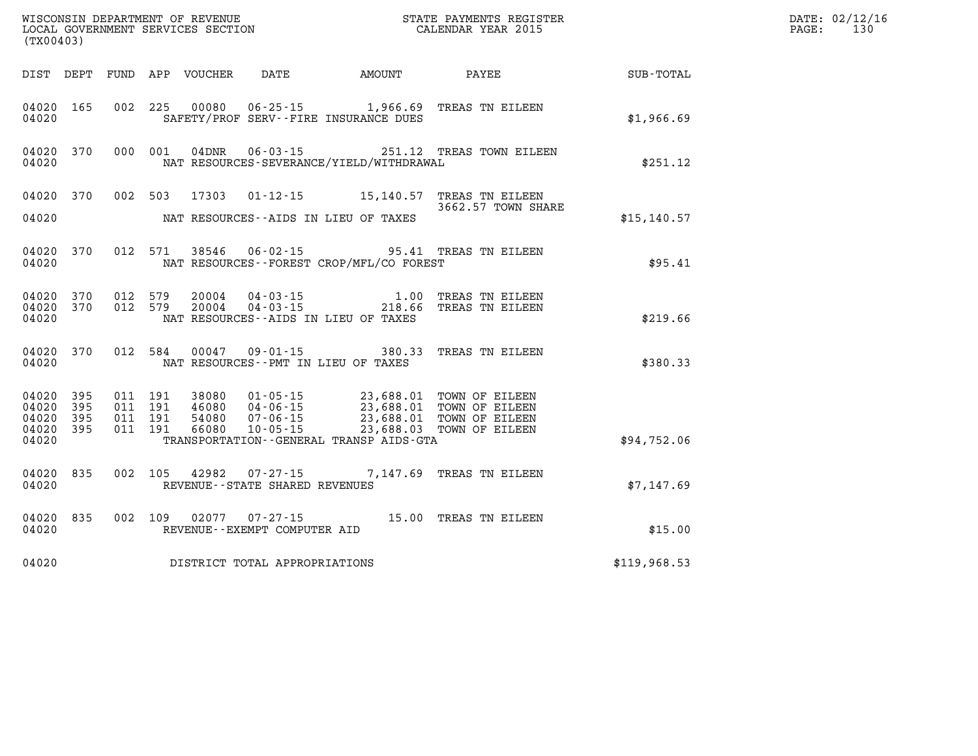| (TX00403)                   |              |                               |         |                                 |                                |                                                                          |                                                                                                                                                                                  |              | DATE: 02/12/16<br>PAGE:<br>130 |
|-----------------------------|--------------|-------------------------------|---------|---------------------------------|--------------------------------|--------------------------------------------------------------------------|----------------------------------------------------------------------------------------------------------------------------------------------------------------------------------|--------------|--------------------------------|
|                             |              |                               |         | DIST DEPT FUND APP VOUCHER DATE |                                | AMOUNT                                                                   | PAYEE                                                                                                                                                                            | SUB-TOTAL    |                                |
| 04020 165<br>04020          |              |                               |         |                                 |                                | 002 225 00080 06-25-15 1,966.69<br>SAFETY/PROF SERV--FIRE INSURANCE DUES | TREAS TN EILEEN                                                                                                                                                                  | \$1,966.69   |                                |
| 04020 370<br>04020          |              | 000 001                       |         | 04DNR                           |                                | NAT RESOURCES-SEVERANCE/YIELD/WITHDRAWAL                                 | 06-03-15 251.12 TREAS TOWN EILEEN                                                                                                                                                | \$251.12     |                                |
| 04020 370                   |              |                               |         | 002 503 17303                   |                                |                                                                          | 01-12-15 15,140.57 TREAS TN EILEEN<br>3662.57 TOWN SHARE                                                                                                                         |              |                                |
| 04020                       |              |                               |         |                                 |                                | NAT RESOURCES--AIDS IN LIEU OF TAXES                                     |                                                                                                                                                                                  | \$15, 140.57 |                                |
| 04020                       | 04020 370    |                               |         | 012 571 38546                   |                                | NAT RESOURCES - - FOREST CROP/MFL/CO FOREST                              | 06-02-15 95.41 TREAS TN EILEEN                                                                                                                                                   | \$95.41      |                                |
| 04020 370<br>04020          | 04020 370    | 012 579<br>012 579            |         | 20004<br>20004                  |                                | NAT RESOURCES--AIDS IN LIEU OF TAXES                                     | 04-03-15 1.00 TREAS TN EILEEN<br>04-03-15 218.66 TREAS TN EILEEN                                                                                                                 | \$219.66     |                                |
| 04020                       | 04020 370    |                               | 012 584 |                                 |                                | NAT RESOURCES -- PMT IN LIEU OF TAXES                                    | 00047  09-01-15  380.33  TREAS TN EILEEN                                                                                                                                         | \$380.33     |                                |
| 04020 395<br>04020<br>04020 | - 395<br>395 | 011 191<br>011 191<br>011 191 |         |                                 |                                |                                                                          | 38080  01-05-15  23,688.01 TOWN OF EILEEN<br>46080  04-06-15  23,688.01 TOWN OF EILEEN<br>54080  07-06-15  23,688.01 TOWN OF EILEEN<br>66080  10-05-15  23,688.03 TOWN OF EILEEN |              |                                |
| 04020 395<br>04020          |              | 011 191                       |         |                                 |                                | TRANSPORTATION - - GENERAL TRANSP AIDS - GTA                             |                                                                                                                                                                                  | \$94,752.06  |                                |
| 04020 835<br>04020          |              | 002 105                       |         | 42982                           | REVENUE--STATE SHARED REVENUES |                                                                          | 07-27-15 7,147.69 TREAS TN EILEEN                                                                                                                                                | \$7,147.69   |                                |
| 04020                       | 04020 835    | 002 109                       |         |                                 | REVENUE--EXEMPT COMPUTER AID   |                                                                          | 02077  07-27-15  15.00 TREAS TN EILEEN                                                                                                                                           | \$15.00      |                                |
| 04020                       |              |                               |         |                                 | DISTRICT TOTAL APPROPRIATIONS  |                                                                          |                                                                                                                                                                                  | \$119,968.53 |                                |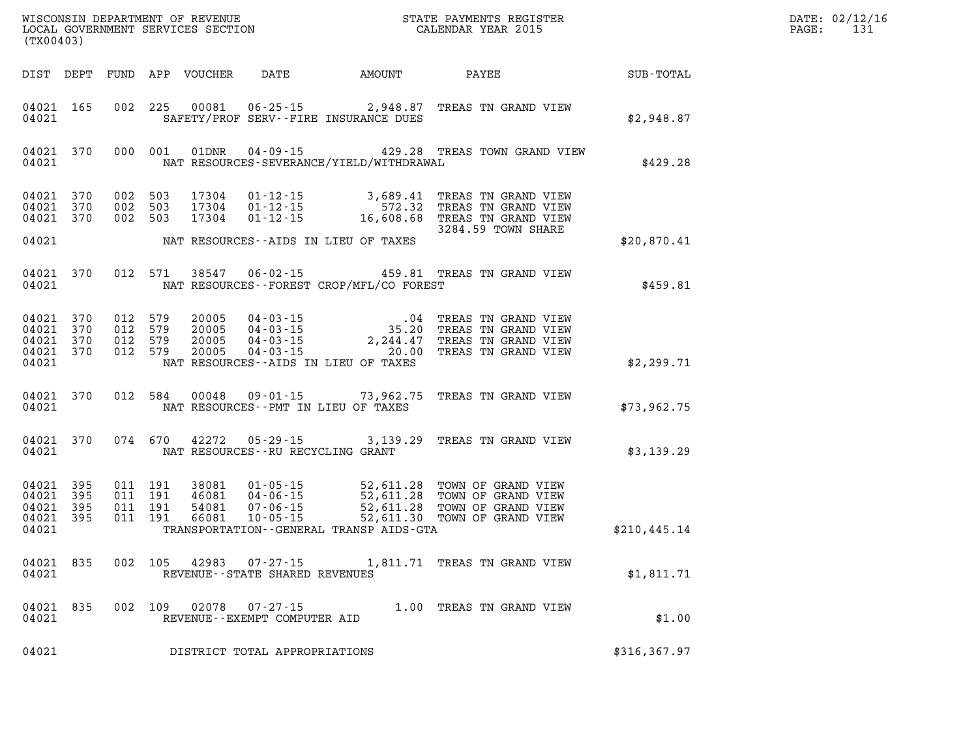| DATE: | 02/12/16 |
|-------|----------|
| PAGE: | 131      |

| (TX00403)                                                 |         |                               | LOCAL GOVERNMENT SERVICES SECTION |                                |                                              | CALENDAR YEAR 2015                                                                                                                                                                                                       |               | PAGE: | 131 |
|-----------------------------------------------------------|---------|-------------------------------|-----------------------------------|--------------------------------|----------------------------------------------|--------------------------------------------------------------------------------------------------------------------------------------------------------------------------------------------------------------------------|---------------|-------|-----|
|                                                           |         |                               |                                   |                                | DIST DEPT FUND APP VOUCHER DATE AMOUNT PAYEE |                                                                                                                                                                                                                          | SUB-TOTAL     |       |     |
| 04021 165<br>04021                                        |         |                               |                                   |                                | SAFETY/PROF SERV--FIRE INSURANCE DUES        | 002 225 00081 06-25-15 2,948.87 TREAS TN GRAND VIEW                                                                                                                                                                      | \$2,948.87    |       |     |
| 04021 370<br>04021                                        |         |                               |                                   |                                | NAT RESOURCES-SEVERANCE/YIELD/WITHDRAWAL     | 000 001 01DNR 04-09-15 429.28 TREAS TOWN GRAND VIEW                                                                                                                                                                      | \$429.28      |       |     |
| 04021 370<br>04021 370<br>04021 370                       |         | 002 503<br>002 503<br>002 503 |                                   |                                |                                              | 17304  01-12-15  3,689.41  TREAS TN GRAND VIEW<br>17304  01-12-15  572.32  TREAS TN GRAND VIEW<br>17304  01-12-15  16,608.68  TREAS TN GRAND VIEW<br>3284.59 TOWN SHARE                                                  |               |       |     |
| 04021                                                     |         |                               |                                   |                                | NAT RESOURCES--AIDS IN LIEU OF TAXES         |                                                                                                                                                                                                                          | \$20,870.41   |       |     |
| 04021 370<br>04021                                        |         | 012 571                       | 38547                             |                                | NAT RESOURCES--FOREST CROP/MFL/CO FOREST     | 06-02-15 459.81 TREAS TN GRAND VIEW                                                                                                                                                                                      | \$459.81      |       |     |
| 04021 370<br>04021 370<br>04021 370<br>04021 370<br>04021 | 012 579 | 012 579<br>012 579<br>012 579 |                                   |                                | NAT RESOURCES--AIDS IN LIEU OF TAXES         | 20005  04-03-15  04 TREAS TN GRAND VIEW<br>20005  04-03-15  35.20 TREAS TN GRAND VIEW<br>20005  04-03-15  2,244.47 TREAS TN GRAND VIEW<br>20005  04-03-15  20.00 TREAS TN GRAND VIEW                                     | \$2,299.71    |       |     |
| 04021 370<br>04021                                        |         |                               |                                   |                                | NAT RESOURCES--PMT IN LIEU OF TAXES          | 012 584 00048 09-01-15 73,962.75 TREAS TN GRAND VIEW                                                                                                                                                                     | \$73,962.75   |       |     |
| 04021 370<br>04021                                        |         |                               |                                   |                                | NAT RESOURCES--RU RECYCLING GRANT            | 074 670 42272 05-29-15 3,139.29 TREAS TN GRAND VIEW                                                                                                                                                                      | \$3,139.29    |       |     |
| 04021 395<br>04021 395<br>04021 395<br>04021 395<br>04021 |         |                               |                                   |                                | TRANSPORTATION - - GENERAL TRANSP AIDS - GTA | 011 191 38081 01-05-15 52,611.28 TOWN OF GRAND VIEW<br>011 191 46081 04-06-15 52,611.28 TOWN OF GRAND VIEW<br>011 191 54081 07-06-15 52,611.28 TOWN OF GRAND VIEW<br>011 191 66081 10-05-15 52,611.30 TOWN OF GRAND VIEW | \$210, 445.14 |       |     |
| 04021 835<br>04021                                        |         |                               |                                   | REVENUE--STATE SHARED REVENUES |                                              | 002 105 42983 07-27-15 1,811.71 TREAS TN GRAND VIEW                                                                                                                                                                      | \$1,811.71    |       |     |
| 04021 835<br>04021                                        |         |                               |                                   |                                |                                              | 002   109   02078   07-27-15   1.00 TREAS TN GRAND VIEW   REVENUE--EXEMPT COMPUTER AID                                                                                                                                   | \$1.00        |       |     |
| 04021                                                     |         |                               |                                   | DISTRICT TOTAL APPROPRIATIONS  |                                              |                                                                                                                                                                                                                          | \$316,367.97  |       |     |

WISCONSIN DEPARTMENT OF REVENUE **STATE PAYMENTS REGISTER**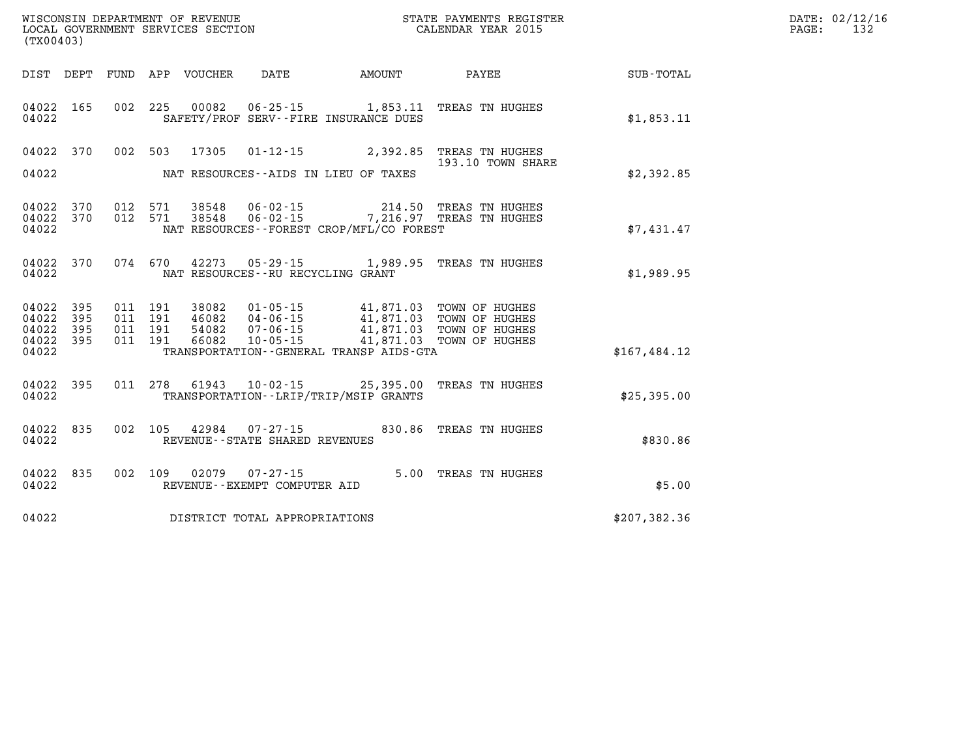| (TX00403)              |     |  |                                         |                                          | WISCONSIN DEPARTMENT OF REVENUE<br>LOCAL GOVERNMENT SERVICES SECTION<br>CALENDAR YEAR 2015                                                                                                                                                                                                       |                                                             | DATE: 02/12/16<br>PAGE:<br>132 |
|------------------------|-----|--|-----------------------------------------|------------------------------------------|--------------------------------------------------------------------------------------------------------------------------------------------------------------------------------------------------------------------------------------------------------------------------------------------------|-------------------------------------------------------------|--------------------------------|
|                        |     |  |                                         |                                          |                                                                                                                                                                                                                                                                                                  | DIST DEPT FUND APP VOUCHER DATE AMOUNT PAYEE PATE SUB-TOTAL |                                |
| 04022 165<br>04022     |     |  |                                         | SAFETY/PROF SERV--FIRE INSURANCE DUES    | 002 225 00082 06-25-15 1,853.11 TREAS TN HUGHES                                                                                                                                                                                                                                                  | \$1,853.11                                                  |                                |
|                        |     |  |                                         |                                          | 04022 370 002 503 17305 01-12-15 2,392.85 TREAS TN HUGHES<br>193.10 TOWN SHARE                                                                                                                                                                                                                   |                                                             |                                |
| 04022                  |     |  |                                         | NAT RESOURCES--AIDS IN LIEU OF TAXES     |                                                                                                                                                                                                                                                                                                  | \$2,392.85                                                  |                                |
| 04022                  |     |  |                                         | NAT RESOURCES--FOREST CROP/MFL/CO FOREST | 04022 370 012 571 38548 06-02-15 214.50 TREAS TN HUGHES<br>04022 370 012 571 38548 06-02-15 7,216.97 TREAS TN HUGHES                                                                                                                                                                             | \$7,431.47                                                  |                                |
|                        |     |  |                                         |                                          |                                                                                                                                                                                                                                                                                                  |                                                             |                                |
|                        |     |  | 04022 NAT RESOURCES--RU RECYCLING GRANT |                                          | 04022 370 074 670 42273 05-29-15 1,989.95 TREAS TN HUGHES                                                                                                                                                                                                                                        | \$1,989.95                                                  |                                |
| 04022 395<br>04022     | 395 |  |                                         |                                          |                                                                                                                                                                                                                                                                                                  |                                                             |                                |
| 04022 395<br>04022 395 |     |  |                                         |                                          | $\begin{tabular}{cccccc} 011 & 191 & 38082 & 01-05-15 & & 41,871.03 & TOWN OF HUGHES \\ 011 & 191 & 46082 & 04-06-15 & & 41,871.03 & TOWN OF HUGHES \\ 011 & 191 & 54082 & 07-06-15 & & 41,871.03 & TOWN OF HUGHES \\ 011 & 191 & 66082 & 10-05-15 & & 41,871.03 & TOWN OF HUGHES \end{tabular}$ |                                                             |                                |
| 04022                  |     |  |                                         | TRANSPORTATION - GENERAL TRANSP AIDS-GTA |                                                                                                                                                                                                                                                                                                  | \$167,484.12                                                |                                |
| 04022                  |     |  |                                         | TRANSPORTATION - - LRIP/TRIP/MSIP GRANTS | 04022 395 011 278 61943 10-02-15 25,395.00 TREAS TN HUGHES                                                                                                                                                                                                                                       | \$25,395.00                                                 |                                |
| 04022 835<br>04022     |     |  | REVENUE--STATE SHARED REVENUES          |                                          | 002 105 42984 07-27-15 830.86 TREAS TN HUGHES                                                                                                                                                                                                                                                    | \$830.86                                                    |                                |
| 04022                  |     |  | REVENUE--EXEMPT COMPUTER AID            |                                          | 04022 835 002 109 02079 07-27-15 5.00 TREAS TN HUGHES                                                                                                                                                                                                                                            | \$5.00                                                      |                                |
|                        |     |  | 04022 DISTRICT TOTAL APPROPRIATIONS     |                                          |                                                                                                                                                                                                                                                                                                  | \$207,382.36                                                |                                |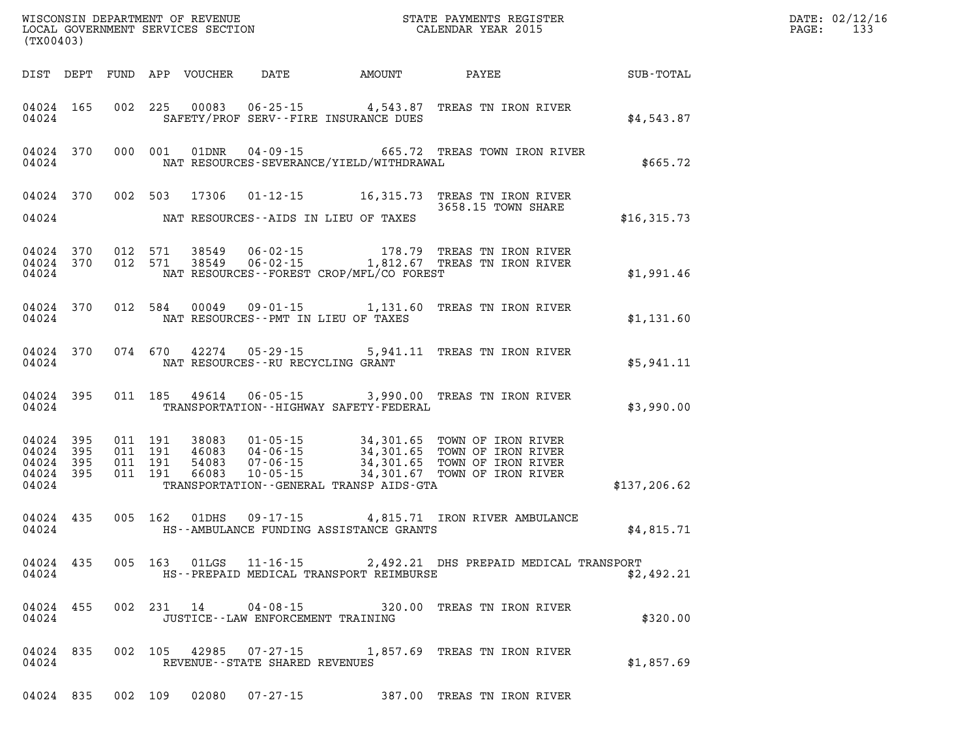| (TX00403) |           |  |  |  |                                         |                                                 |                                                                                                                                                                                                                                                                                                                                                                                                                                                                                                                                                                     |             | DATE: 02/12/16<br>PAGE: 133 |
|-----------|-----------|--|--|--|-----------------------------------------|-------------------------------------------------|---------------------------------------------------------------------------------------------------------------------------------------------------------------------------------------------------------------------------------------------------------------------------------------------------------------------------------------------------------------------------------------------------------------------------------------------------------------------------------------------------------------------------------------------------------------------|-------------|-----------------------------|
|           |           |  |  |  |                                         |                                                 | DIST DEPT FUND APP VOUCHER DATE AMOUNT PAYEE SUB-TOTAL                                                                                                                                                                                                                                                                                                                                                                                                                                                                                                              |             |                             |
|           |           |  |  |  |                                         | 04024 SAFETY/PROF SERV--FIRE INSURANCE DUES     | 04024 165 002 225 00083 06-25-15 4,543.87 TREAS TN IRON RIVER                                                                                                                                                                                                                                                                                                                                                                                                                                                                                                       | \$4,543.87  |                             |
|           |           |  |  |  |                                         | 04024 NAT RESOURCES-SEVERANCE/YIELD/WITHDRAWAL  | 04024 370 000 001 01DNR 04-09-15 665.72 TREAS TOWN IRON RIVER                                                                                                                                                                                                                                                                                                                                                                                                                                                                                                       | \$665.72    |                             |
|           |           |  |  |  |                                         | 04024 NAT RESOURCES--AIDS IN LIEU OF TAXES      | 04024 370 002 503 17306 01-12-15 16,315.73 TREAS TN IRON RIVER<br>3658.15 TOWN SHARE                                                                                                                                                                                                                                                                                                                                                                                                                                                                                | \$16,315.73 |                             |
|           |           |  |  |  |                                         | 04024 NAT RESOURCES--FOREST CROP/MFL/CO FOREST  | 04024 370 012 571 38549 06-02-15 178.79 TREAS TN IRON RIVER 04024 370 012 571 38549 06-02-15 1,812.67 TREAS TN IRON RIVER                                                                                                                                                                                                                                                                                                                                                                                                                                           | \$1,991.46  |                             |
|           |           |  |  |  |                                         | 04024 NAT RESOURCES--PMT IN LIEU OF TAXES       | 04024 370 012 584 00049 09-01-15 1,131.60 TREAS TN IRON RIVER                                                                                                                                                                                                                                                                                                                                                                                                                                                                                                       | \$1,131.60  |                             |
|           |           |  |  |  | 04024 NAT RESOURCES--RU RECYCLING GRANT |                                                 | 04024 370 074 670 42274 05-29-15 5,941.11 TREAS TN IRON RIVER                                                                                                                                                                                                                                                                                                                                                                                                                                                                                                       | \$5,941.11  |                             |
|           |           |  |  |  |                                         | 04024 TRANSPORTATION - HIGHWAY SAFETY - FEDERAL | 04024 395 011 185 49614 06-05-15 3,990.00 TREAS TN IRON RIVER                                                                                                                                                                                                                                                                                                                                                                                                                                                                                                       | \$3,990.00  |                             |
|           |           |  |  |  |                                         |                                                 | $\begin{array}{cccccccc} 04024 & 395 & 011 & 191 & 38083 & 01\cdot 05\cdot 15 & 34\,, 301\,.65 & \textrm{TOWN OF IRON RIVER} \\ 04024 & 395 & 011 & 191 & 46083 & 04\cdot 06\cdot 15 & 34\,, 301\,.65 & \textrm{TOWN OF IRON RIVER} \\ 04024 & 395 & 011 & 191 & 54083 & 07\cdot 06\cdot 15 & 34\,, 301\,.65 & \textrm{TOWN OF IRON RIVER} \\ $<br>$\begin{array}{cccc} 04024 & 395 & 011 & 191 & 66083 & 10\cdot 05\cdot 15 & 34,301.67 & \text{TOWN OF IRON RIVER} \\ 04024 & \text{TRANSPORTATION - GENERAL TRANSP ANDS-GTA} & \text{$$137,206.62$} \end{array}$ |             |                             |
|           |           |  |  |  |                                         |                                                 | 04024 435 005 162 01DHS 09-17-15 4,815.71 IRON RIVER AMBULANCE<br>4,815.71 EXAMPULANCE HEST-AMBULANCE FUNDING ASSISTANCE GRANTS \$4,815.71 EXAMPLE \$4,815.71                                                                                                                                                                                                                                                                                                                                                                                                       |             |                             |
| 04024     |           |  |  |  |                                         | HS--PREPAID MEDICAL TRANSPORT REIMBURSE         | 04024 435 005 163 01LGS 11-16-15 2,492.21 DHS PREPAID MEDICAL TRANSPORT                                                                                                                                                                                                                                                                                                                                                                                                                                                                                             | \$2,492.21  |                             |
| 04024     | 04024 455 |  |  |  | JUSTICE -- LAW ENFORCEMENT TRAINING     |                                                 | 002 231 14 04-08-15 320.00 TREAS TN IRON RIVER                                                                                                                                                                                                                                                                                                                                                                                                                                                                                                                      | \$320.00    |                             |
| 04024     | 04024 835 |  |  |  | REVENUE--STATE SHARED REVENUES          |                                                 | 002 105 42985 07-27-15 1,857.69 TREAS TN IRON RIVER                                                                                                                                                                                                                                                                                                                                                                                                                                                                                                                 | \$1,857.69  |                             |
|           |           |  |  |  |                                         |                                                 | 04024 835 002 109 02080 07-27-15 387.00 TREAS TN IRON RIVER                                                                                                                                                                                                                                                                                                                                                                                                                                                                                                         |             |                             |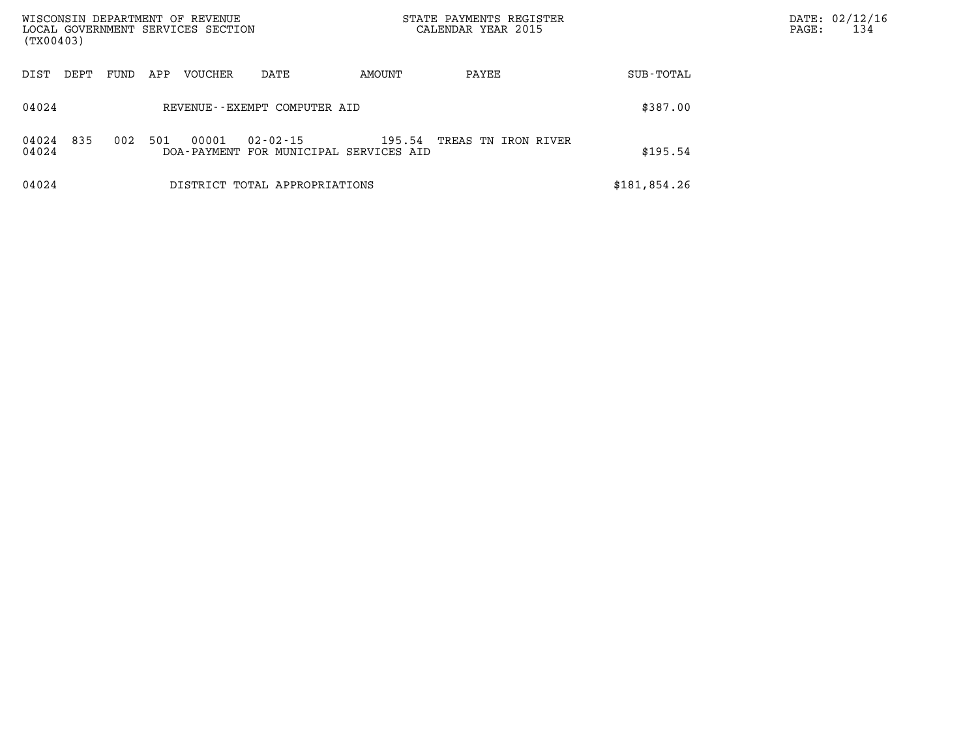| (TX00403)      |      |      |     | WISCONSIN DEPARTMENT OF REVENUE<br>LOCAL GOVERNMENT SERVICES SECTION |                                                    |        | STATE PAYMENTS REGISTER<br>CALENDAR YEAR 2015 |              | PAGE: | DATE: 02/12/16<br>134 |
|----------------|------|------|-----|----------------------------------------------------------------------|----------------------------------------------------|--------|-----------------------------------------------|--------------|-------|-----------------------|
| DIST           | DEPT | FUND | APP | <b>VOUCHER</b>                                                       | DATE                                               | AMOUNT | PAYEE                                         | SUB-TOTAL    |       |                       |
| 04024          |      |      |     |                                                                      | REVENUE--EXEMPT COMPUTER AID                       |        |                                               | \$387.00     |       |                       |
| 04024<br>04024 | 835  | 002  | 501 | 00001                                                                | 02-02-15<br>DOA-PAYMENT FOR MUNICIPAL SERVICES AID | 195.54 | TREAS TN IRON RIVER                           | \$195.54     |       |                       |
| 04024          |      |      |     |                                                                      | DISTRICT TOTAL APPROPRIATIONS                      |        |                                               | \$181,854.26 |       |                       |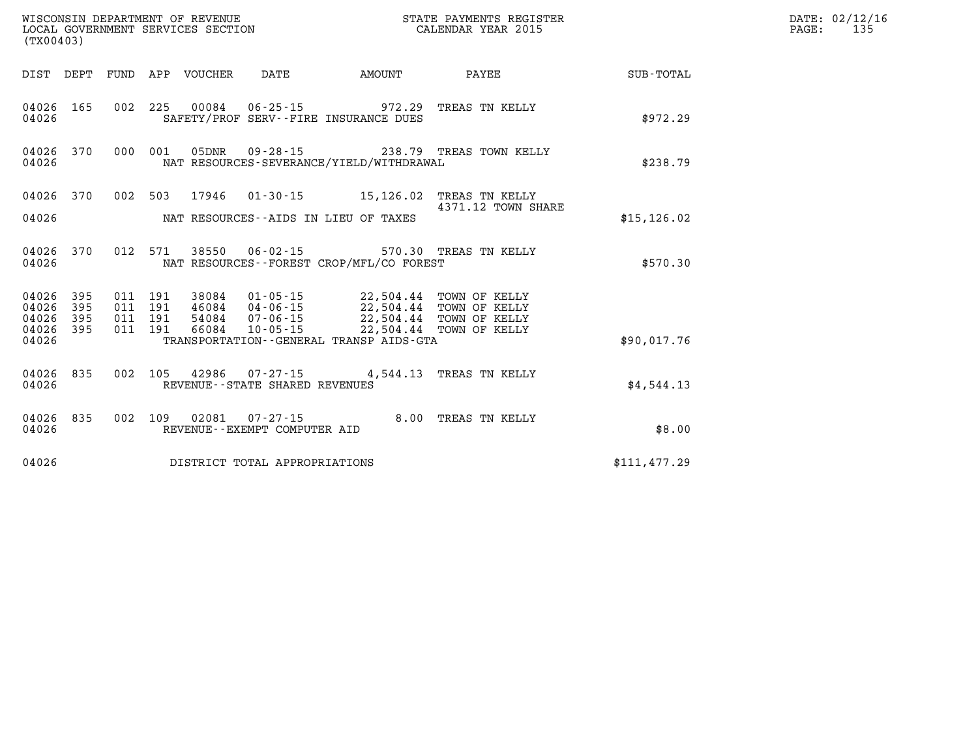| (TX00403)          |                               |                               |                                 | WISCONSIN DEPARTMENT OF REVENUE<br>LOCAL GOVERNMENT SERVICES SECTION | STATE PAYMENTS REGISTER<br>CALENDAR YEAR 2015                                                                                                                                         |                                                        |              | DATE: 02/12/16<br>135<br>$\mathtt{PAGE}$ : |
|--------------------|-------------------------------|-------------------------------|---------------------------------|----------------------------------------------------------------------|---------------------------------------------------------------------------------------------------------------------------------------------------------------------------------------|--------------------------------------------------------|--------------|--------------------------------------------|
|                    |                               |                               | DIST DEPT FUND APP VOUCHER DATE |                                                                      | <b>AMOUNT</b>                                                                                                                                                                         | PAYEE                                                  | SUB-TOTAL    |                                            |
| 04026              |                               |                               |                                 |                                                                      | 04026 165 002 225 00084 06-25-15 972.29 TREAS TN KELLY<br>SAFETY/PROF SERV--FIRE INSURANCE DUES                                                                                       |                                                        | \$972.29     |                                            |
| 04026              | 04026 370                     |                               |                                 |                                                                      | NAT RESOURCES-SEVERANCE/YIELD/WITHDRAWAL                                                                                                                                              | 000 001 05DNR 09-28-15 238.79 TREAS TOWN KELLY         | \$238.79     |                                            |
| 04026              | 04026 370                     |                               |                                 |                                                                      | 002 503 17946 01-30-15 15,126.02 TREAS TN KELLY<br>NAT RESOURCES--AIDS IN LIEU OF TAXES                                                                                               | 4371.12 TOWN SHARE                                     | \$15, 126.02 |                                            |
| 04026              |                               |                               |                                 |                                                                      | NAT RESOURCES - - FOREST CROP/MFL/CO FOREST                                                                                                                                           | 04026 370 012 571 38550 06-02-15 570.30 TREAS TN KELLY | \$570.30     |                                            |
| 04026 395<br>04026 | 04026 395<br>395<br>04026 395 | 011 191<br>011 191<br>011 191 |                                 |                                                                      | 38084  01-05-15  22,504.44  TOWN OF KELLY<br>46084  04-06-15  22,504.44  TOWN OF KELLY<br>54084  07-06-15  22,504.44  TOWN OF KELLY<br>011 191 66084 10-05-15 22,504.44 TOWN OF KELLY |                                                        |              |                                            |
| 04026              |                               |                               |                                 |                                                                      | TRANSPORTATION--GENERAL TRANSP AIDS-GTA                                                                                                                                               |                                                        | \$90,017.76  |                                            |
| 04026              | 04026 835                     |                               |                                 | REVENUE - - STATE SHARED REVENUES                                    | 002 105 42986 07-27-15 4,544.13 TREAS TN KELLY                                                                                                                                        |                                                        | \$4,544.13   |                                            |
| 04026              | 04026 835                     |                               |                                 | REVENUE--EXEMPT COMPUTER AID                                         | 002 109 02081 07-27-15 8.00 TREAS TN KELLY                                                                                                                                            |                                                        | \$8.00       |                                            |
| 04026              |                               |                               |                                 | DISTRICT TOTAL APPROPRIATIONS                                        |                                                                                                                                                                                       |                                                        | \$111,477.29 |                                            |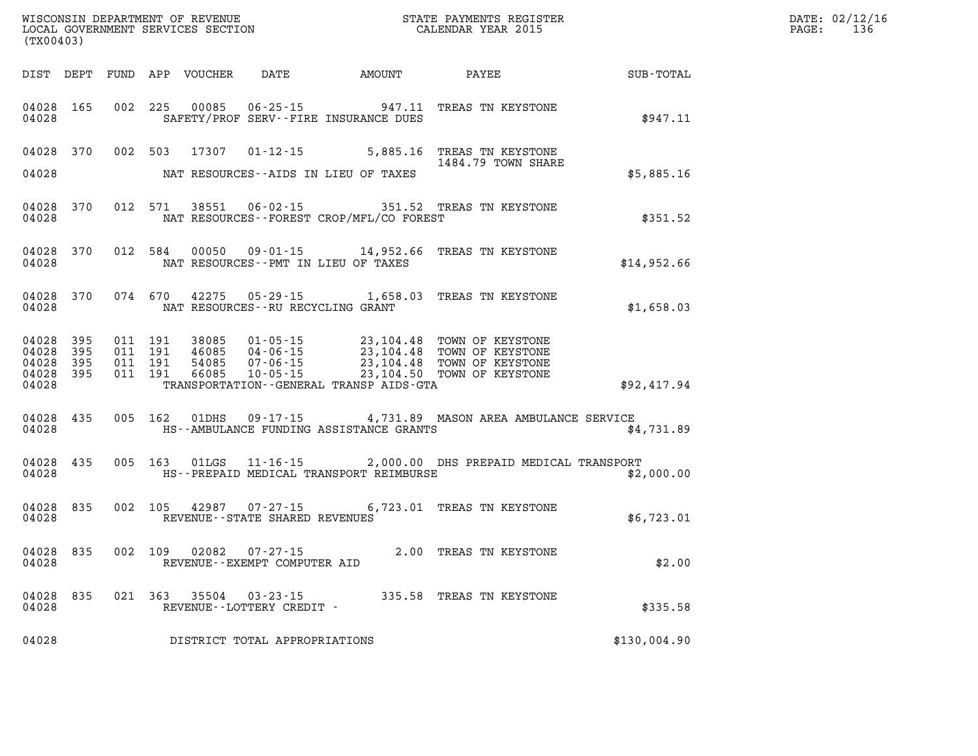| DATE: | 02/12/16 |
|-------|----------|
| PAGE: | 136      |

| (TX00403)          |                                     |                                          |               |                                          |                                              |                                                                                                                                                                                              |              | DATE: 02/12/1<br>136<br>$\mathtt{PAGE:}$ |
|--------------------|-------------------------------------|------------------------------------------|---------------|------------------------------------------|----------------------------------------------|----------------------------------------------------------------------------------------------------------------------------------------------------------------------------------------------|--------------|------------------------------------------|
|                    |                                     |                                          |               |                                          | DIST DEPT FUND APP VOUCHER DATE AMOUNT PAYEE |                                                                                                                                                                                              | SUB-TOTAL    |                                          |
| 04028              | 04028 165                           | 002 225                                  | 00085         |                                          | SAFETY/PROF SERV--FIRE INSURANCE DUES        | 06-25-15 947.11 TREAS TN KEYSTONE                                                                                                                                                            | \$947.11     |                                          |
|                    | 04028 370                           |                                          | 002 503 17307 |                                          |                                              | 01-12-15 5,885.16 TREAS TN KEYSTONE<br>1484.79 TOWN SHARE                                                                                                                                    |              |                                          |
| 04028              |                                     |                                          |               |                                          | NAT RESOURCES--AIDS IN LIEU OF TAXES         |                                                                                                                                                                                              | \$5,885.16   |                                          |
| 04028              | 04028 370                           | 012 571                                  | 38551         |                                          | NAT RESOURCES - - FOREST CROP/MFL/CO FOREST  | 06-02-15 351.52 TREAS TN KEYSTONE                                                                                                                                                            | \$351.52     |                                          |
| 04028              | 04028 370                           |                                          |               |                                          | NAT RESOURCES -- PMT IN LIEU OF TAXES        | 012 584 00050 09-01-15 14,952.66 TREAS TN KEYSTONE                                                                                                                                           | \$14,952.66  |                                          |
| 04028              | 04028 370                           |                                          |               |                                          | NAT RESOURCES - - RU RECYCLING GRANT         | 074 670 42275 05-29-15 1,658.03 TREAS TN KEYSTONE                                                                                                                                            | \$1,658.03   |                                          |
| 04028 395<br>04028 | 04028 395<br>04028 395<br>04028 395 | 011 191<br>011 191<br>011 191<br>011 191 |               |                                          | TRANSPORTATION - - GENERAL TRANSP AIDS - GTA | 38085  01-05-15  23,104.48  TOWN OF KEYSTONE<br>46085  04-06-15  23,104.48  TOWN OF KEYSTONE<br>54085  07-06-15  23,104.48  TOWN OF KEYSTONE<br>66085  10-05-15  23,104.50  TOWN OF KEYSTONE | \$92,417.94  |                                          |
| 04028              | 04028 435                           |                                          | 005 162 01DHS |                                          | HS--AMBULANCE FUNDING ASSISTANCE GRANTS      | $09 - 17 - 15$ 4,731.89 MASON AREA AMBULANCE SERVICE                                                                                                                                         | \$4,731.89   |                                          |
| 04028              | 04028 435                           |                                          |               |                                          | HS--PREPAID MEDICAL TRANSPORT REIMBURSE      | 005 163 01LGS 11-16-15 2,000.00 DHS PREPAID MEDICAL TRANSPORT                                                                                                                                | \$2,000.00   |                                          |
| 04028              | 04028 835                           |                                          |               | REVENUE--STATE SHARED REVENUES           |                                              | 002 105 42987 07-27-15 6,723.01 TREAS TN KEYSTONE                                                                                                                                            | \$6,723.01   |                                          |
| 04028 835<br>04028 |                                     |                                          | 002 109 02082 | 07-27-15<br>REVENUE--EXEMPT COMPUTER AID |                                              | 2.00 TREAS TN KEYSTONE                                                                                                                                                                       | \$2.00       |                                          |
| 04028<br>04028     | 835                                 |                                          |               | REVENUE--LOTTERY CREDIT -                |                                              | 021 363 35504 03-23-15 335.58 TREAS TN KEYSTONE                                                                                                                                              | \$335.58     |                                          |
| 04028              |                                     |                                          |               | DISTRICT TOTAL APPROPRIATIONS            |                                              |                                                                                                                                                                                              | \$130,004.90 |                                          |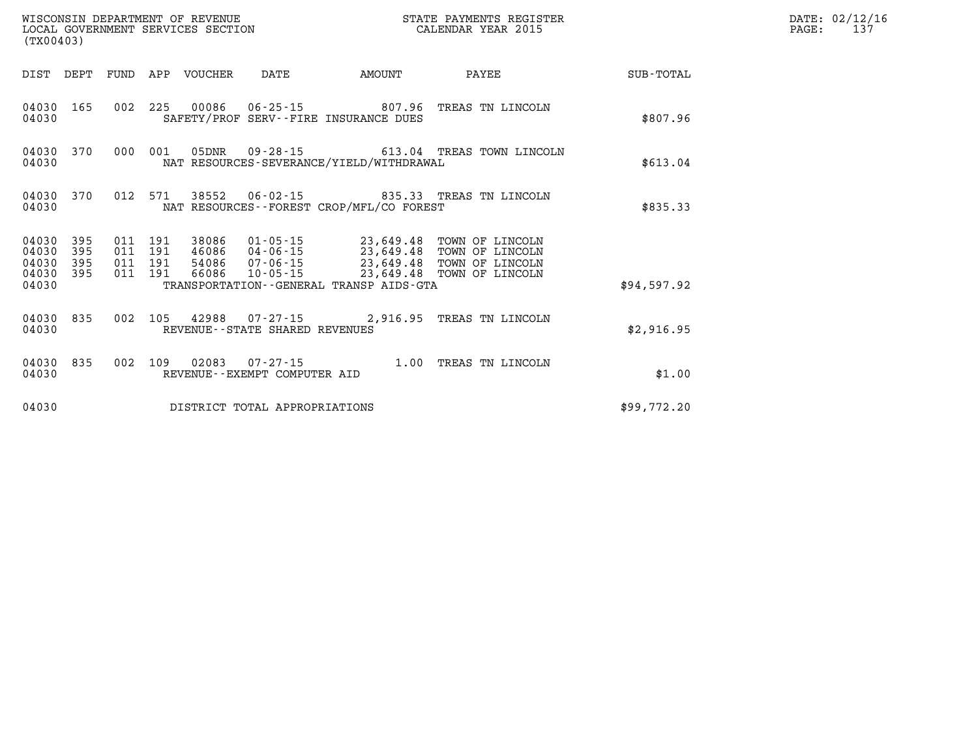| (TX00403)                        |                          |                          |                          | WISCONSIN DEPARTMENT OF REVENUE<br>LOCAL GOVERNMENT SERVICES SECTION |                                                     | STATE PAYMENTS REGISTER<br>CALENDAR YEAR 2015 |                                                                                                                  |             |
|----------------------------------|--------------------------|--------------------------|--------------------------|----------------------------------------------------------------------|-----------------------------------------------------|-----------------------------------------------|------------------------------------------------------------------------------------------------------------------|-------------|
| DIST                             | DEPT                     | FUND APP                 |                          | VOUCHER                                                              | DATE                                                | AMOUNT                                        | PAYEE                                                                                                            | SUB-TOTAL   |
| 04030<br>04030                   | 165                      | 002                      | 225                      | 00086                                                                |                                                     | SAFETY/PROF SERV--FIRE INSURANCE DUES         | 06-25-15 807.96 TREAS TN LINCOLN                                                                                 | \$807.96    |
| 04030<br>04030                   | 370                      | 000                      | 001                      | 05DNR                                                                |                                                     | NAT RESOURCES-SEVERANCE/YIELD/WITHDRAWAL      | 09-28-15 613.04 TREAS TOWN LINCOLN                                                                               | \$613.04    |
| 04030<br>04030                   | 370                      | 012                      | 571                      | 38552                                                                | 06-02-15                                            | NAT RESOURCES - - FOREST CROP/MFL/CO FOREST   | 835.33 TREAS TN LINCOLN                                                                                          | \$835.33    |
| 04030<br>04030<br>04030<br>04030 | 395<br>395<br>395<br>395 | 011<br>011<br>011<br>011 | 191<br>191<br>191<br>191 | 38086<br>54086<br>66086                                              | 01-05-15<br>46086  04-06-15<br>07-06-15<br>10-05-15 |                                               | 23,649.48 TOWN OF LINCOLN<br>23,649.48 TOWN OF LINCOLN<br>23,649.48 TOWN OF LINCOLN<br>23,649.48 TOWN OF LINCOLN |             |
| 04030                            |                          |                          |                          |                                                                      |                                                     | TRANSPORTATION--GENERAL TRANSP AIDS-GTA       |                                                                                                                  | \$94,597.92 |
| 04030<br>04030                   | 835                      | 002                      | 105                      | 42988                                                                | REVENUE - - STATE SHARED REVENUES                   |                                               | 07-27-15 2,916.95 TREAS TN LINCOLN                                                                               | \$2,916.95  |
| 04030<br>04030                   | 835                      | 002                      | 109                      | 02083                                                                | $07 - 27 - 15$<br>REVENUE--EXEMPT COMPUTER AID      | 1.00                                          | TREAS TN LINCOLN                                                                                                 | \$1.00      |
| 04030                            |                          |                          |                          |                                                                      | DISTRICT TOTAL APPROPRIATIONS                       |                                               |                                                                                                                  | \$99,772.20 |

**DATE: 02/12/16<br>PAGE: 137**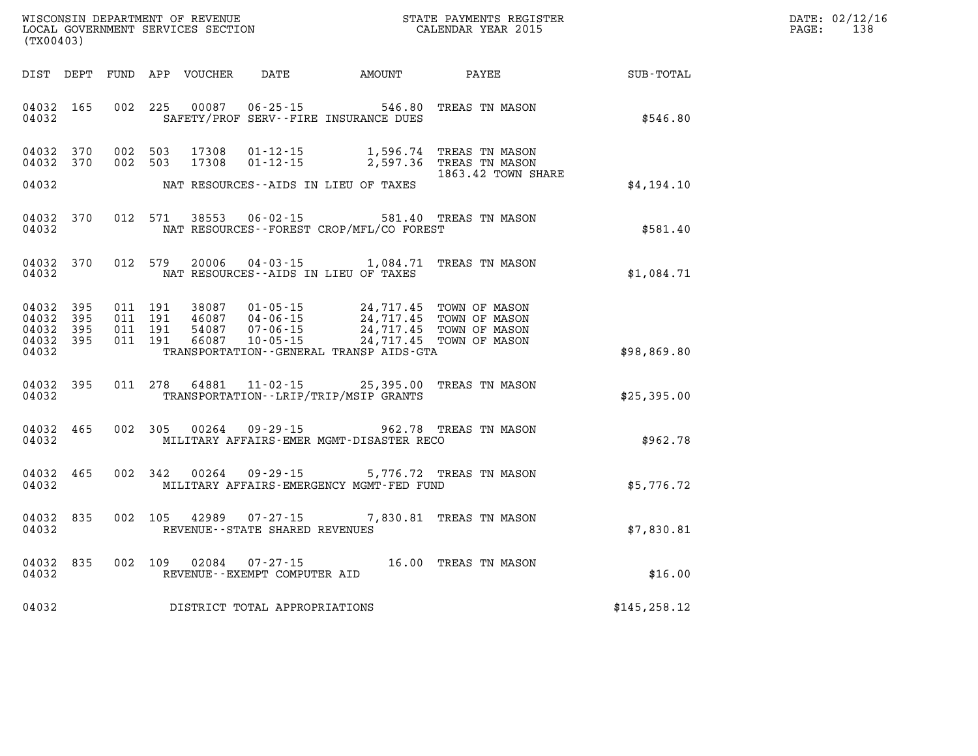| DATE: | 02/12/16 |
|-------|----------|
| PAGE: | 138      |

| WISCONSIN DEPARTMENT OF REVENUE<br>LOCAL GOVERNMENT SERVICES SECTION<br>(TX00403)                 |                                                                                                                                                                                 |                                                  | STATE PAYMENTS REGISTER<br>CALENDAR YEAR 2015                    |               |
|---------------------------------------------------------------------------------------------------|---------------------------------------------------------------------------------------------------------------------------------------------------------------------------------|--------------------------------------------------|------------------------------------------------------------------|---------------|
| DIST<br>DEPT<br>FUND                                                                              | APP<br>VOUCHER<br>DATE                                                                                                                                                          | AMOUNT                                           | PAYEE                                                            | SUB-TOTAL     |
| 04032<br>165<br>002<br>04032                                                                      | 225<br>00087<br>$06 - 25 - 15$<br>SAFETY/PROF SERV--FIRE INSURANCE DUES                                                                                                         | 546.80                                           | TREAS TN MASON                                                   | \$546.80      |
| 370<br>002<br>04032<br>370<br>002<br>04032                                                        | 503<br>17308<br>$01 - 12 - 15$<br>503<br>17308<br>$01 - 12 - 15$                                                                                                                | 1,596.74<br>2,597.36                             | TREAS TN MASON<br>TREAS TN MASON<br>1863.42 TOWN SHARE           |               |
| 04032                                                                                             | NAT RESOURCES -- AIDS IN LIEU OF TAXES                                                                                                                                          |                                                  |                                                                  | \$4,194.10    |
| 012<br>04032<br>370<br>04032                                                                      | 571<br>38553<br>$06 - 02 - 15$<br>NAT RESOURCES - - FOREST CROP/MFL/CO FOREST                                                                                                   | 581.40                                           | TREAS TN MASON                                                   | \$581.40      |
| 012<br>04032<br>370<br>04032                                                                      | 579<br>20006<br>$04 - 03 - 15$<br>NAT RESOURCES--AIDS IN LIEU OF TAXES                                                                                                          | 1,084.71                                         | TREAS TN MASON                                                   | \$1,084.71    |
| 04032<br>395<br>011<br>04032<br>395<br>011<br>04032<br>395<br>011<br>04032<br>395<br>011<br>04032 | 191<br>38087<br>$01 - 05 - 15$<br>191<br>46087<br>$04 - 06 - 15$<br>191<br>54087<br>$07 - 06 - 15$<br>191<br>66087<br>$10 - 05 - 15$<br>TRANSPORTATION--GENERAL TRANSP AIDS-GTA | 24,717.45<br>24,717.45<br>24,717.45<br>24,717.45 | TOWN OF MASON<br>TOWN OF MASON<br>TOWN OF MASON<br>TOWN OF MASON | \$98,869.80   |
| 04032<br>395<br>011<br>04032                                                                      | 278<br>64881<br>$11 - 02 - 15$<br>TRANSPORTATION - - LRIP/TRIP/MSIP GRANTS                                                                                                      | 25,395.00                                        | TREAS TN MASON                                                   | \$25,395.00   |
| 465<br>002<br>04032<br>04032                                                                      | 305<br>00264<br>$09 - 29 - 15$<br>MILITARY AFFAIRS-EMER MGMT-DISASTER RECO                                                                                                      | 962.78                                           | TREAS TN MASON                                                   | \$962.78      |
| 04032<br>465<br>002<br>04032                                                                      | 342<br>00264<br>$09 - 29 - 15$<br>MILITARY AFFAIRS-EMERGENCY MGMT-FED FUND                                                                                                      | 5,776.72                                         | TREAS TN MASON                                                   | \$5,776.72    |
| 04032<br>835<br>002<br>04032                                                                      | 105<br>42989<br>$07 - 27 - 15$<br>REVENUE - - STATE SHARED REVENUES                                                                                                             | 7,830.81                                         | TREAS TN MASON                                                   | \$7,830.81    |
| 04032<br>835<br>002<br>04032                                                                      | 109<br>02084<br>$07 - 27 - 15$<br>REVENUE--EXEMPT COMPUTER AID                                                                                                                  | 16.00                                            | TREAS TN MASON                                                   | \$16.00       |
| 04032                                                                                             | DISTRICT TOTAL APPROPRIATIONS                                                                                                                                                   |                                                  |                                                                  | \$145, 258.12 |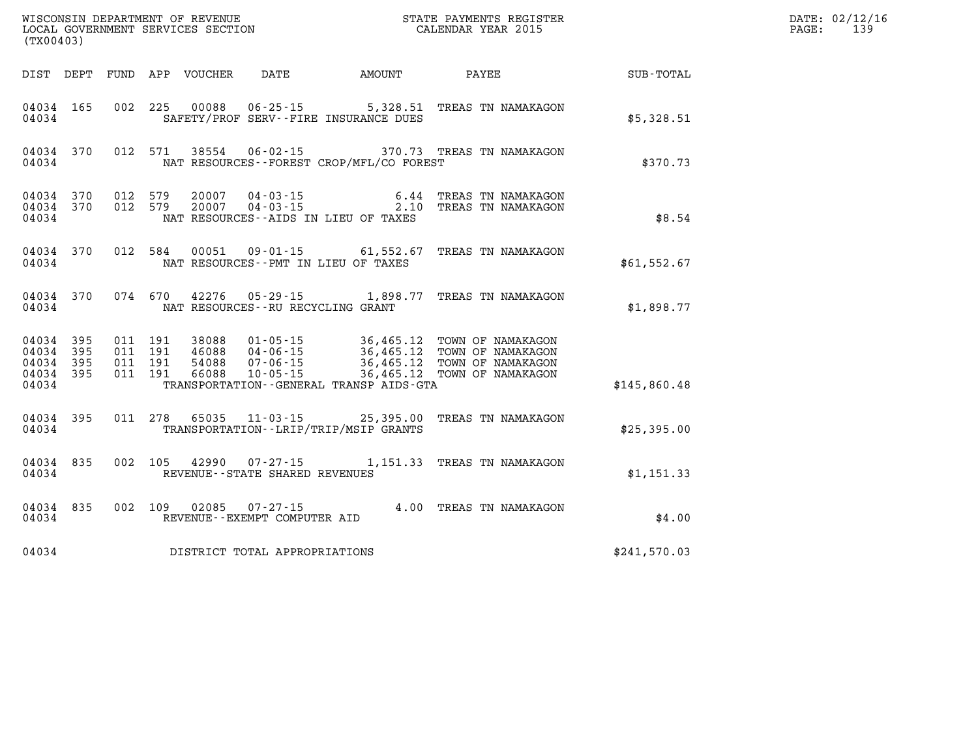| (TX00403)                                     |                     |                                          |                            |                                   |                                          |                                                                                                                                                                       |              | DATE: 02/12/16<br>139<br>$\mathtt{PAGE:}$ |
|-----------------------------------------------|---------------------|------------------------------------------|----------------------------|-----------------------------------|------------------------------------------|-----------------------------------------------------------------------------------------------------------------------------------------------------------------------|--------------|-------------------------------------------|
|                                               |                     |                                          | DIST DEPT FUND APP VOUCHER | DATE                              | <b>AMOUNT</b>                            | PAYEE                                                                                                                                                                 | SUB-TOTAL    |                                           |
| 04034 165<br>04034                            |                     |                                          |                            |                                   | SAFETY/PROF SERV--FIRE INSURANCE DUES    | 002 225 00088 06-25-15 5,328.51 TREAS TN NAMAKAGON                                                                                                                    | \$5,328.51   |                                           |
| 04034                                         | 04034 370           |                                          |                            |                                   | NAT RESOURCES--FOREST CROP/MFL/CO FOREST | 012 571 38554 06-02-15 370.73 TREAS TN NAMAKAGON                                                                                                                      | \$370.73     |                                           |
| 04034                                         | 04034 370           | 04034 370 012 579<br>012 579             |                            |                                   | NAT RESOURCES--AIDS IN LIEU OF TAXES     | 20007  04-03-15  6.44 TREAS TN NAMAKAGON<br>20007  04-03-15  2.10 TREAS TN NAMAKAGON                                                                                  | \$8.54       |                                           |
| 04034 370<br>04034                            |                     |                                          |                            |                                   | NAT RESOURCES--PMT IN LIEU OF TAXES      | 012 584 00051 09-01-15 61,552.67 TREAS TN NAMAKAGON                                                                                                                   | \$61,552.67  |                                           |
| 04034                                         | 04034 370           |                                          |                            |                                   | NAT RESOURCES--RU RECYCLING GRANT        | 074 670 42276 05-29-15 1,898.77 TREAS TN NAMAKAGON                                                                                                                    | \$1,898.77   |                                           |
| 04034 395<br>04034<br>04034<br>04034<br>04034 | 395<br>- 395<br>395 | 011 191<br>011 191<br>011 191<br>011 191 | 38088<br>66088             | 10-05-15                          | TRANSPORTATION--GENERAL TRANSP AIDS-GTA  | 01-05-15 36,465.12 TOWN OF NAMAKAGON<br>46088  04-06-15  36,465.12  TOWN OF NAMAKAGON<br>54088  07-06-15  36,465.12  TOWN OF NAMAKAGON<br>36,465.12 TOWN OF NAMAKAGON | \$145,860.48 |                                           |
| 04034 395<br>04034                            |                     | 011 278                                  |                            |                                   | TRANSPORTATION--LRIP/TRIP/MSIP GRANTS    | 65035  11-03-15  25,395.00  TREAS TN NAMAKAGON                                                                                                                        | \$25,395.00  |                                           |
| 04034 835<br>04034                            |                     | 002 105                                  |                            | REVENUE - - STATE SHARED REVENUES |                                          | 42990  07-27-15   1,151.33   TREAS TN NAMAKAGON                                                                                                                       | \$1,151.33   |                                           |
| 04034                                         | 04034 835           | 002 109                                  |                            | REVENUE--EXEMPT COMPUTER AID      |                                          | 4.00 TREAS TN NAMAKAGON                                                                                                                                               | \$4.00       |                                           |
| 04034                                         |                     |                                          |                            | DISTRICT TOTAL APPROPRIATIONS     |                                          |                                                                                                                                                                       | \$241,570.03 |                                           |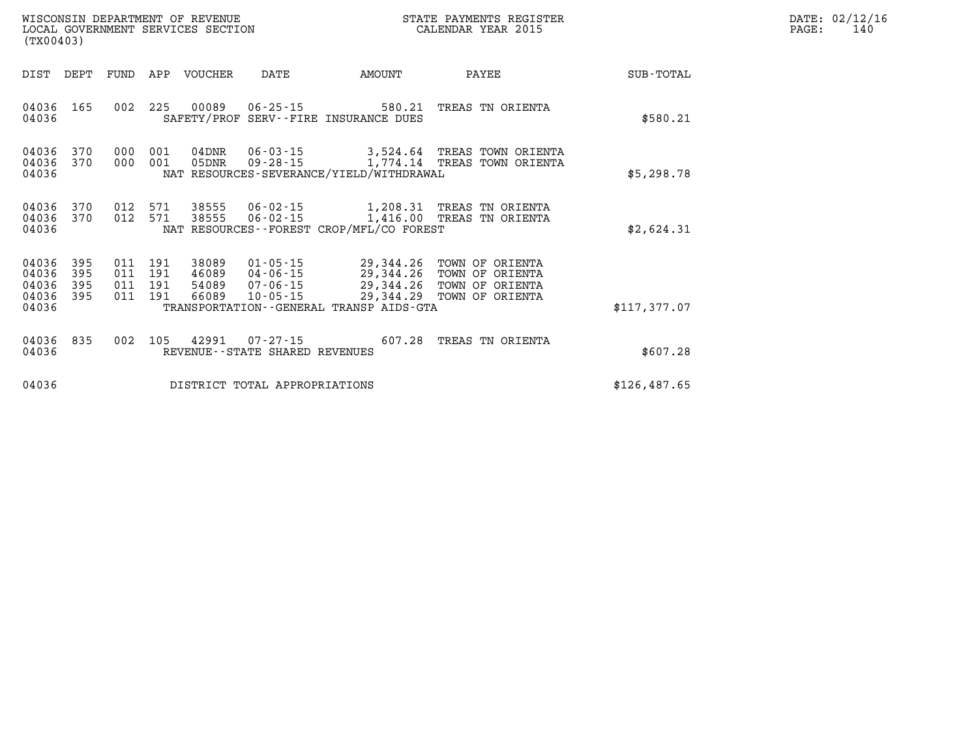| WISCONSIN DEPARTMENT OF REVENUE<br>LOCAL GOVERNMENT SERVICES SECTION<br>(TX00403) |                                           |                          |                              |                   |                                  |                                                  |                                                           | STATE PAYMENTS REGISTER<br>CALENDAR YEAR 2015                                                                                     |                  | DATE: 02/12/16<br>140<br>PAGE: |
|-----------------------------------------------------------------------------------|-------------------------------------------|--------------------------|------------------------------|-------------------|----------------------------------|--------------------------------------------------|-----------------------------------------------------------|-----------------------------------------------------------------------------------------------------------------------------------|------------------|--------------------------------|
|                                                                                   | DIST                                      | DEPT                     | FUND                         | APP               | VOUCHER                          | DATE                                             | AMOUNT                                                    | PAYEE                                                                                                                             | <b>SUB-TOTAL</b> |                                |
|                                                                                   | 04036<br>04036                            | 165                      | 002                          | 225               | 00089                            | 06-25-15                                         | 580.21<br>SAFETY/PROF SERV--FIRE INSURANCE DUES           | TREAS TN ORIENTA                                                                                                                  | \$580.21         |                                |
|                                                                                   | 04036<br>04036<br>04036                   | 370<br>370               | 000<br>000                   | 001<br>001        | 04DNR<br>05DNR                   | 06-03-15<br>$09 - 28 - 15$                       | NAT RESOURCES-SEVERANCE/YIELD/WITHDRAWAL                  | 3,524.64 TREAS TOWN ORIENTA<br>1,774.14 TREAS TOWN ORIENTA                                                                        | \$5,298.78       |                                |
|                                                                                   | 04036<br>04036<br>04036                   | 370<br>370               | 012 571                      |                   |                                  | 38555 06-02-15                                   | NAT RESOURCES--FOREST CROP/MFL/CO FOREST                  | 012 571 38555 06-02-15 1,208.31 TREAS TN ORIENTA<br>1,416.00 TREAS TN ORIENTA                                                     | \$2,624.31       |                                |
|                                                                                   | 04036<br>04036<br>04036<br>04036<br>04036 | 395<br>395<br>395<br>395 | 011<br>011<br>011 191<br>011 | 191<br>191<br>191 | 38089<br>46089<br>54089<br>66089 | $10 - 05 - 15$                                   | 29,344.29<br>TRANSPORTATION - - GENERAL TRANSP AIDS - GTA | 01-05-15 29,344.26 TOWN OF ORIENTA<br>04-06-15 29,344.26 TOWN OF ORIENTA<br>07-06-15 29,344.26 TOWN OF ORIENTA<br>TOWN OF ORIENTA | \$117,377.07     |                                |
|                                                                                   | 04036<br>04036                            | 835                      | 002                          | 105               | 42991                            | $07 - 27 - 15$<br>REVENUE--STATE SHARED REVENUES | 607.28                                                    | TREAS TN ORIENTA                                                                                                                  | \$607.28         |                                |
|                                                                                   | 04036                                     |                          |                              |                   |                                  | DISTRICT TOTAL APPROPRIATIONS                    |                                                           |                                                                                                                                   | \$126,487.65     |                                |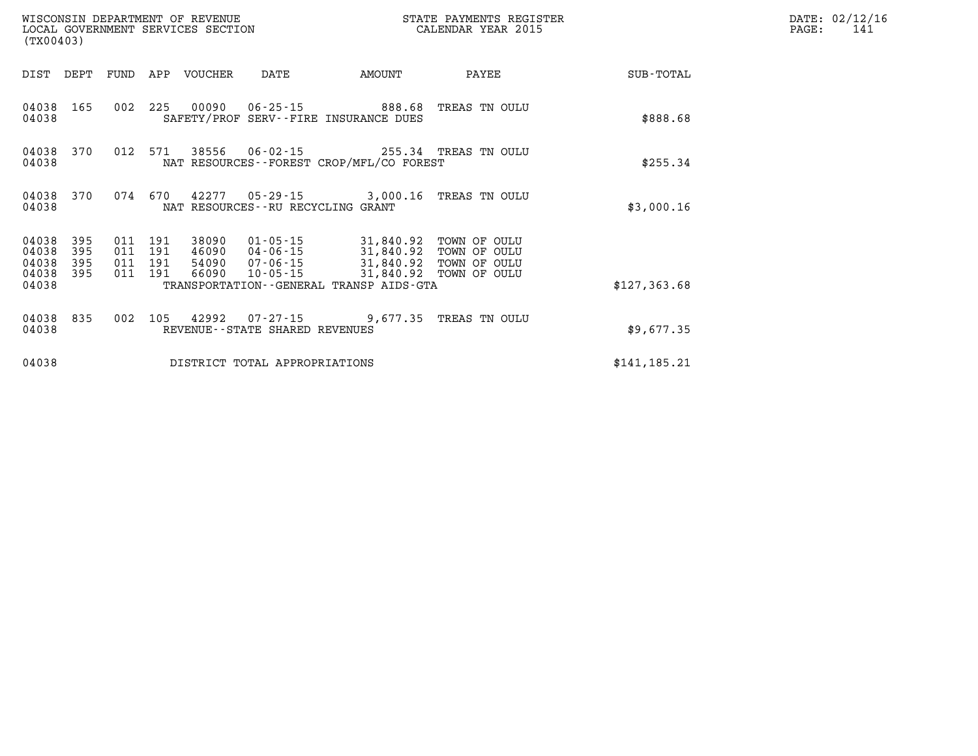| (TX00403)                                 |                          |     |                                          | WISCONSIN DEPARTMENT OF REVENUE | LOCAL GOVERNMENT SERVICES SECTION | STATE PAYMENTS REGISTER<br>CALENDAR YEAR 2015                                                                                                                                              |               |               | DATE: 02/12/16<br>141<br>PAGE: |
|-------------------------------------------|--------------------------|-----|------------------------------------------|---------------------------------|-----------------------------------|--------------------------------------------------------------------------------------------------------------------------------------------------------------------------------------------|---------------|---------------|--------------------------------|
|                                           | DIST DEPT FUND           |     |                                          | APP VOUCHER                     | DATE                              | AMOUNT                                                                                                                                                                                     | PAYEE         | SUB-TOTAL     |                                |
| 04038 165<br>04038                        |                          |     | 002 225                                  |                                 |                                   | 00090  06-25-15  888.68<br>SAFETY/PROF SERV--FIRE INSURANCE DUES                                                                                                                           | TREAS TN OULU | \$888.68      |                                |
| 04038                                     | 04038 370                |     | 012 571                                  |                                 |                                   | 38556  06-02-15  255.34  TREAS  TN OULU<br>NAT RESOURCES--FOREST CROP/MFL/CO FOREST                                                                                                        |               | \$255.34      |                                |
| 04038                                     | 04038 370                |     |                                          |                                 | NAT RESOURCES--RU RECYCLING GRANT | 074 670 42277 05-29-15 3,000.16 TREAS TN OULU                                                                                                                                              |               | \$3,000.16    |                                |
| 04038<br>04038<br>04038<br>04038<br>04038 | 395<br>395<br>395<br>395 |     | 011 191<br>011 191<br>011 191<br>011 191 | 38090<br>66090                  |                                   | 01-05-15 31,840.92 TOWN OF OULU<br>46090 04-06-15 31,840.92<br>54090  07-06-15  31,840.92  TOWN OF OULU<br>10-05-15 31,840.92 TOWN OF OULU<br>TRANSPORTATION - - GENERAL TRANSP AIDS - GTA | TOWN OF OULU  | \$127,363.68  |                                |
| 04038 835<br>04038                        |                          | 002 | 105                                      |                                 | REVENUE--STATE SHARED REVENUES    | 42992  07-27-15  9,677.35  TREAS TN OULU                                                                                                                                                   |               | \$9,677.35    |                                |
| 04038                                     |                          |     |                                          |                                 | DISTRICT TOTAL APPROPRIATIONS     |                                                                                                                                                                                            |               | \$141, 185.21 |                                |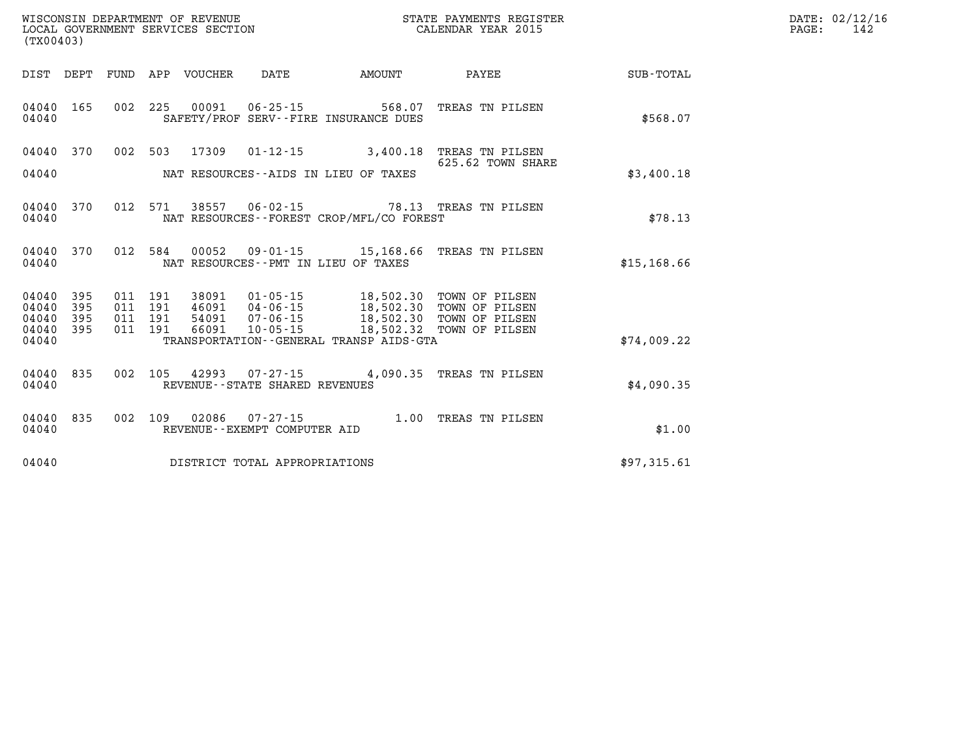| DATE: | 02/12/16 |
|-------|----------|
| PAGE: | 142      |

| (TX00403)      |            |            | WISCONSIN DEPARTMENT OF REVENUE<br>LOCAL GOVERNMENT SERVICES SECTION | STATE PAYMENTS REGISTER<br>CALENDAR YEAR 2015       |                                                 |                                      |                  |
|----------------|------------|------------|----------------------------------------------------------------------|-----------------------------------------------------|-------------------------------------------------|--------------------------------------|------------------|
| DIST           | DEPT       | FUND       | APP<br>VOUCHER                                                       | DATE                                                | AMOUNT                                          | PAYEE                                | <b>SUB-TOTAL</b> |
| 04040<br>04040 | 165        | 002        | 225<br>00091                                                         | $06 - 25 - 15$                                      | 568.07<br>SAFETY/PROF SERV--FIRE INSURANCE DUES | TREAS TN PILSEN                      | \$568.07         |
| 04040          | 370        | 002        | 503<br>17309                                                         | $01 - 12 - 15$                                      | 3,400.18                                        | TREAS TN PILSEN<br>625.62 TOWN SHARE |                  |
| 04040          |            |            |                                                                      |                                                     | NAT RESOURCES--AIDS IN LIEU OF TAXES            |                                      | \$3,400.18       |
| 04040<br>04040 | 370        | 012        | 571<br>38557                                                         | $06 - 02 - 15$                                      | NAT RESOURCES - - FOREST CROP/MFL/CO FOREST     | 78.13 TREAS TN PILSEN                | \$78.13          |
| 04040<br>04040 | 370        | 012        | 584                                                                  | NAT RESOURCES - - PMT IN LIEU OF TAXES              | 00052 09-01-15 15,168.66                        | TREAS TN PILSEN                      | \$15, 168.66     |
| 04040<br>04040 | 395<br>395 | 011<br>011 | 191<br>38091<br>191<br>46091                                         | $01 - 05 - 15$<br>$04 - 06 - 15$                    | 18,502.30<br>18,502.30                          | TOWN OF PILSEN<br>TOWN OF PILSEN     |                  |
| 04040<br>04040 | 395<br>395 | 011<br>011 | 191<br>54091<br>191<br>66091                                         | $07 - 06 - 15$<br>$10 - 05 - 15$                    | 18,502.30<br>18,502.32                          | TOWN OF PILSEN<br>TOWN OF PILSEN     |                  |
| 04040          |            |            |                                                                      |                                                     | TRANSPORTATION--GENERAL TRANSP AIDS-GTA         |                                      | \$74,009.22      |
| 04040<br>04040 | 835        | 002        | 105                                                                  | 42993 07-27-15<br>REVENUE - - STATE SHARED REVENUES | 4,090.35                                        | TREAS TN PILSEN                      | \$4,090.35       |
| 04040<br>04040 | 835        | 002        | 109<br>02086                                                         | $07 - 27 - 15$<br>REVENUE--EXEMPT COMPUTER AID      | 1.00                                            | TREAS TN PILSEN                      | \$1.00           |
| 04040          |            |            |                                                                      | DISTRICT TOTAL APPROPRIATIONS                       |                                                 |                                      | \$97,315.61      |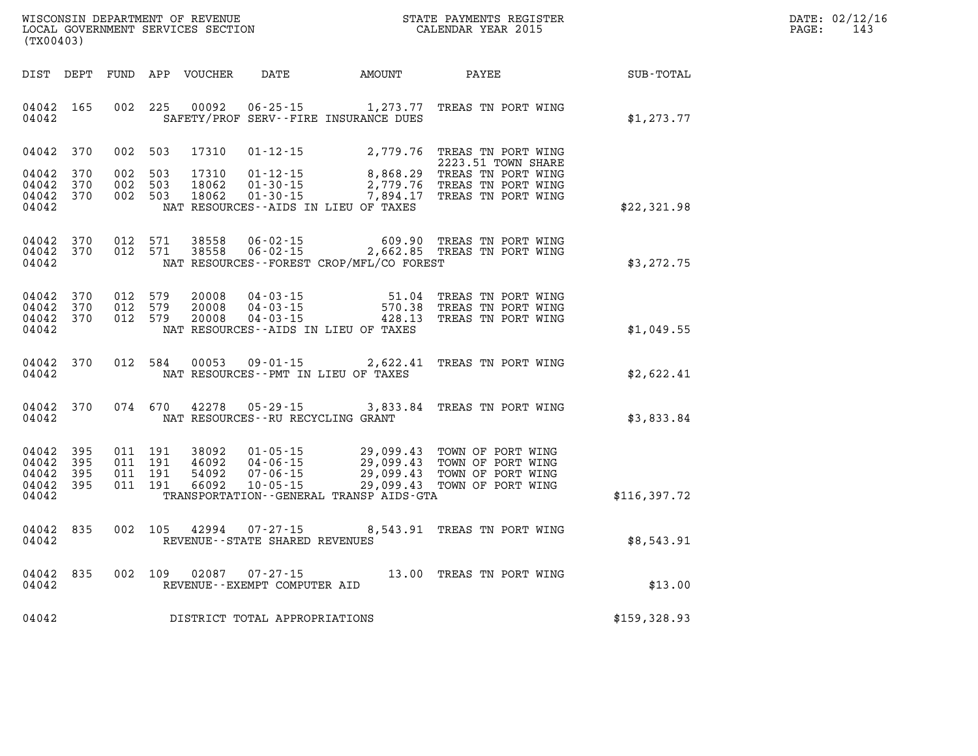| WISCONSIN DEPARTMENT OF REVENUE   | STATE PAYMENTS REGISTER | DATE: | : 02/12/16 |
|-----------------------------------|-------------------------|-------|------------|
| LOCAL GOVERNMENT SERVICES SECTION | CALENDAR YEAR 2015      | PAGE  | 14.        |

|                                           | LOCAL GOVERNMENT SERVICES SECTION<br>(TX00403) |     |                                          |                                  |                                                       |                                                                                                                                   | CALENDAR YEAR 2015                                                               |              | PAGE: | 143 |
|-------------------------------------------|------------------------------------------------|-----|------------------------------------------|----------------------------------|-------------------------------------------------------|-----------------------------------------------------------------------------------------------------------------------------------|----------------------------------------------------------------------------------|--------------|-------|-----|
| DIST DEPT                                 |                                                |     |                                          | FUND APP VOUCHER                 | DATE                                                  | AMOUNT                                                                                                                            | PAYEE                                                                            | SUB-TOTAL    |       |     |
| 04042 165<br>04042                        |                                                |     | 002 225                                  | 00092                            |                                                       | SAFETY/PROF SERV--FIRE INSURANCE DUES                                                                                             | 06-25-15 1,273.77 TREAS TN PORT WING                                             | \$1,273.77   |       |     |
| 04042 370                                 |                                                |     | 002 503                                  | 17310                            | 01-12-15                                              |                                                                                                                                   | 2,779.76 TREAS TN PORT WING<br>2223.51 TOWN SHARE                                |              |       |     |
| 04042<br>04042<br>04042 370<br>04042      | 370<br>370                                     | 002 | 503<br>002 503<br>002 503                | 17310<br>18062<br>18062          | $01 - 12 - 15$<br>$01 - 30 - 15$<br>$01 - 30 - 15$    | 2,779.76<br>7,894.17<br>NAT RESOURCES--AIDS IN LIEU OF TAXES                                                                      | 8,868.29 TREAS TN PORT WING<br>TREAS TN PORT WING<br>TREAS TN PORT WING          | \$22,321.98  |       |     |
| 04042<br>04042 370<br>04042               | 370                                            |     | 012 571<br>012 571                       | 38558<br>38558                   | $06 - 02 - 15$<br>$06 - 02 - 15$                      | 609.90<br>NAT RESOURCES--FOREST CROP/MFL/CO FOREST                                                                                | TREAS TN PORT WING<br>2,662.85 TREAS TN PORT WING                                | \$3,272.75   |       |     |
| 04042<br>04042<br>04042 370<br>04042      | 370<br>370                                     |     | 012 579<br>012 579<br>012 579            | 20008<br>20008<br>20008          | $04 - 03 - 15$<br>04-03-15<br>$04 - 03 - 15$          | 51.04<br>570.38<br>428.13<br>NAT RESOURCES--AIDS IN LIEU OF TAXES                                                                 | TREAS TN PORT WING<br>TREAS TN PORT WING<br>TREAS TN PORT WING                   | \$1,049.55   |       |     |
| 04042<br>04042                            | 370                                            |     | 012 584                                  | 00053                            | $09 - 01 - 15$                                        | NAT RESOURCES - PMT IN LIEU OF TAXES                                                                                              | 2,622.41 TREAS TN PORT WING                                                      | \$2,622.41   |       |     |
| 04042 370<br>04042                        |                                                |     | 074 670                                  | 42278                            | $05 - 29 - 15$<br>NAT RESOURCES -- RU RECYCLING GRANT |                                                                                                                                   | 3,833.84 TREAS TN PORT WING                                                      | \$3,833.84   |       |     |
| 04042<br>04042<br>04042<br>04042<br>04042 | 395<br>395<br>395<br>395                       |     | 011 191<br>011 191<br>011 191<br>011 191 | 38092<br>46092<br>54092<br>66092 | $04 - 06 - 15$<br>$07 - 06 - 15$<br>$10 - 05 - 15$    | $01 - 05 - 15$<br>$04 - 06 - 15$<br>$29.099.43$<br>29,099.43<br>29,099.43<br>29,099.43<br>TRANSPORTATION--GENERAL TRANSP AIDS-GTA | TOWN OF PORT WING<br>TOWN OF PORT WING<br>TOWN OF PORT WING<br>TOWN OF PORT WING | \$116,397.72 |       |     |
| 04042 835<br>04042                        |                                                |     | 002 105                                  | 42994                            | 07 - 27 - 15<br>REVENUE--STATE SHARED REVENUES        |                                                                                                                                   | 8,543.91 TREAS TN PORT WING                                                      | \$8,543.91   |       |     |
| 04042<br>04042                            | 835                                            |     | 002 109                                  | 02087                            | $07 - 27 - 15$<br>REVENUE--EXEMPT COMPUTER AID        |                                                                                                                                   | 13.00 TREAS TN PORT WING                                                         | \$13.00      |       |     |
| 04042                                     |                                                |     |                                          |                                  | DISTRICT TOTAL APPROPRIATIONS                         |                                                                                                                                   |                                                                                  | \$159,328.93 |       |     |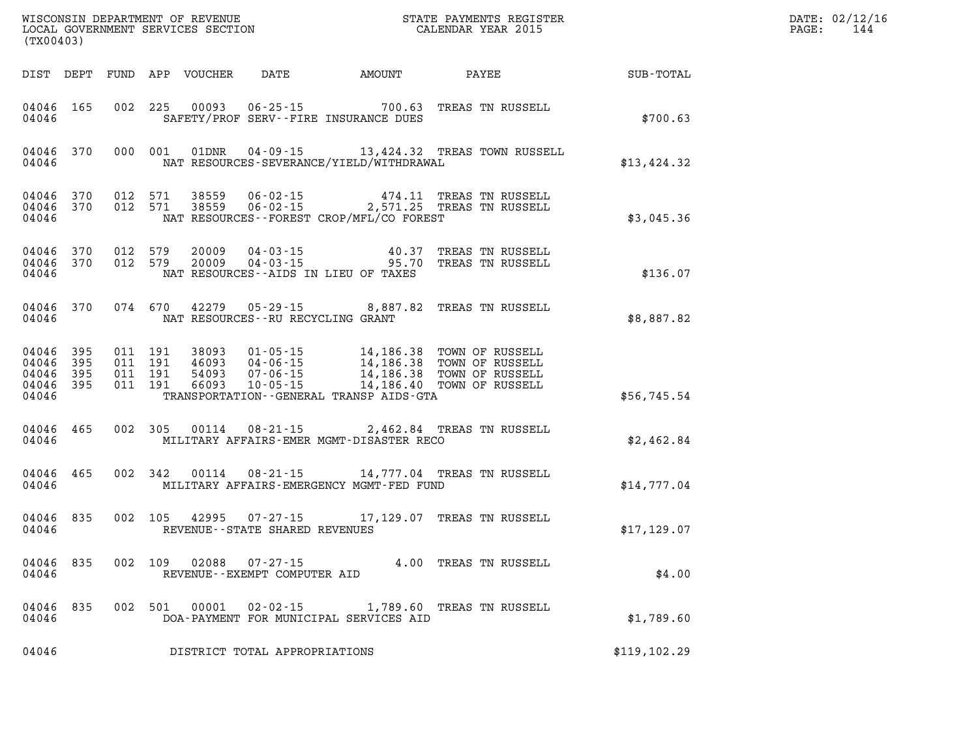| (TX00403)                                             |           |                                          |         |               |                                   |                                          |                                                                                                                                                                                          |              | DATE: 02/12/16<br>$\mathtt{PAGE:}$<br>144 |
|-------------------------------------------------------|-----------|------------------------------------------|---------|---------------|-----------------------------------|------------------------------------------|------------------------------------------------------------------------------------------------------------------------------------------------------------------------------------------|--------------|-------------------------------------------|
|                                                       |           |                                          |         |               |                                   |                                          | DIST DEPT FUND APP VOUCHER DATE AMOUNT PAYEE SUB-TOTAL                                                                                                                                   |              |                                           |
| 04046                                                 | 04046 165 |                                          |         |               |                                   | SAFETY/PROF SERV--FIRE INSURANCE DUES    | 002 225 00093 06-25-15 700.63 TREAS TN RUSSELL                                                                                                                                           | \$700.63     |                                           |
| 04046                                                 | 04046 370 |                                          |         | 000 001 01DNR |                                   | NAT RESOURCES-SEVERANCE/YIELD/WITHDRAWAL | 04-09-15 13,424.32 TREAS TOWN RUSSELL                                                                                                                                                    | \$13,424.32  |                                           |
| 04046                                                 |           | 04046 370 012 571<br>04046 370 012 571   |         |               |                                   | NAT RESOURCES--FOREST CROP/MFL/CO FOREST |                                                                                                                                                                                          | \$3,045.36   |                                           |
| 04046                                                 | 04046 370 | 04046 370 012 579                        | 012 579 |               |                                   | NAT RESOURCES--AIDS IN LIEU OF TAXES     | 20009  04-03-15  40.37  TREAS TN RUSSELL<br>20009  04-03-15  95.70  TREAS TN RUSSELL                                                                                                     | \$136.07     |                                           |
| 04046                                                 |           |                                          |         |               | NAT RESOURCES--RU RECYCLING GRANT |                                          | 04046 370 074 670 42279 05-29-15 8,887.82 TREAS TN RUSSELL                                                                                                                               | \$8,887.82   |                                           |
| 04046 395<br>04046<br>04046 395<br>04046 395<br>04046 | 395       | 011 191<br>011 191<br>011 191<br>011 191 |         |               |                                   | TRANSPORTATION--GENERAL TRANSP AIDS-GTA  | 38093  01-05-15  14,186.38  TOWN OF RUSSELL<br>46093  04-06-15  14,186.38  TOWN OF RUSSELL<br>54093  07-06-15  14,186.38  TOWN OF RUSSELL<br>66093  10-05-15  14,186.40  TOWN OF RUSSELL | \$56,745.54  |                                           |
| 04046                                                 | 04046 465 |                                          |         |               |                                   | MILITARY AFFAIRS-EMER MGMT-DISASTER RECO | 002 305 00114 08-21-15 2,462.84 TREAS TN RUSSELL                                                                                                                                         | \$2,462.84   |                                           |
| 04046 465<br>04046                                    |           |                                          |         | 002 342 00114 |                                   | MILITARY AFFAIRS-EMERGENCY MGMT-FED FUND | 08-21-15 14,777.04 TREAS TN RUSSELL                                                                                                                                                      | \$14,777.04  |                                           |
| 04046<br>04046                                        | 835       |                                          |         |               | REVENUE--STATE SHARED REVENUES    |                                          | 002 105 42995 07-27-15 17,129.07 TREAS TN RUSSELL                                                                                                                                        | \$17, 129.07 |                                           |
| 04046 835<br>04046                                    |           |                                          |         |               | REVENUE--EXEMPT COMPUTER AID      |                                          | 002 109 02088 07-27-15 4.00 TREAS TN RUSSELL                                                                                                                                             | \$4.00       |                                           |
| 04046                                                 | 04046 835 |                                          |         |               |                                   | DOA-PAYMENT FOR MUNICIPAL SERVICES AID   | 002 501 00001 02-02-15 1,789.60 TREAS TN RUSSELL                                                                                                                                         | \$1,789.60   |                                           |
| 04046                                                 |           |                                          |         |               | DISTRICT TOTAL APPROPRIATIONS     |                                          |                                                                                                                                                                                          | \$119,102.29 |                                           |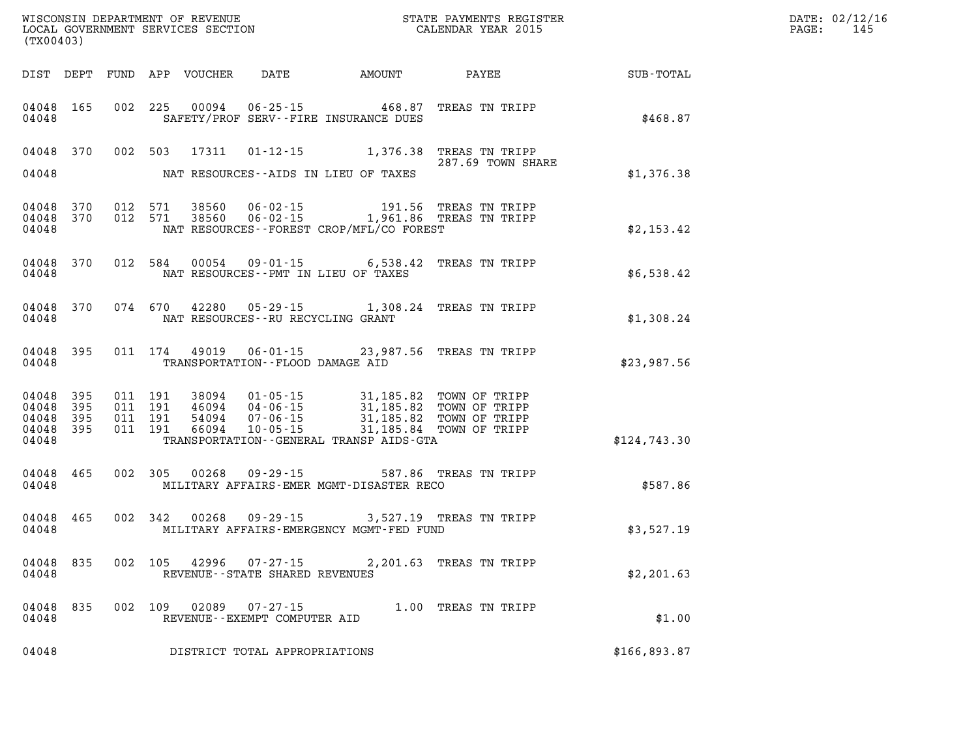| (TX00403)                   |                               |     |     |                                  |                                          | $\mathbb{R}^n$                                                                                                                                                                                                                                  |                         |              | DATE: 02/12/16<br>$\mathtt{PAGE:}$<br>145 |
|-----------------------------|-------------------------------|-----|-----|----------------------------------|------------------------------------------|-------------------------------------------------------------------------------------------------------------------------------------------------------------------------------------------------------------------------------------------------|-------------------------|--------------|-------------------------------------------|
|                             |                               |     |     |                                  |                                          | DIST DEPT FUND APP VOUCHER DATE AMOUNT                                                                                                                                                                                                          | PAYEE                   | SUB-TOTAL    |                                           |
| 04048                       |                               |     |     |                                  |                                          | 04048 165 002 225 00094 06-25-15 468.87 TREAS TN TRIPP<br>SAFETY/PROF SERV--FIRE INSURANCE DUES                                                                                                                                                 |                         | \$468.87     |                                           |
|                             |                               |     |     |                                  |                                          | 04048 370 002 503 17311 01-12-15 1,376.38 TREAS TN TRIPP                                                                                                                                                                                        | 287.69 TOWN SHARE       |              |                                           |
| 04048                       |                               |     |     |                                  |                                          | NAT RESOURCES--AIDS IN LIEU OF TAXES                                                                                                                                                                                                            |                         | \$1,376.38   |                                           |
| 04048<br>04048              | 370<br>04048 370              |     |     |                                  |                                          | 012 571 38560 06-02-15 191.56 TREAS TN TRIPP<br>012 571 38560 06-02-15 1,961.86 TREAS TN TRIPP<br>NAT RESOURCES--FOREST CROP/MFL/CO FOREST                                                                                                      |                         | \$2,153.42   |                                           |
| 04048                       |                               |     |     |                                  |                                          | 04048 370 012 584 00054 09-01-15 6,538.42 TREAS TN TRIPP<br>NAT RESOURCES--PMT IN LIEU OF TAXES                                                                                                                                                 |                         | \$6,538.42   |                                           |
| 04048                       |                               |     |     |                                  | NAT RESOURCES--RU RECYCLING GRANT        | 04048 370 074 670 42280 05-29-15 1,308.24 TREAS TN TRIPP                                                                                                                                                                                        |                         | \$1,308.24   |                                           |
| 04048                       |                               |     |     |                                  | TRANSPORTATION--FLOOD DAMAGE AID         | 04048 395 011 174 49019 06-01-15 23,987.56 TREAS TN TRIPP                                                                                                                                                                                       |                         | \$23,987.56  |                                           |
| 04048<br>04048 395<br>04048 | 04048 395<br>395<br>04048 395 |     |     |                                  |                                          | 011 191 38094 01-05-15 31,185.82 TOWN OF TRIPP<br>011 191 46094 04-06-15 31,185.82 TOWN OF TRIPP<br>011 191 66094 10-05-15 31,185.82 TOWN OF TRIPP<br>011 191 66094 10-05-15 31,185.84 TOWN OF TRIPP<br>TRANSPORTATION--GENERAL TRANSP AIDS-GTA |                         | \$124,743.30 |                                           |
| 04048                       | 04048 465                     |     |     |                                  |                                          | 002 305 00268 09-29-15 587.86 TREAS TN TRIPP<br>MILITARY AFFAIRS-EMER MGMT-DISASTER RECO                                                                                                                                                        |                         | \$587.86     |                                           |
|                             |                               |     |     |                                  |                                          | 04048 465 002 342 00268 09-29-15 3,527.19 TREAS TN TRIPP<br>04048 MILITARY AFFAIRS-EMERGENCY MGMT-FED FUND                                                                                                                                      |                         | \$3,527.19   |                                           |
| 04048                       |                               |     |     | 04048 835 002 105 42996 07-27-15 | REVENUE--STATE SHARED REVENUES           |                                                                                                                                                                                                                                                 | 2,201.63 TREAS TN TRIPP | \$2,201.63   |                                           |
| 04048<br>04048              | 835                           | 002 | 109 | 02089                            | 07-27-15<br>REVENUE--EXEMPT COMPUTER AID |                                                                                                                                                                                                                                                 | 1.00 TREAS TN TRIPP     | \$1.00       |                                           |
| 04048                       |                               |     |     |                                  | DISTRICT TOTAL APPROPRIATIONS            |                                                                                                                                                                                                                                                 |                         | \$166,893.87 |                                           |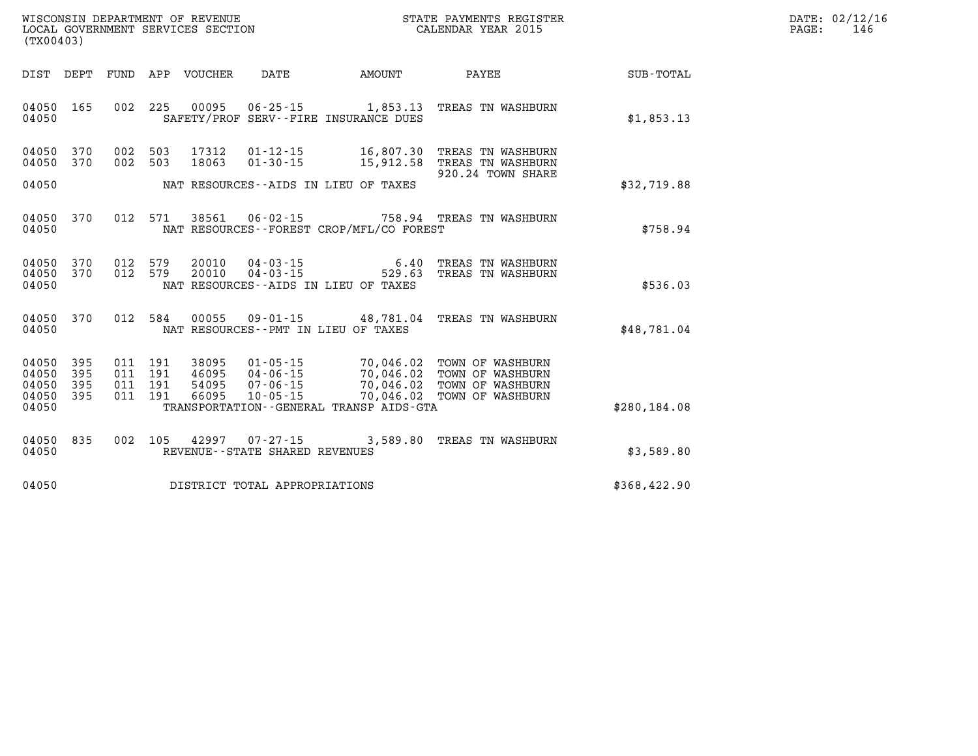| DATE:             | 02/12/16 |
|-------------------|----------|
| $\mathtt{PAGE}$ : | 146      |

| (TX00403)               |                   |                   |                   |                         |                                                    |                                                                                             |                                                             |                         |
|-------------------------|-------------------|-------------------|-------------------|-------------------------|----------------------------------------------------|---------------------------------------------------------------------------------------------|-------------------------------------------------------------|-------------------------|
| DIST                    | DEPT              | FUND              | APP               | <b>VOUCHER</b>          | DATE                                               | <b>AMOUNT</b>                                                                               | PAYEE                                                       | <b>SUB-TOTAL</b>        |
| 04050<br>04050          | 165               | 002               | 225               | 00095                   | $06 - 25 - 15$                                     | 1,853.13<br>SAFETY/PROF SERV--FIRE INSURANCE DUES                                           | TREAS TN WASHBURN                                           | \$1,853.13              |
| 04050<br>04050<br>04050 | 370<br>370        | 002<br>002        | 503<br>503        | 17312<br>18063          | $01 - 12 - 15$<br>$01 - 30 - 15$                   | 16,807.30<br>15,912.58<br>NAT RESOURCES -- AIDS IN LIEU OF TAXES                            | TREAS TN WASHBURN<br>TREAS TN WASHBURN<br>920.24 TOWN SHARE | \$32,719.88             |
| 04050<br>04050          | 370               | 012               | 571               | 38561                   | $06 - 02 - 15$                                     | NAT RESOURCES--FOREST CROP/MFL/CO FOREST                                                    | 758.94 TREAS TN WASHBURN                                    | \$758.94                |
| 04050<br>04050          | 370<br>370        | 012<br>012        | 579<br>579        | 20010<br>20010          | $04 - 03 - 15$<br>$04 - 03 - 15$                   | 6.40<br>529.63                                                                              | TREAS TN WASHBURN<br>TREAS TN WASHBURN                      |                         |
| 04050<br>04050<br>04050 | 370               | 012               | 584               | 00055                   | $09 - 01 - 15$                                     | NAT RESOURCES -- AIDS IN LIEU OF TAXES<br>48,781.04<br>NAT RESOURCES - PMT IN LIEU OF TAXES | TREAS TN WASHBURN                                           | \$536.03<br>\$48,781.04 |
| 04050<br>04050<br>04050 | 395<br>395<br>395 | 011<br>011<br>011 | 191<br>191<br>191 | 38095<br>46095<br>54095 | $01 - 05 - 15$<br>$04 - 06 - 15$<br>$07 - 06 - 15$ | 70,046.02<br>70,046.02<br>70,046.02                                                         | TOWN OF WASHBURN<br>TOWN OF WASHBURN<br>TOWN OF WASHBURN    |                         |
| 04050<br>04050          | 395               | 011               | 191               | 66095                   | $10 - 05 - 15$                                     | 70,046.02<br>TRANSPORTATION - - GENERAL TRANSP AIDS - GTA                                   | TOWN OF WASHBURN                                            | \$280,184.08            |
| 04050<br>04050          | 835               | 002               | 105               | 42997                   | $07 - 27 - 15$<br>REVENUE--STATE SHARED REVENUES   | 3,589.80                                                                                    | TREAS TN WASHBURN                                           | \$3,589.80              |
| 04050                   |                   |                   |                   |                         | DISTRICT TOTAL APPROPRIATIONS                      |                                                                                             |                                                             | \$368,422.90            |

WISCONSIN DEPARTMENT OF REVENUE **STATE PAYMENTS REGISTER**<br>LOCAL GOVERNMENT SERVICES SECTION

LOCAL GOVERNMENT SERVICES SECTION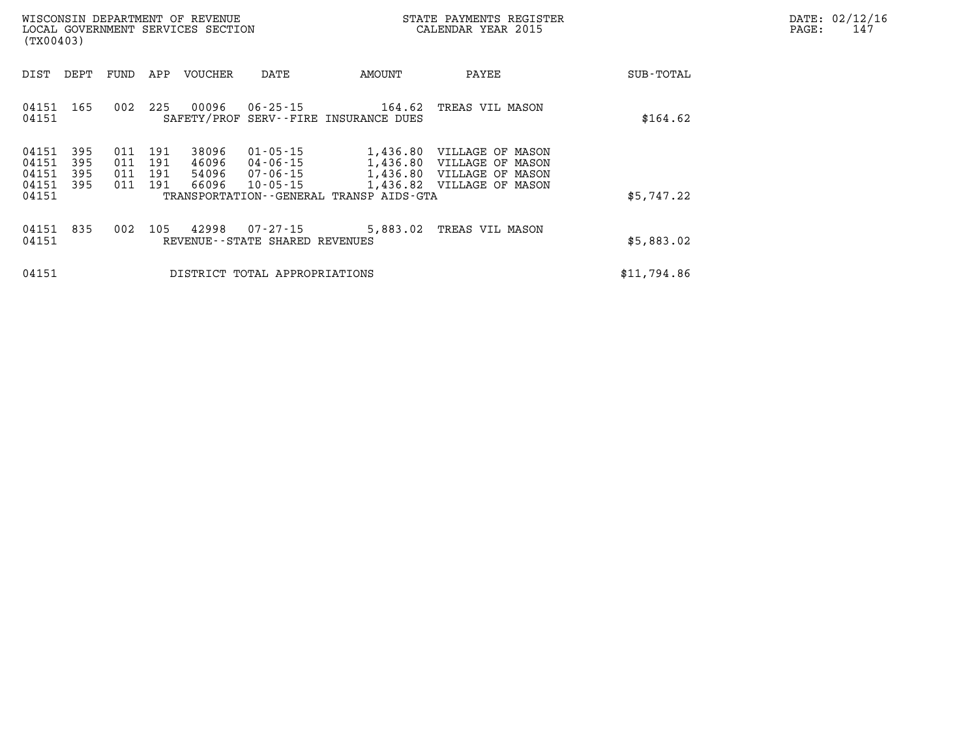|       | DATE: 02/12/16 |
|-------|----------------|
| PAGE: | 147            |

| DEPT<br>FUND<br>APP<br>VOUCHER<br>DATE<br>AMOUNT<br>PAYEE<br>DIST<br>SUB-TOTAL<br>04151 165<br>225<br>00096<br>06-25-15 164.62<br>002<br>TREAS VIL MASON<br>04151<br>SAFETY/PROF SERV--FIRE INSURANCE DUES<br>\$164.62<br>395<br>011<br>191<br>38096<br>01-05-15<br>04151<br>1,436.80 VILLAGE OF MASON<br>04151<br>395<br>011<br>191<br>46096<br>04-06-15<br>1,436.80 VILLAGE OF MASON<br>04151<br>395<br>011<br>191<br>1,436.80 VILLAGE OF MASON<br>54096<br>07-06-15<br>04151<br>395<br>011<br>191<br>66096<br>10-05-15<br>1,436.82 VILLAGE OF MASON |  |
|--------------------------------------------------------------------------------------------------------------------------------------------------------------------------------------------------------------------------------------------------------------------------------------------------------------------------------------------------------------------------------------------------------------------------------------------------------------------------------------------------------------------------------------------------------|--|
|                                                                                                                                                                                                                                                                                                                                                                                                                                                                                                                                                        |  |
|                                                                                                                                                                                                                                                                                                                                                                                                                                                                                                                                                        |  |
| 04151<br>\$5,747.22<br>TRANSPORTATION--GENERAL TRANSP AIDS-GTA                                                                                                                                                                                                                                                                                                                                                                                                                                                                                         |  |
| 04151 835<br>002<br>105<br>42998<br>07-27-15<br>5,883.02 TREAS VIL MASON<br>04151<br>\$5,883.02<br>REVENUE - - STATE SHARED REVENUES                                                                                                                                                                                                                                                                                                                                                                                                                   |  |
| \$11,794.86<br>04151<br>DISTRICT TOTAL APPROPRIATIONS                                                                                                                                                                                                                                                                                                                                                                                                                                                                                                  |  |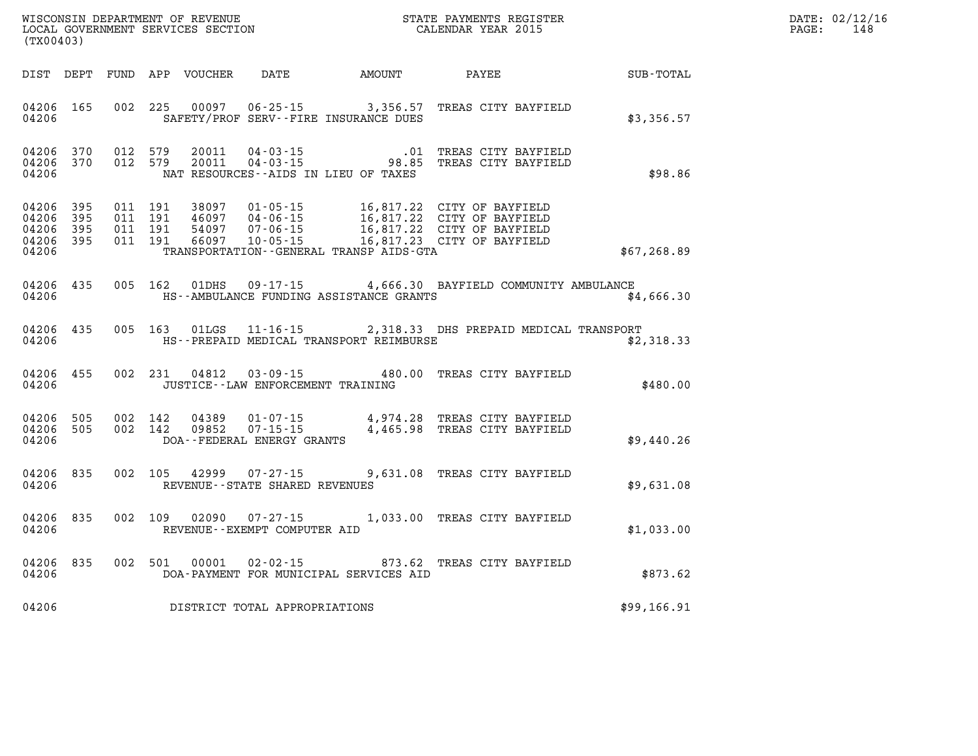| WISCONSIN DEPARTMENT OF REVENUE<br>LOCAL GOVERNMENT SERVICES SECTION<br>(TX00403) |                        |                    |                    |                            |                                      |                                         | STATE PAYMENTS REGISTER<br>CALENDAR YEAR 2015                                                                                                                                                |              | DATE: 02/12/16<br>$\mathtt{PAGE:}$<br>148 |
|-----------------------------------------------------------------------------------|------------------------|--------------------|--------------------|----------------------------|--------------------------------------|-----------------------------------------|----------------------------------------------------------------------------------------------------------------------------------------------------------------------------------------------|--------------|-------------------------------------------|
|                                                                                   |                        |                    |                    | DIST DEPT FUND APP VOUCHER |                                      | DATE AMOUNT PAYEE                       |                                                                                                                                                                                              | SUB-TOTAL    |                                           |
| 04206 165<br>04206                                                                |                        |                    |                    | 002 225 00097              |                                      | SAFETY/PROF SERV--FIRE INSURANCE DUES   | 06-25-15 3,356.57 TREAS CITY BAYFIELD                                                                                                                                                        | \$3,356.57   |                                           |
| 04206                                                                             | 04206 370<br>04206 370 |                    | 012 579<br>012 579 |                            | NAT RESOURCES--AIDS IN LIEU OF TAXES |                                         | 20011  04-03-15  01 TREAS CITY BAYFIELD<br>20011  04-03-15  98.85 TREAS CITY BAYFIELD                                                                                                        | \$98.86      |                                           |
| 04206 395<br>04206<br>04206<br>04206 395<br>04206                                 | 395<br>- 395           | 011 191<br>011 191 | 011 191<br>011 191 |                            |                                      | TRANSPORTATION--GENERAL TRANSP AIDS-GTA | 38097  01-05-15  16,817.22  CITY OF BAYFIELD<br>46097  04-06-15  16,817.22  CITY OF BAYFIELD<br>54097  07-06-15  16,817.22  CITY OF BAYFIELD<br>66097  10-05-15  16,817.23  CITY OF BAYFIELD | \$67, 268.89 |                                           |
| 04206 435<br>04206                                                                |                        |                    | 005 162            | 01DHS                      |                                      | HS--AMBULANCE FUNDING ASSISTANCE GRANTS | 09-17-15 4,666.30 BAYFIELD COMMUNITY AMBULANCE                                                                                                                                               | \$4,666.30   |                                           |
| 04206 435<br>04206                                                                |                        |                    | 005 163            | 01LGS                      | $11 - 16 - 15$                       | HS--PREPAID MEDICAL TRANSPORT REIMBURSE | 2,318.33 DHS PREPAID MEDICAL TRANSPORT                                                                                                                                                       | \$2,318.33   |                                           |
| 04206 455<br>04206                                                                |                        |                    |                    |                            | JUSTICE - - LAW ENFORCEMENT TRAINING |                                         | 002 231 04812 03-09-15 480.00 TREAS CITY BAYFIELD                                                                                                                                            | \$480.00     |                                           |
| 04206 505<br>04206 505<br>04206                                                   |                        | 002 142            | 002 142            | 04389<br>09852             | DOA--FEDERAL ENERGY GRANTS           |                                         | 01-07-15 4,974.28 TREAS CITY BAYFIELD<br>07-15-15 4,465.98 TREAS CITY BAYFIELD                                                                                                               | \$9,440.26   |                                           |
| 04206 835<br>04206                                                                |                        |                    | 002 105            | 42999                      | REVENUE--STATE SHARED REVENUES       |                                         | 07-27-15 9,631.08 TREAS CITY BAYFIELD                                                                                                                                                        | \$9,631.08   |                                           |
| 04206 835<br>04206                                                                |                        |                    | 002 109            |                            | REVENUE--EXEMPT COMPUTER AID         |                                         | 02090  07-27-15  1,033.00 TREAS CITY BAYFIELD                                                                                                                                                | \$1,033.00   |                                           |
| 04206 835<br>04206                                                                |                        |                    | 002 501            | 00001                      |                                      | DOA-PAYMENT FOR MUNICIPAL SERVICES AID  | 02-02-15 873.62 TREAS CITY BAYFIELD                                                                                                                                                          | \$873.62     |                                           |
| 04206                                                                             |                        |                    |                    |                            | DISTRICT TOTAL APPROPRIATIONS        |                                         |                                                                                                                                                                                              | \$99,166.91  |                                           |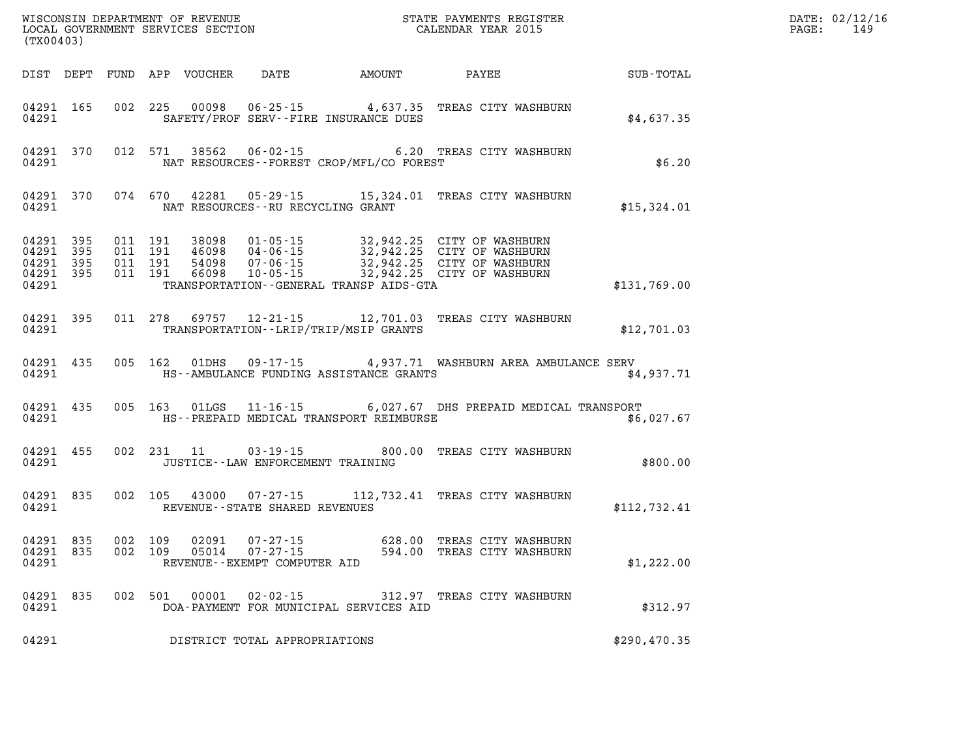| (TX00403)                       |                        |                                          |         |               |                                         |                                              |                                                                                                                                                                                  | DATE: 02/12/16<br>$\mathtt{PAGE:}$<br>149 |  |
|---------------------------------|------------------------|------------------------------------------|---------|---------------|-----------------------------------------|----------------------------------------------|----------------------------------------------------------------------------------------------------------------------------------------------------------------------------------|-------------------------------------------|--|
|                                 |                        |                                          |         |               |                                         | DIST DEPT FUND APP VOUCHER DATE AMOUNT PAYEE |                                                                                                                                                                                  | <b>SUB-TOTAL</b>                          |  |
| 04291                           | 04291 165              |                                          |         |               |                                         | SAFETY/PROF SERV--FIRE INSURANCE DUES        | 002 225 00098 06-25-15 4,637.35 TREAS CITY WASHBURN                                                                                                                              | \$4,637.35                                |  |
| 04291                           |                        |                                          |         |               |                                         | NAT RESOURCES--FOREST CROP/MFL/CO FOREST     | 04291 370 012 571 38562 06-02-15 6.20 TREAS CITY WASHBURN                                                                                                                        | \$6.20                                    |  |
|                                 |                        |                                          |         |               | 04291 NAT RESOURCES--RU RECYCLING GRANT |                                              | 04291 370 074 670 42281 05-29-15 15,324.01 TREAS CITY WASHBURN                                                                                                                   | \$15,324.01                               |  |
| 04291 395<br>04291 395<br>04291 | 04291 395<br>04291 395 | 011 191<br>011 191<br>011 191<br>011 191 |         |               |                                         | TRANSPORTATION - - GENERAL TRANSP AIDS - GTA | 38098 01-05-15 32,942.25 CITY OF WASHBURN<br>46098 04-06-15 32,942.25 CITY OF WASHBURN<br>54098 07-06-15 32,942.25 CITY OF WASHBURN<br>66098 10-05-15 32,942.25 CITY OF WASHBURN | \$131,769.00                              |  |
| 04291                           |                        |                                          |         |               |                                         | TRANSPORTATION--LRIP/TRIP/MSIP GRANTS        | 04291 395 011 278 69757 12-21-15 12,701.03 TREAS CITY WASHBURN                                                                                                                   | \$12,701.03                               |  |
| 04291                           | 04291 435              |                                          |         | 005 162 01DHS |                                         | HS--AMBULANCE FUNDING ASSISTANCE GRANTS      | 09-17-15 4,937.71 WASHBURN AREA AMBULANCE SERV                                                                                                                                   | \$4.937.71                                |  |
|                                 | 04291 435<br>04291     |                                          |         |               |                                         |                                              | 005 163 01LGS 11-16-15 6,027.67 DHS PREPAID MEDICAL TRANSPORT<br>HS--PREPAID MEDICAL TRANSPORT REIMBURSE                                                                         | \$6,027.67                                |  |
| 04291                           | 04291 455              |                                          |         | 002 231 11    | JUSTICE -- LAW ENFORCEMENT TRAINING     |                                              | 03-19-15 800.00 TREAS CITY WASHBURN                                                                                                                                              | \$800.00                                  |  |
| 04291                           | 04291 835              |                                          |         |               | REVENUE--STATE SHARED REVENUES          |                                              | 002 105 43000 07-27-15 112,732.41 TREAS CITY WASHBURN                                                                                                                            | \$112,732.41                              |  |
| 04291 835<br>04291              | 04291 835              | 002 109                                  | 002 109 |               | REVENUE--EXEMPT COMPUTER AID            |                                              | 02091  07-27-15   628.00 TREAS CITY WASHBURN<br>05014  07-27-15   594.00 TREAS CITY WASHBURN                                                                                     | \$1,222.00                                |  |
| 04291                           | 04291 835              |                                          |         |               |                                         | DOA-PAYMENT FOR MUNICIPAL SERVICES AID       | 002 501 00001 02-02-15 312.97 TREAS CITY WASHBURN                                                                                                                                | \$312.97                                  |  |
| 04291                           |                        |                                          |         |               | DISTRICT TOTAL APPROPRIATIONS           |                                              |                                                                                                                                                                                  | \$290,470.35                              |  |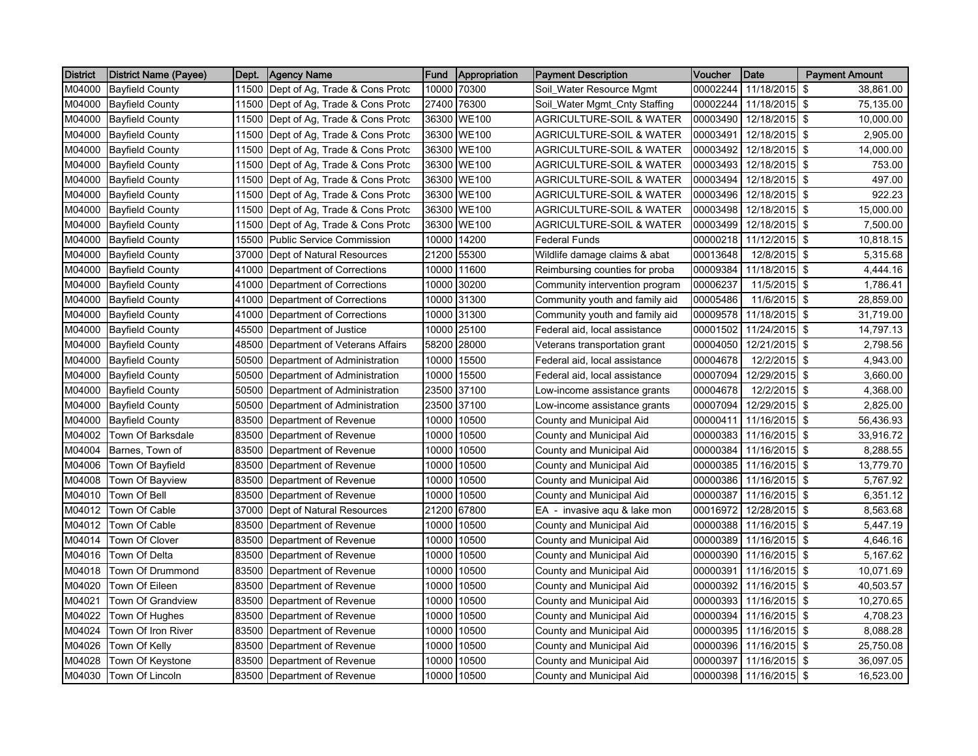| <b>District</b> | District Name (Payee)    | Dept. | <b>Agency Name</b>                   | Fund  | Appropriation | <b>Payment Description</b>          | <b>Voucher</b> | Date          | <b>Payment Amount</b> |
|-----------------|--------------------------|-------|--------------------------------------|-------|---------------|-------------------------------------|----------------|---------------|-----------------------|
| M04000          | <b>Bayfield County</b>   |       | 11500 Dept of Ag, Trade & Cons Protc |       | 10000 70300   | Soil_Water Resource Mgmt            | 00002244       | 11/18/2015    | \$<br>38,861.00       |
| M04000          | <b>Bayfield County</b>   | 11500 | Dept of Ag, Trade & Cons Protc       |       | 27400 76300   | Soil_Water Mgmt_Cnty Staffing       | 00002244       | 11/18/2015 \$ | 75,135.00             |
| M04000          | <b>Bayfield County</b>   | 11500 | Dept of Ag, Trade & Cons Protc       |       | 36300 WE100   | AGRICULTURE-SOIL & WATER            | 00003490       | 12/18/2015 \$ | 10,000.00             |
| M04000          | <b>Bayfield County</b>   | 11500 | Dept of Ag, Trade & Cons Protc       |       | 36300 WE100   | AGRICULTURE-SOIL & WATER            | 00003491       | 12/18/2015 \$ | 2,905.00              |
| M04000          | <b>Bayfield County</b>   |       | 11500 Dept of Ag, Trade & Cons Protc | 36300 | <b>WE100</b>  | AGRICULTURE-SOIL & WATER            | 00003492       | 12/18/2015 \$ | 14,000.00             |
| M04000          | <b>Bayfield County</b>   |       | 11500 Dept of Ag, Trade & Cons Protc |       | 36300 WE100   | AGRICULTURE-SOIL & WATER            | 00003493       | 12/18/2015 \$ | 753.00                |
| M04000          | <b>Bayfield County</b>   | 11500 | Dept of Ag, Trade & Cons Protc       |       | 36300 WE100   | <b>AGRICULTURE-SOIL &amp; WATER</b> | 00003494       | 12/18/2015 \$ | 497.00                |
| M04000          | <b>Bayfield County</b>   | 11500 | Dept of Ag, Trade & Cons Protc       |       | 36300 WE100   | AGRICULTURE-SOIL & WATER            | 00003496       | 12/18/2015 \$ | 922.23                |
| M04000          | <b>Bayfield County</b>   | 11500 | Dept of Ag, Trade & Cons Protc       | 36300 | <b>WE100</b>  | AGRICULTURE-SOIL & WATER            | 00003498       | 12/18/2015 \$ | 15,000.00             |
| M04000          | <b>Bayfield County</b>   | 11500 | Dept of Ag, Trade & Cons Protc       |       | 36300 WE100   | AGRICULTURE-SOIL & WATER            | 00003499       | 12/18/2015 \$ | 7,500.00              |
| M04000          | <b>Bayfield County</b>   | 15500 | <b>Public Service Commission</b>     |       | 10000 14200   | <b>Federal Funds</b>                | 00000218       | 11/12/2015 \$ | 10,818.15             |
| M04000          | <b>Bayfield County</b>   |       | 37000 Dept of Natural Resources      |       | 21200 55300   | Wildlife damage claims & abat       | 00013648       | 12/8/2015 \$  | 5,315.68              |
| M04000          | <b>Bayfield County</b>   | 41000 | Department of Corrections            |       | 10000 11600   | Reimbursing counties for proba      | 00009384       | 11/18/2015 \$ | 4,444.16              |
| M04000          | <b>Bayfield County</b>   | 41000 | Department of Corrections            | 10000 | 30200         | Community intervention program      | 00006237       | 11/5/2015 \$  | 1,786.41              |
| M04000          | <b>Bayfield County</b>   | 41000 | Department of Corrections            | 10000 | 31300         | Community youth and family aid      | 00005486       | 11/6/2015     | \$<br>28,859.00       |
| M04000          | <b>Bayfield County</b>   | 41000 | Department of Corrections            |       | 10000 31300   | Community youth and family aid      | 00009578       | 11/18/2015 \$ | 31,719.00             |
| M04000          | <b>Bayfield County</b>   | 45500 | Department of Justice                | 10000 | 25100         | Federal aid, local assistance       | 00001502       | 11/24/2015 \$ | 14,797.13             |
| M04000          | <b>Bayfield County</b>   | 48500 | Department of Veterans Affairs       | 58200 | 28000         | Veterans transportation grant       | 00004050       | 12/21/2015 \$ | 2,798.56              |
| M04000          | <b>Bayfield County</b>   | 50500 | Department of Administration         | 10000 | 15500         | Federal aid, local assistance       | 00004678       | 12/2/2015 \$  | 4,943.00              |
| M04000          | <b>Bayfield County</b>   | 50500 | Department of Administration         | 10000 | 15500         | Federal aid, local assistance       | 00007094       | 12/29/2015 \$ | 3,660.00              |
| M04000          | <b>Bayfield County</b>   | 50500 | Department of Administration         |       | 23500 37100   | Low-income assistance grants        | 00004678       | 12/2/2015 \$  | 4,368.00              |
| M04000          | <b>Bayfield County</b>   | 50500 | Department of Administration         |       | 23500 37100   | Low-income assistance grants        | 00007094       | 12/29/2015 \$ | 2,825.00              |
| M04000          | <b>Bayfield County</b>   |       | 83500 Department of Revenue          |       | 10000 10500   | County and Municipal Aid            | 00000411       | 11/16/2015 \$ | 56,436.93             |
| M04002          | Town Of Barksdale        |       | 83500 Department of Revenue          |       | 10000 10500   | County and Municipal Aid            | 00000383       | 11/16/2015 \$ | 33,916.72             |
| M04004          | Barnes, Town of          | 83500 | Department of Revenue                | 10000 | 10500         | County and Municipal Aid            | 00000384       | 11/16/2015 \$ | 8,288.55              |
| M04006          | Town Of Bayfield         | 83500 | Department of Revenue                | 10000 | 10500         | County and Municipal Aid            | 00000385       | 11/16/2015 \$ | 13,779.70             |
| M04008          | Town Of Bayview          | 83500 | Department of Revenue                |       | 10000 10500   | County and Municipal Aid            | 00000386       | 11/16/2015 \$ | 5,767.92              |
| M04010          | Town Of Bell             | 83500 | Department of Revenue                | 10000 | 10500         | County and Municipal Aid            | 00000387       | 11/16/2015 \$ | 6,351.12              |
| M04012          | Town Of Cable            | 37000 | Dept of Natural Resources            | 21200 | 67800         | EA - invasive agu & lake mon        | 00016972       | 12/28/2015 \$ | 8,563.68              |
| M04012          | Town Of Cable            | 83500 | Department of Revenue                |       | 10000 10500   | County and Municipal Aid            | 00000388       | 11/16/2015 \$ | 5,447.19              |
| M04014          | Town Of Clover           | 83500 | Department of Revenue                | 10000 | 10500         | County and Municipal Aid            | 00000389       | 11/16/2015 \$ | 4,646.16              |
| M04016          | Town Of Delta            | 83500 | Department of Revenue                | 10000 | 10500         | County and Municipal Aid            | 00000390       | 11/16/2015 \$ | 5,167.62              |
| M04018          | Town Of Drummond         | 83500 | Department of Revenue                | 10000 | 10500         | County and Municipal Aid            | 00000391       | 11/16/2015 \$ | 10,071.69             |
| M04020          | Town Of Eileen           | 83500 | Department of Revenue                |       | 10000 10500   | County and Municipal Aid            | 00000392       | 11/16/2015 \$ | 40,503.57             |
| M04021          | <b>Town Of Grandview</b> | 83500 | Department of Revenue                |       | 10000 10500   | County and Municipal Aid            | 00000393       | 11/16/2015 \$ | 10,270.65             |
| M04022          | Town Of Hughes           | 83500 | Department of Revenue                | 10000 | 10500         | County and Municipal Aid            | 00000394       | 11/16/2015 \$ | 4,708.23              |
| M04024          | Town Of Iron River       | 83500 | Department of Revenue                | 10000 | 10500         | County and Municipal Aid            | 00000395       | 11/16/2015 \$ | 8,088.28              |
| M04026          | Town Of Kelly            | 83500 | Department of Revenue                | 10000 | 10500         | County and Municipal Aid            | 00000396       | 11/16/2015 \$ | 25,750.08             |
| M04028          | Town Of Keystone         | 83500 | Department of Revenue                | 10000 | 10500         | County and Municipal Aid            | 00000397       | 11/16/2015 \$ | 36,097.05             |
| M04030          | Town Of Lincoln          |       | 83500 Department of Revenue          |       | 10000 10500   | County and Municipal Aid            | 00000398       | 11/16/2015 \$ | 16,523.00             |